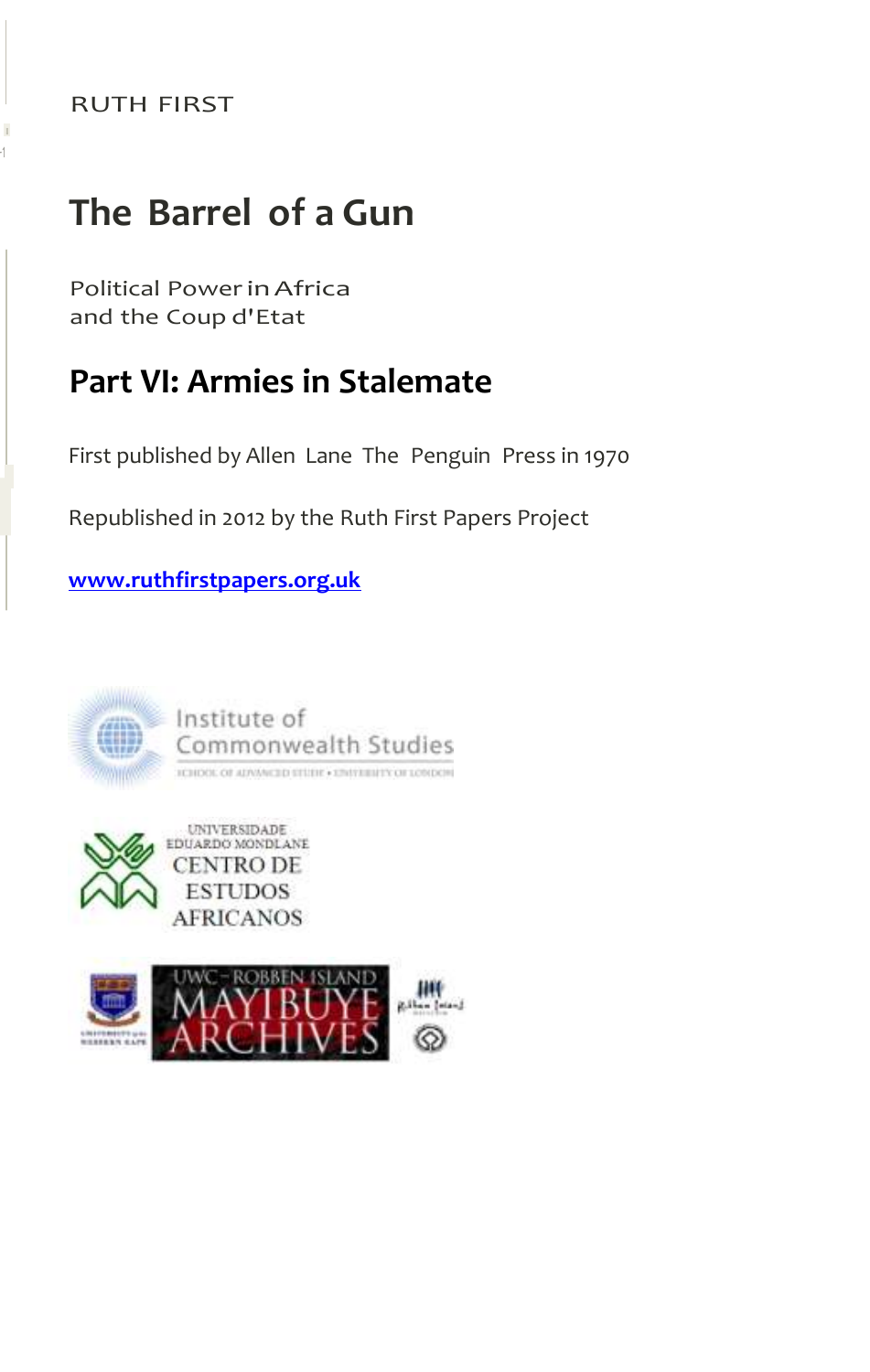# RUTH FIRST

I -1

# **The Barrel of a Gun**

Political PowerinAfrica and the Coup d'Etat

# **Part VI: Armies in Stalemate**

First published by Allen Lane The Penguin Press in 1970

Republished in 2012 by the Ruth First Papers Project

**[www.ruthfirstpapers.org.uk](http://www.ruthfirstpapers.org.uk/)**





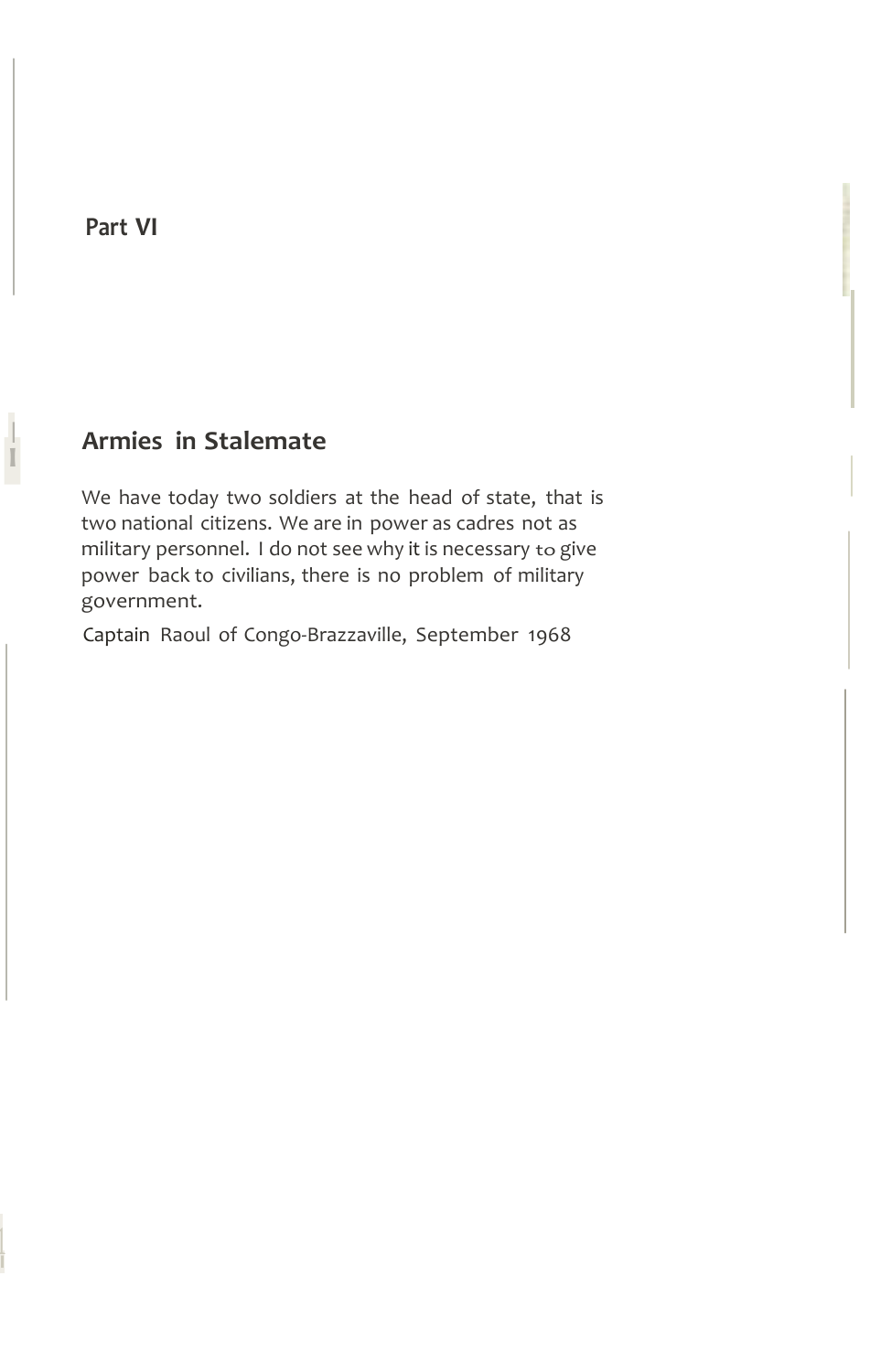I

l

1 I

# **Armies in Stalemate**

We have today two soldiers at the head of state, that is two national citizens. We are in power as cadres not as military personnel. I do not see why it is necessary to give power back to civilians, there is no problem of military government.

Captain Raoul of Congo-Brazzaville, September 1968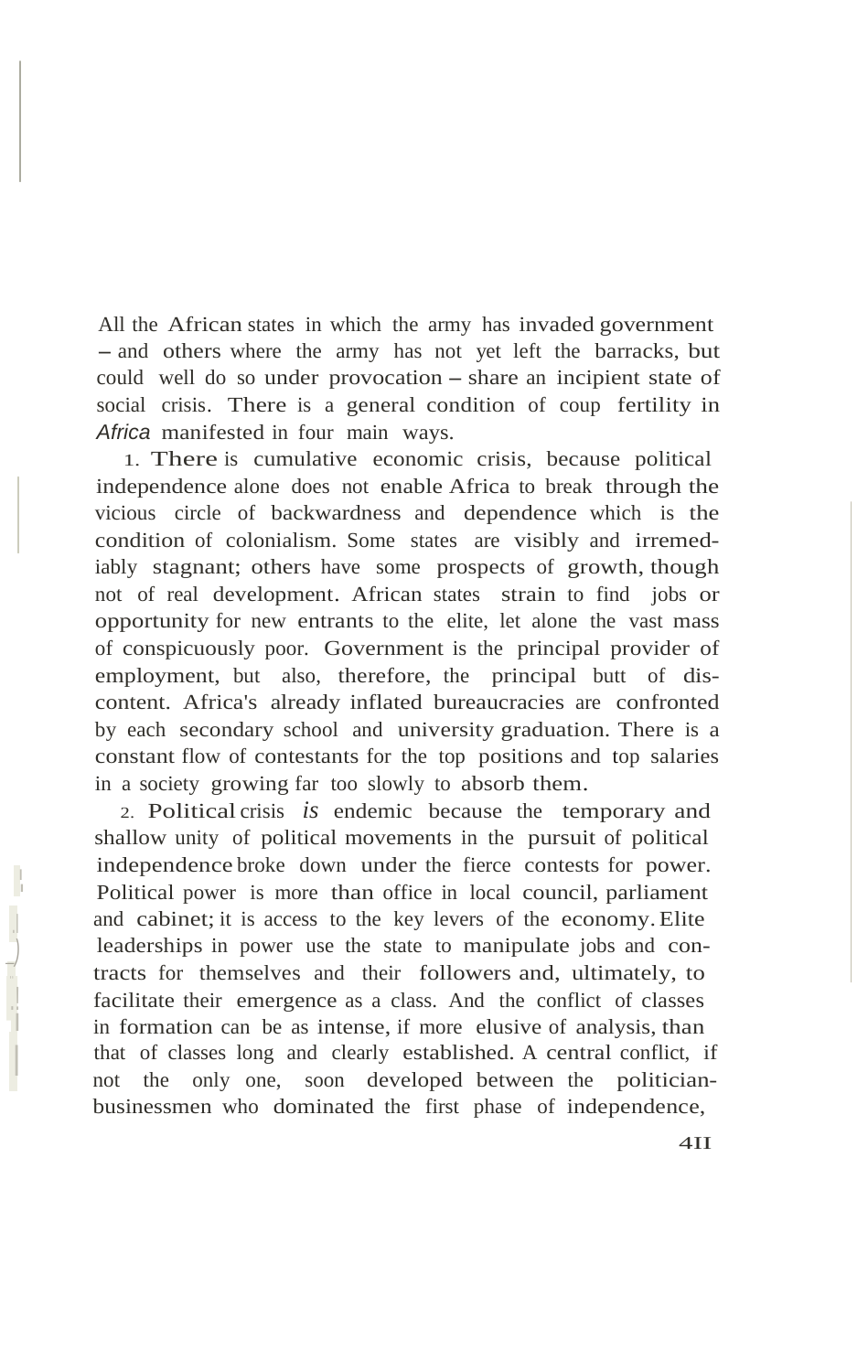All the African states in which the army has invaded government - and others where the army has not yet left the barracks, but could well do so under provocation – share an incipient state of social crisis. There is a general condition of coup fertility in *Africa* manifested in four main ways.

1. There is cumulative economic crisis, because political independence alone does not enable Africa to break through the vicious circle of backwardness and dependence which is the condition of colonialism. Some states are visibly and irremediably stagnant; others have some prospects of growth, though not of real development. African states strain to find jobs or opportunity for new entrants to the elite, let alone the vast mass of conspicuously poor. Government is the principal provider of employment, but also, therefore, the principal butt of discontent. Africa's already inflated bureaucracies are confronted by each secondary school and university graduation. There is a constant flow of contestants for the top positions and top salaries in a society growing far too slowly to absorb them.

2. Political crisis *is* endemic because the temporary and shallow unity of political movements in the pursuit of political independence broke down under the fierce contests for power. Political power is more than office in local council, parliament and cabinet; it is access to the key levers of the economy. Elite *\_)* leaderships in power use the state to manipulate jobs and con tracts for themselves and their followers and, ultimately, to facilitate their emergence as a class. And the conflict of classes in formation can be as intense, if more elusive of analysis, than that of classes long and clearly established. A central conflict, if not the only one, soon developed between the politicianbusinessmen who dominated the first phase of independence,

·1

I

I

I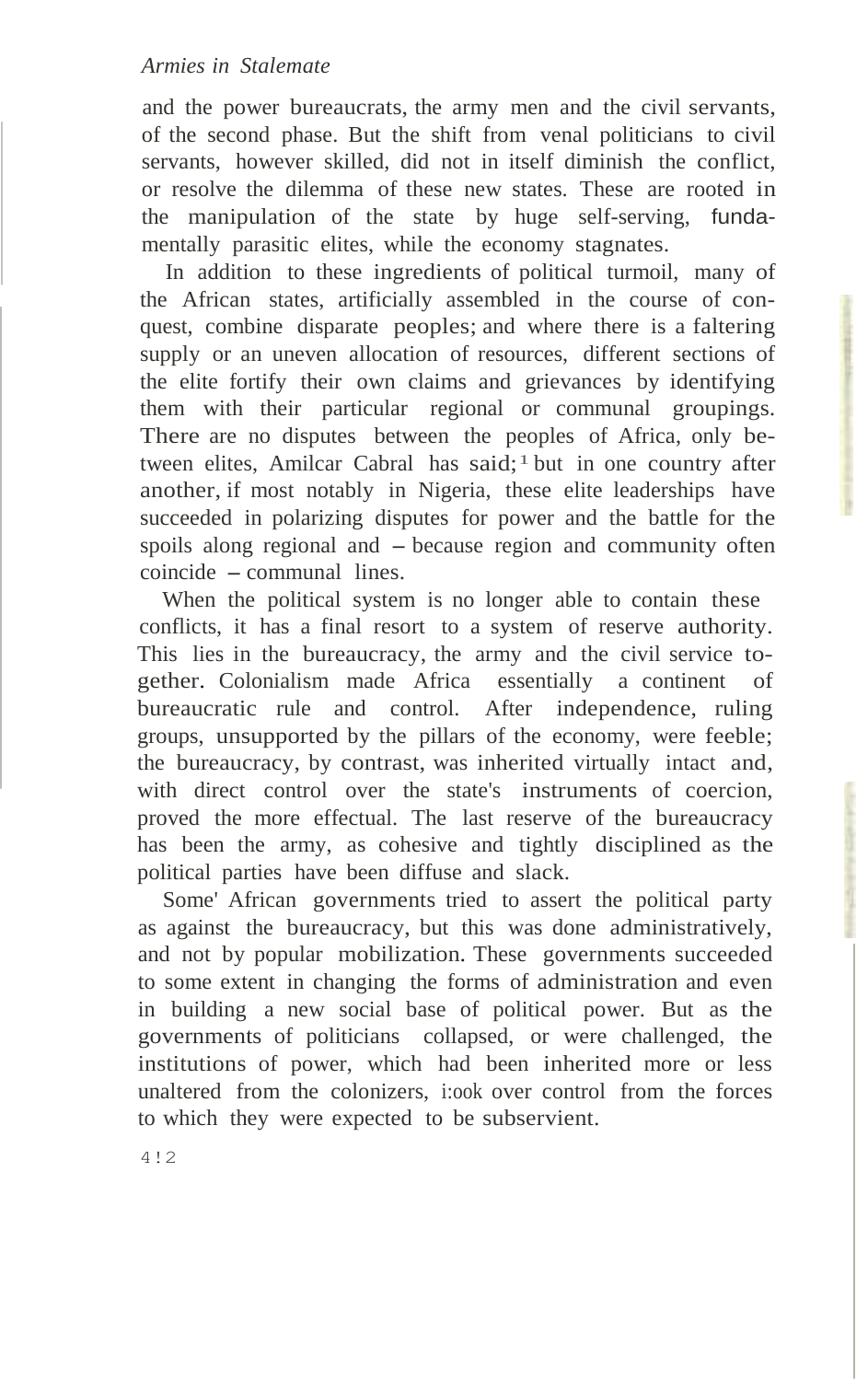and the power bureaucrats, the army men and the civil servants, of the second phase. But the shift from venal politicians to civil servants, however skilled, did not in itself diminish the conflict, or resolve the dilemma of these new states. These are rooted in the manipulation of the state by huge self-serving, fundamentally parasitic elites, while the economy stagnates.

In addition to these ingredients of political turmoil, many of the African states, artificially assembled in the course of conquest, combine disparate peoples; and where there is a faltering supply or an uneven allocation of resources, different sections of the elite fortify their own claims and grievances by identifying them with their particular regional or communal groupings. There are no disputes between the peoples of Africa, only between elites, Amilcar Cabral has said; 1 but in one country after another, if most notably in Nigeria, these elite leaderships have succeeded in polarizing disputes for power and the battle for the spoils along regional and  $-$  because region and community often coincide - communal lines.

When the political system is no longer able to contain these conflicts, it has a final resort to a system of reserve authority. This lies in the bureaucracy, the army and the civil service together. Colonialism made Africa essentially a continent of bureaucratic rule and control. After independence, ruling groups, unsupported by the pillars of the economy, were feeble; the bureaucracy, by contrast, was inherited virtually intact and, with direct control over the state's instruments of coercion, proved the more effectual. The last reserve of the bureaucracy has been the army, as cohesive and tightly disciplined as the political parties have been diffuse and slack.

Some' African governments tried to assert the political party as against the bureaucracy, but this was done administratively, and not by popular mobilization. These governments succeeded to some extent in changing the forms of administration and even in building a new social base of political power. But as the governments of politicians collapsed, or were challenged, the institutions of power, which had been inherited more or less unaltered from the colonizers, i:ook over control from the forces to which they were expected to be subservient.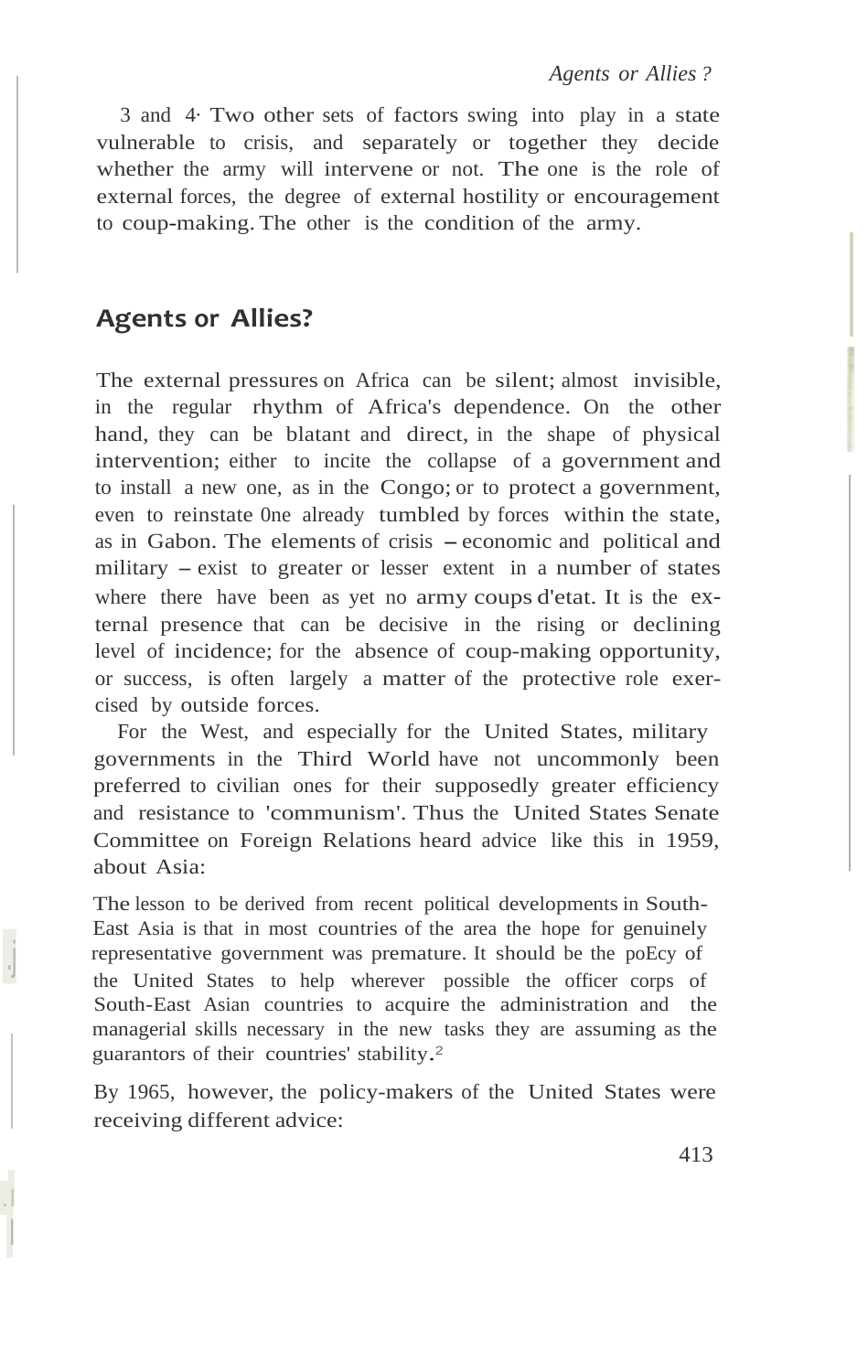3 and 4· Two other sets of factors swing into play in a state vulnerable to crisis, and separately or together they decide whether the army will intervene or not. The one is the role of external forces, the degree of external hostility or encouragement to coup-making. The other is the condition of the army.

# **Agents or Allies?**

.I I The external pressures on Africa can be silent; almost invisible, in the regular rhythm of Africa's dependence. On the other hand, they can be blatant and direct, in the shape of physical intervention; either to incite the collapse of a government and to install a new one, as in the Congo; or to protect a government, even to reinstate 0ne already tumbled by forces within the state, as in Gabon. The elements of crisis – economic and political and military - exist to greater or lesser extent in <sup>a</sup> number of states where there have been as yet no army coups d'etat. It is the external presence that can be decisive in the rising or declining level of incidence; for the absence of coup-making opportunity, or success, is often largely a matter of the protective role exercised by outside forces.

For the West, and especially for the United States, military governments in the Third World have not uncommonly been preferred to civilian ones for their supposedly greater efficiency and resistance to 'communism'. Thus the United States Senate Committee on Foreign Relations heard advice like this in 1959, about Asia:

The lesson to be derived from recent political developments in South-East Asia is that in most countries of the area the hope for genuinely representative government was premature. It should be the poEcy of the United States to help wherever possible the officer corps of South-East Asian countries to acquire the administration and the managerial skills necessary in the new tasks they are assuming as the guarantors of their countries' stability. 2

By 1965, however, the policy-makers of the United States were receiving different advice: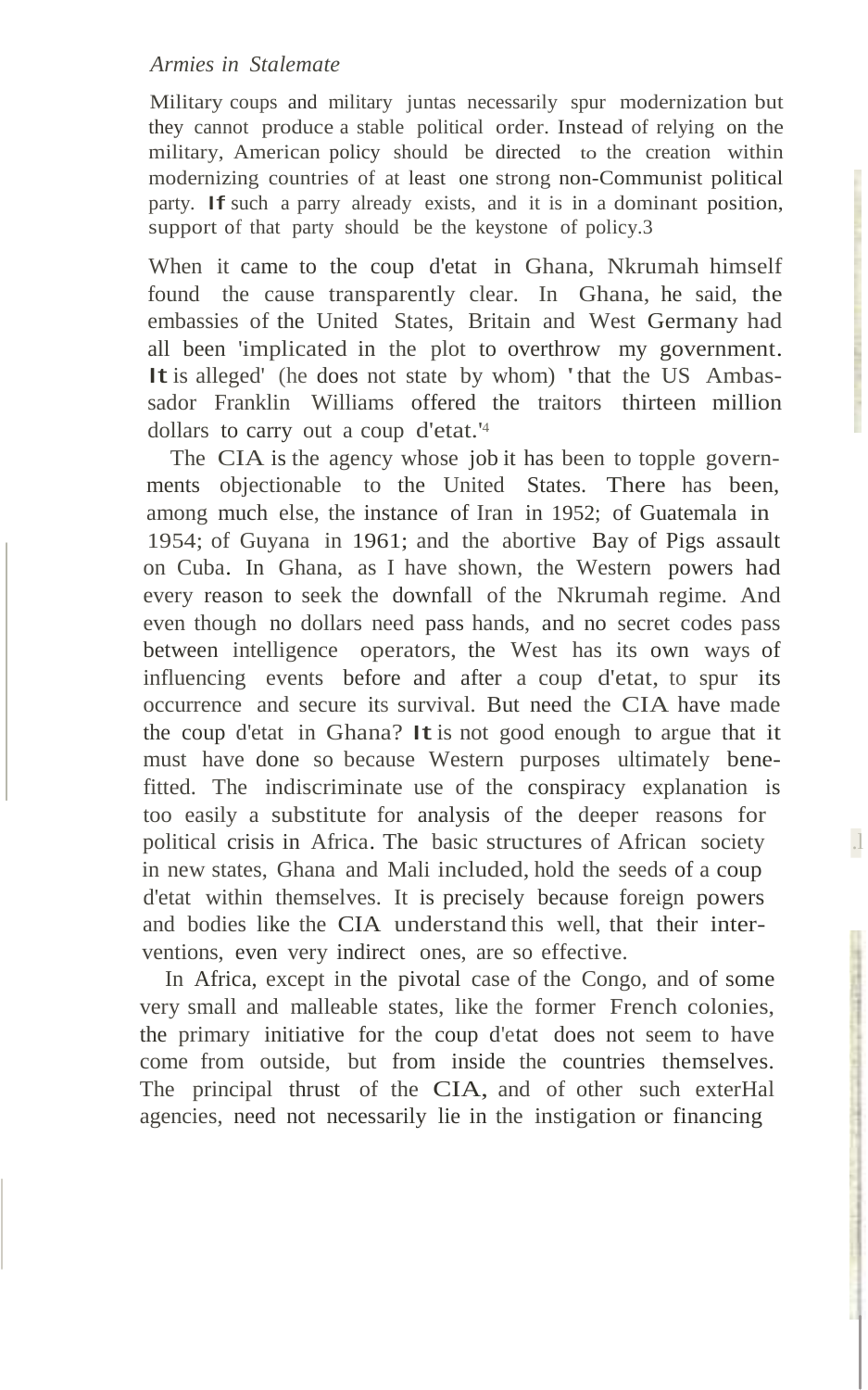Military coups and military juntas necessarily spur modernization but they cannot produce a stable political order. Instead of relying on the military, American policy should be directed to the creation within modernizing countries of at least one strong non-Communist political party. If such a parry already exists, and it is in <sup>a</sup> dominant position, support of that party should be the keystone of policy.3

When it came to the coup d'etat in Ghana, Nkrumah himself found the cause transparently clear. In Ghana, he said, the embassies of the United States, Britain and West Germany had all been 'implicated in the plot to overthrow my government. It is alleged' (he does not state by whom) 'that the US Ambassador Franklin Williams offered the traitors thirteen million dollars to carry out a coup d'etat.<sup>14</sup>

The CIA is the agency whose job it has been to topple governments objectionable to the United States. There has been, among much else, the instance of Iran in 1952; of Guatemala in 1954; of Guyana in 1961; and the abortive Bay of Pigs assault on Cuba. In Ghana, as I have shown, the Western powers had every reason to seek the downfall of the Nkrumah regime. And even though no dollars need pass hands, and no secret codes pass between intelligence operators, the West has its own ways of influencing events before and after a coup d'etat, to spur its occurrence and secure its survival. But need the CIA have made the coup d'etat in Ghana? It is not good enough to argue that it must have done so because Western purposes ultimately benefitted. The indiscriminate use of the conspiracy explanation is too easily a substitute for analysis of the deeper reasons for political crisis in Africa. The basic structures of African society 1 in new states, Ghana and Mali included, hold the seeds of a coup d'etat within themselves. It is precisely because foreign powers and bodies like the CIA understand this well, that their interventions, even very indirect ones, are so effective.

In Africa, except in the pivotal case of the Congo, and of some very small and malleable states, like the former French colonies, the primary initiative for the coup d'etat does not seem to have come from outside, but from inside the countries themselves. The principal thrust of the CIA, and of other such exterHal agencies, need not necessarily lie in the instigation or financing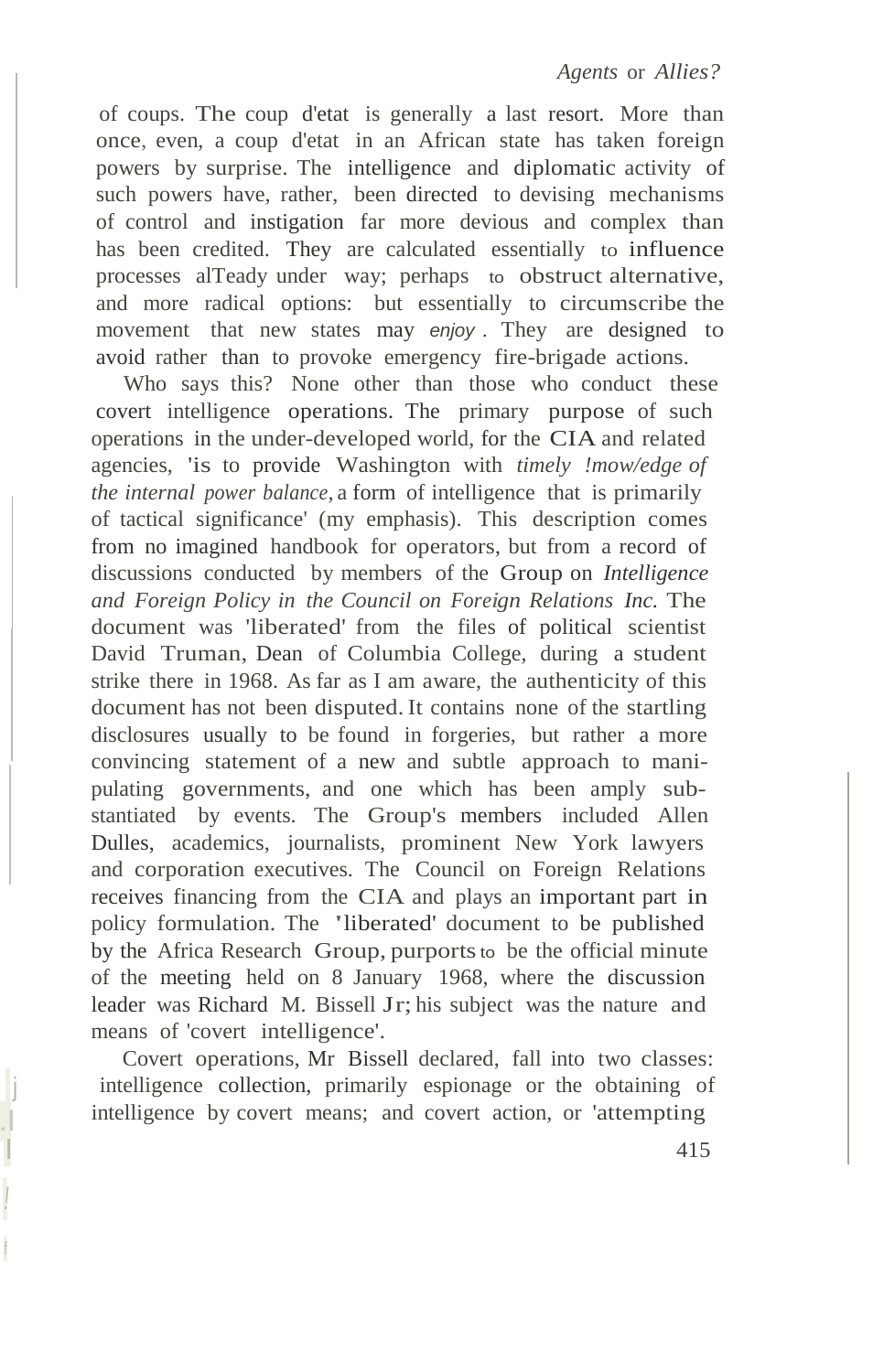of coups. The coup d'etat is generally a last resort. More than once, even, a coup d'etat in an African state has taken foreign powers by surprise. The intelligence and diplomatic activity of such powers have, rather, been directed to devising mechanisms of control and instigation far more devious and complex than has been credited. They are calculated essentially to influence processes alTeady under way; perhaps to obstruct alternative, and more radical options: but essentially to circumscribe the movement that new states may *enjoy .* They are designed to avoid rather than to provoke emergency fire-brigade actions.

Who says this? None other than those who conduct these covert intelligence operations. The primary purpose of such operations in the under-developed world, for the CIA and related agencies, 'is to provide Washington with *timely !mow/edge of the internal power balance,* a form of intelligence that is primarily of tactical significance' (my emphasis). This description comes from no imagined handbook for operators, but from a record of discussions conducted by members of the Group on *Intelligence and Foreign Policy in the Council on Foreign Relations Inc.* The document was 'liberated' from the files of political scientist David Truman, Dean of Columbia College, during a student strike there in 1968. As far as I am aware, the authenticity of this document has not been disputed.It contains none of the startling disclosures usually to be found in forgeries, but rather a more convincing statement of a new and subtle approach to manipulating governments, and one which has been amply substantiated by events. The Group's members included Allen Dulles, academics, journalists, prominent New York lawyers and corporation executives. The Council on Foreign Relations receives financing from the CIA and plays an important part in policy formulation. The 'liberated' document to be published by the Africa Research Group, purports to be the official minute of the meeting held on 8 January 1968, where the discussion leader was Richard M. Bissell Jr; his subject was the nature and means of 'covert intelligence'.

Covert operations, Mr Bissell declared, fall into two classes: intelligence collection, primarily espionage or the obtaining of intelligence by covert means; and covert action, or 'attempting

*!*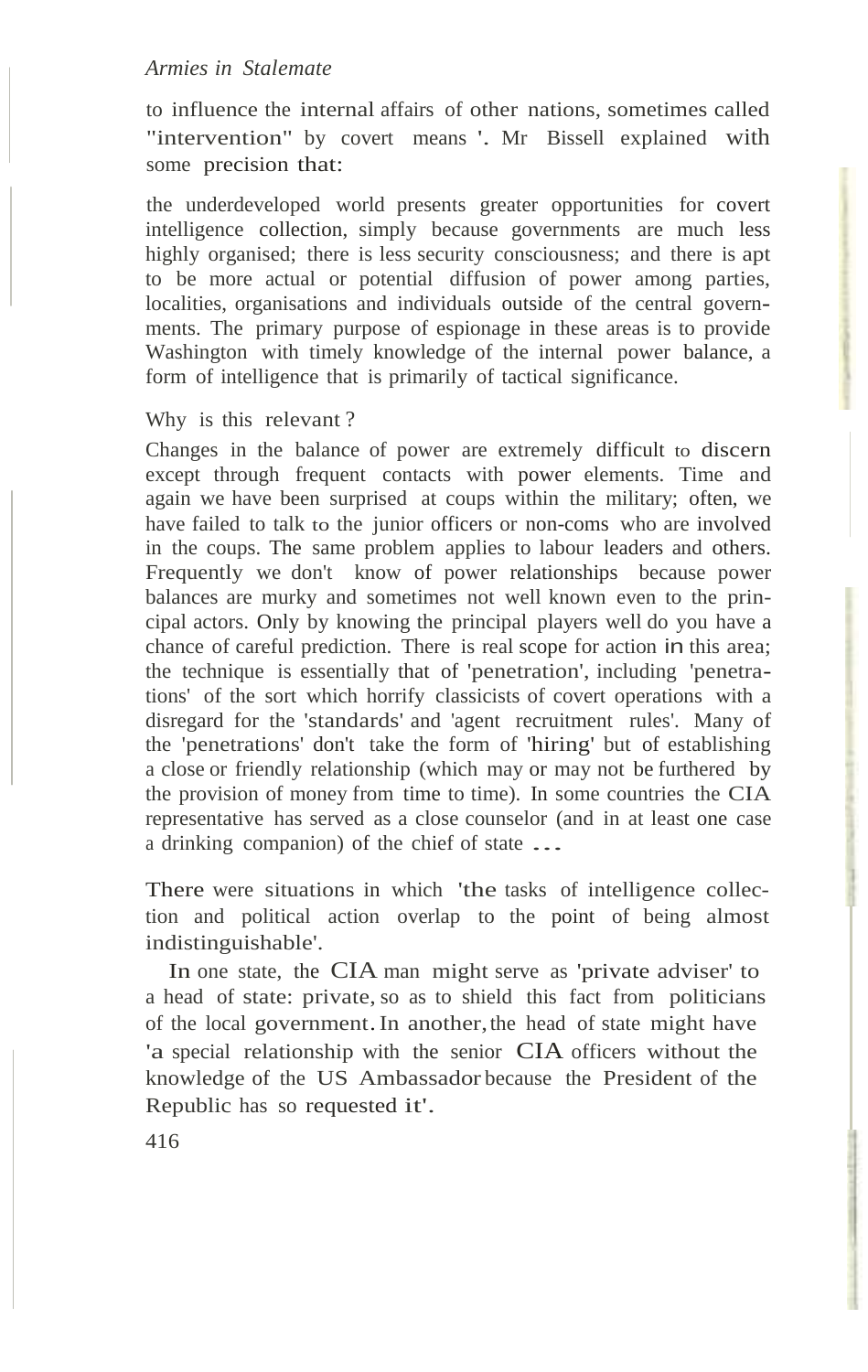to influence the internal affairs of other nations, sometimes called "intervention" by covert means '. Mr Bissell explained with some precision that:

the underdeveloped world presents greater opportunities for covert intelligence collection, simply because governments are much less highly organised; there is less security consciousness; and there is apt to be more actual or potential diffusion of power among parties, localities, organisations and individuals outside of the central governments. The primary purpose of espionage in these areas is to provide Washington with timely knowledge of the internal power balance, a form of intelligence that is primarily of tactical significance.

# Why is this relevant ?

Changes in the balance of power are extremely difficult to discern except through frequent contacts with power elements. Time and again we have been surprised at coups within the military; often, we have failed to talk to the junior officers or non-coms who are involved in the coups. The same problem applies to labour leaders and others. Frequently we don't know of power relationships because power balances are murky and sometimes not well known even to the principal actors. Only by knowing the principal players well do you have a chance of careful prediction. There is real scope for action in this area; the technique is essentially that of 'penetration', including 'penetrations' of the sort which horrify classicists of covert operations with a disregard for the 'standards' and 'agent recruitment rules'. Many of the 'penetrations' don't take the form of 'hiring' but of establishing a close or friendly relationship (which may or may not be furthered by the provision of money from time to time). In some countries the CIA representative has served as a close counselor (and in at least one case <sup>a</sup> drinking companion) of the chief of state ...

There were situations in which 'the tasks of intelligence collection and political action overlap to the point of being almost indistinguishable'.

In one state, the CIA man might serve as 'private adviser' to a head of state: private, so as to shield this fact from politicians of the local government.In another,the head of state might have 'a special relationship with the senior CIA officers without the knowledge of the US Ambassador because the President of the Republic has so requested it'.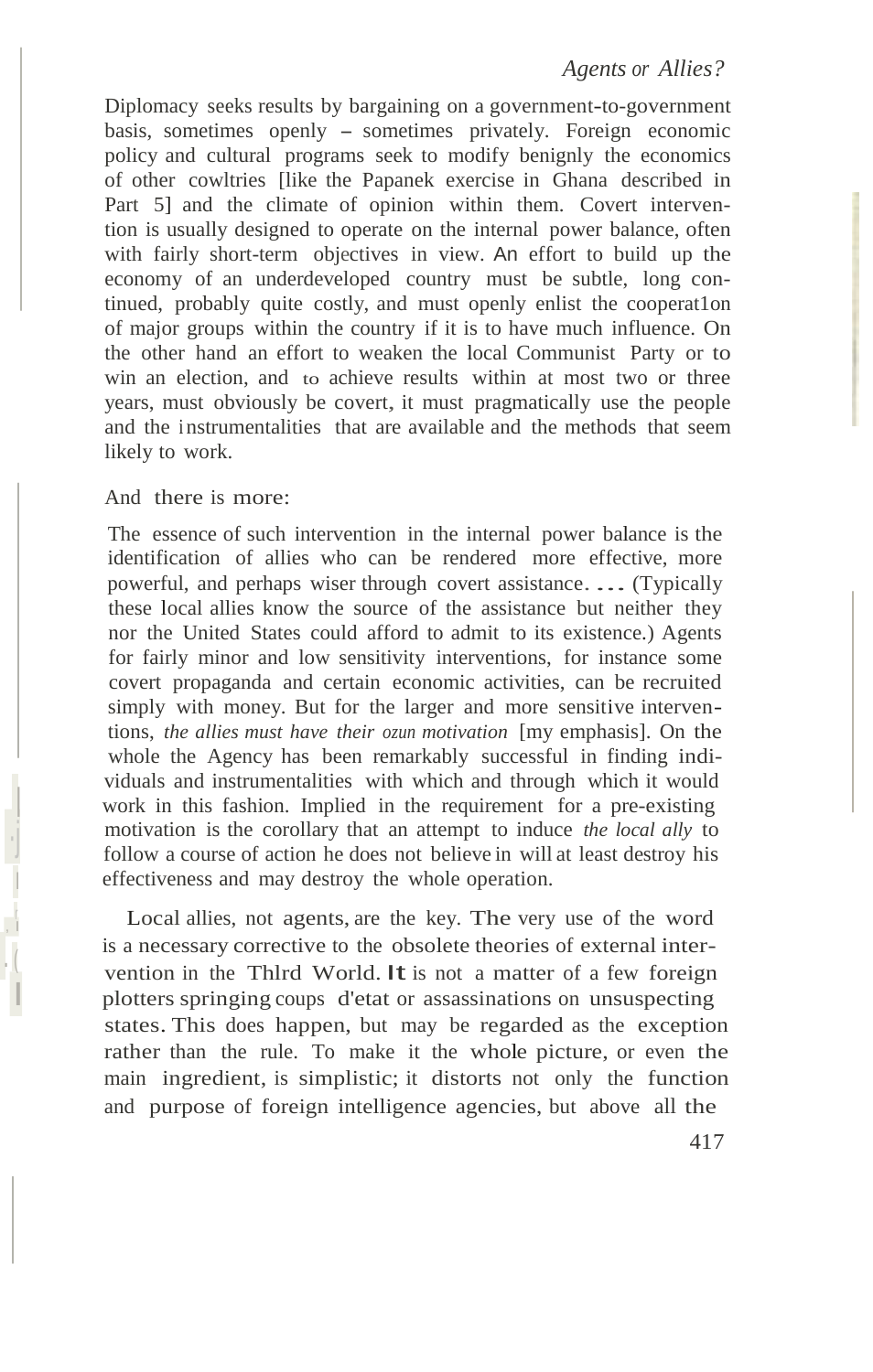# *Agents or Allies?*

Diplomacy seeks results by bargaining on a government-to-government basis, sometimes openly - sometimes privately. Foreign economic policy and cultural programs seek to modify benignly the economics of other cowltries [like the Papanek exercise in Ghana described in Part 5] and the climate of opinion within them. Covert intervention is usually designed to operate on the internal power balance, often with fairly short-term objectives in view. An effort to build up the economy of an underdeveloped country must be subtle, long continued, probably quite costly, and must openly enlist the cooperat1on of major groups within the country if it is to have much influence. On the other hand an effort to weaken the local Communist Party or to win an election, and to achieve results within at most two or three years, must obviously be covert, it must pragmatically use the people and the instrumentalities that are available and the methods that seem likely to work.

#### And there is more:

·j

I .

(

The essence of such intervention in the internal power balance is the identification of allies who can be rendered more effective, more powerful, and perhaps wiser through covert assistance. ... (Typically these local allies know the source of the assistance but neither they nor the United States could afford to admit to its existence.) Agents for fairly minor and low sensitivity interventions, for instance some covert propaganda and certain economic activities, can be recruited simply with money. But for the larger and more sensitive interventions, *the allies must have their ozun motivation* [my emphasis]. On the whole the Agency has been remarkably successful in finding individuals and instrumentalities with which and through which it would work in this fashion. Implied in the requirement for a pre-existing motivation is the corollary that an attempt to induce *the local ally* to follow a course of action he does not believe in will at least destroy his effectiveness and may destroy the whole operation.

Local allies, not agents, are the key. The very use of the word is a necessary corrective to the obsolete theories of external intervention in the Thlrd World. It is not a matter of <sup>a</sup> few foreign plotters springing coups d'etat or assassinations on unsuspecting states. This does happen, but may be regarded as the exception rather than the rule. To make it the whole picture, or even the main ingredient, is simplistic; it distorts not only the function and purpose of foreign intelligence agencies, but above all the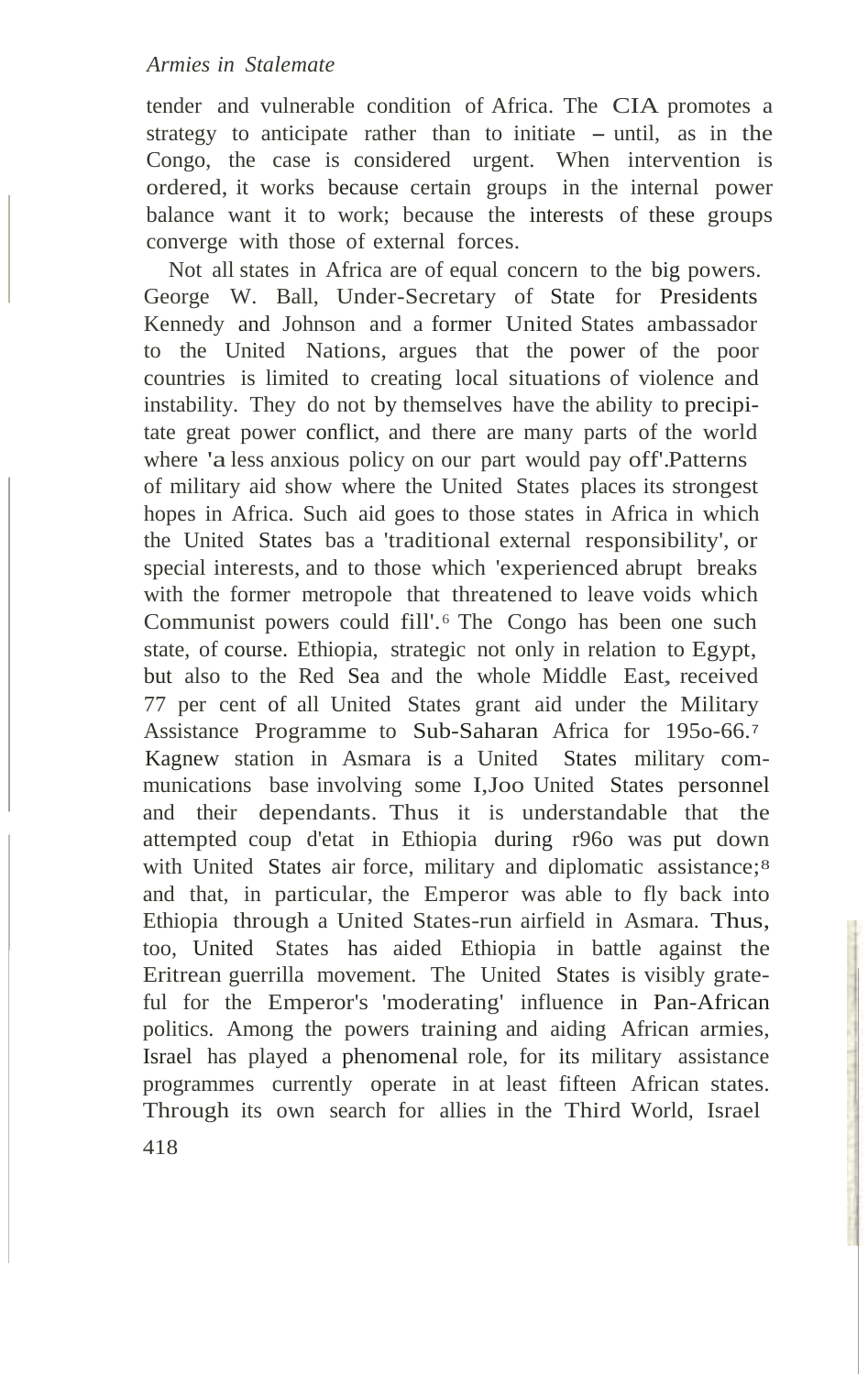tender and vulnerable condition of Africa. The CIA promotes a strategy to anticipate rather than to initiate  $-$  until, as in the Congo, the case is considered urgent. When intervention is ordered, it works because certain groups in the internal power balance want it to work; because the interests of these groups converge with those of external forces.

Not all states in Africa are of equal concern to the big powers. George W. Ball, Under-Secretary of State for Presidents Kennedy and Johnson and a former United States ambassador to the United Nations, argues that the power of the poor countries is limited to creating local situations of violence and instability. They do not by themselves have the ability to precipitate great power conflict, and there are many parts of the world where 'a less anxious policy on our part would pay off'.Patterns of military aid show where the United States places its strongest hopes in Africa. Such aid goes to those states in Africa in which the United States bas a 'traditional external responsibility', or special interests, and to those which 'experienced abrupt breaks with the former metropole that threatened to leave voids which Communist powers could fill'.<sup>6</sup> The Congo has been one such state, of course. Ethiopia, strategic not only in relation to Egypt, but also to the Red Sea and the whole Middle East, received 77 per cent of all United States grant aid under the Military Assistance Programme to Sub-Saharan Africa for 195o-66. 7 Kagnew station in Asmara is a United States military communications base involving some I,Joo United States personnel and their dependants. Thus it is understandable that the attempted coup d'etat in Ethiopia during r96o was put down with United States air force, military and diplomatic assistance; 8 and that, in particular, the Emperor was able to fly back into Ethiopia through a United States-run airfield in Asmara. Thus, too, United States has aided Ethiopia in battle against the Eritrean guerrilla movement. The United States is visibly grateful for the Emperor's 'moderating' influence in Pan-African politics. Among the powers training and aiding African armies, Israel has played a phenomenal role, for its military assistance programmes currently operate in at least fifteen African states. Through its own search for allies in the Third World, Israel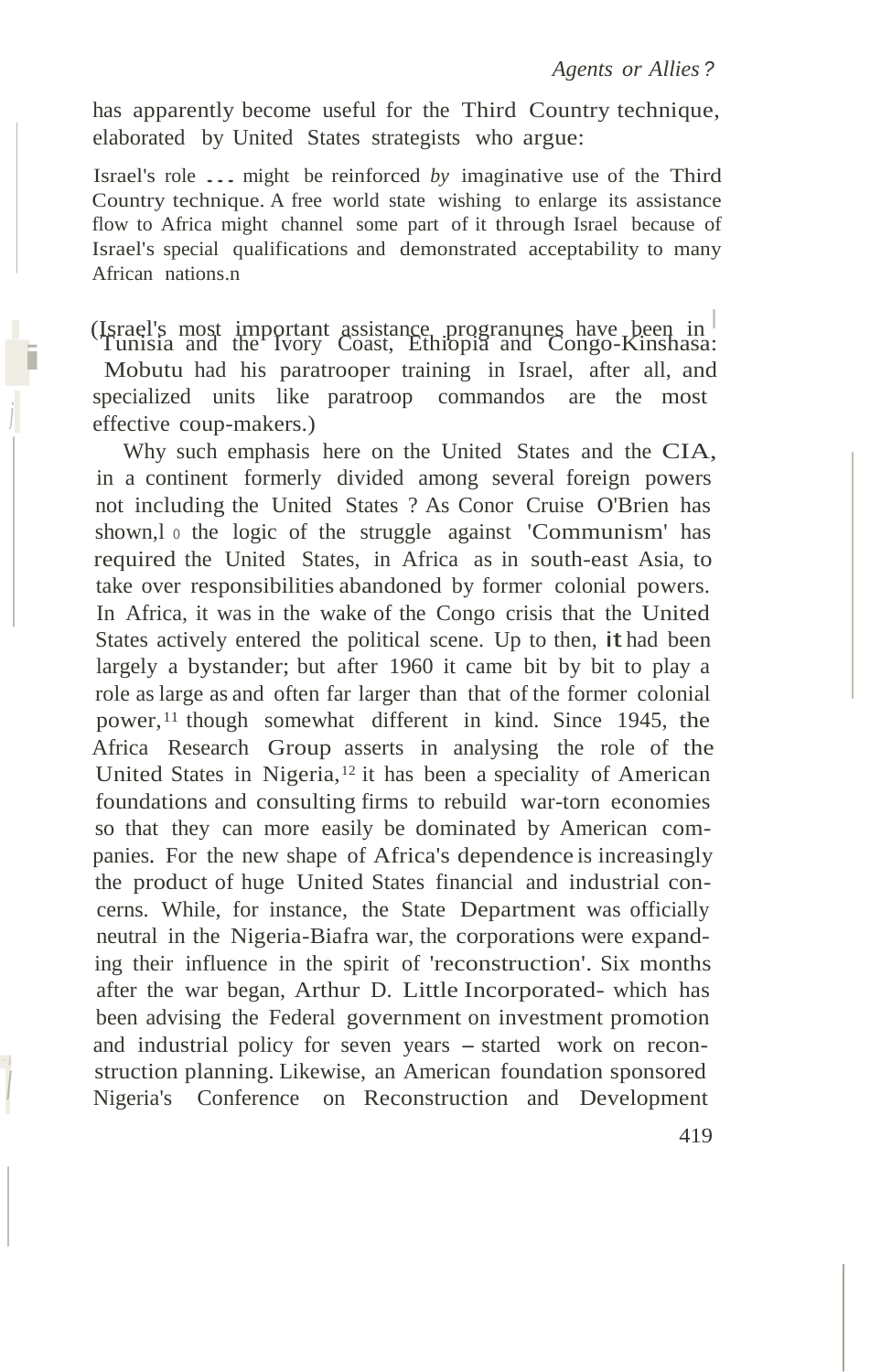has apparently become useful for the Third Country technique, elaborated by United States strategists who argue:

Israel's role ... might be reinforced *by* imaginative use of the Third Country technique. A free world state wishing to enlarge its assistance flow to Africa might channel some part of it through Israel because of Israel's special qualifications and demonstrated acceptability to many African nations.n

(Israel's most important assistance programunes have been in Tunisia and the Ivory Coast, Ethiopia and Congo-Kinshasa: i Mobutu had his paratrooper training in Israel, after all, and specialized units like paratroop commandos are the most effective coup-makers.)

> Why such emphasis here on the United States and the CIA, in a continent formerly divided among several foreign powers not including the United States ? As Conor Cruise O'Brien has shown, l the logic of the struggle against 'Communism' has required the United States, in Africa as in south-east Asia, to take over responsibilities abandoned by former colonial powers. In Africa, it was in the wake of the Congo crisis that the United States actively entered the political scene. Up to then, it had been largely a bystander; but after 1960 it came bit by bit to play a role as large as and often far larger than that of the former colonial power, <sup>11</sup> though somewhat different in kind. Since 1945, the Africa Research Group asserts in analysing the role of the United States in Nigeria, <sup>12</sup> it has been a speciality of American foundations and consulting firms to rebuild war-torn economies so that they can more easily be dominated by American companies. For the new shape of Africa's dependence is increasingly the product of huge United States financial and industrial concerns. While, for instance, the State Department was officially neutral in the Nigeria-Biafra war, the corporations were expanding their influence in the spirit of 'reconstruction'. Six months after the war began, Arthur D. Little Incorporated- which has been advising the Federal government on investment promotion and industrial policy for seven years – started work on reconstruction planning. Likewise, an American foundation sponsored Nigeria's Conference on Reconstruction and Development

*l*

·j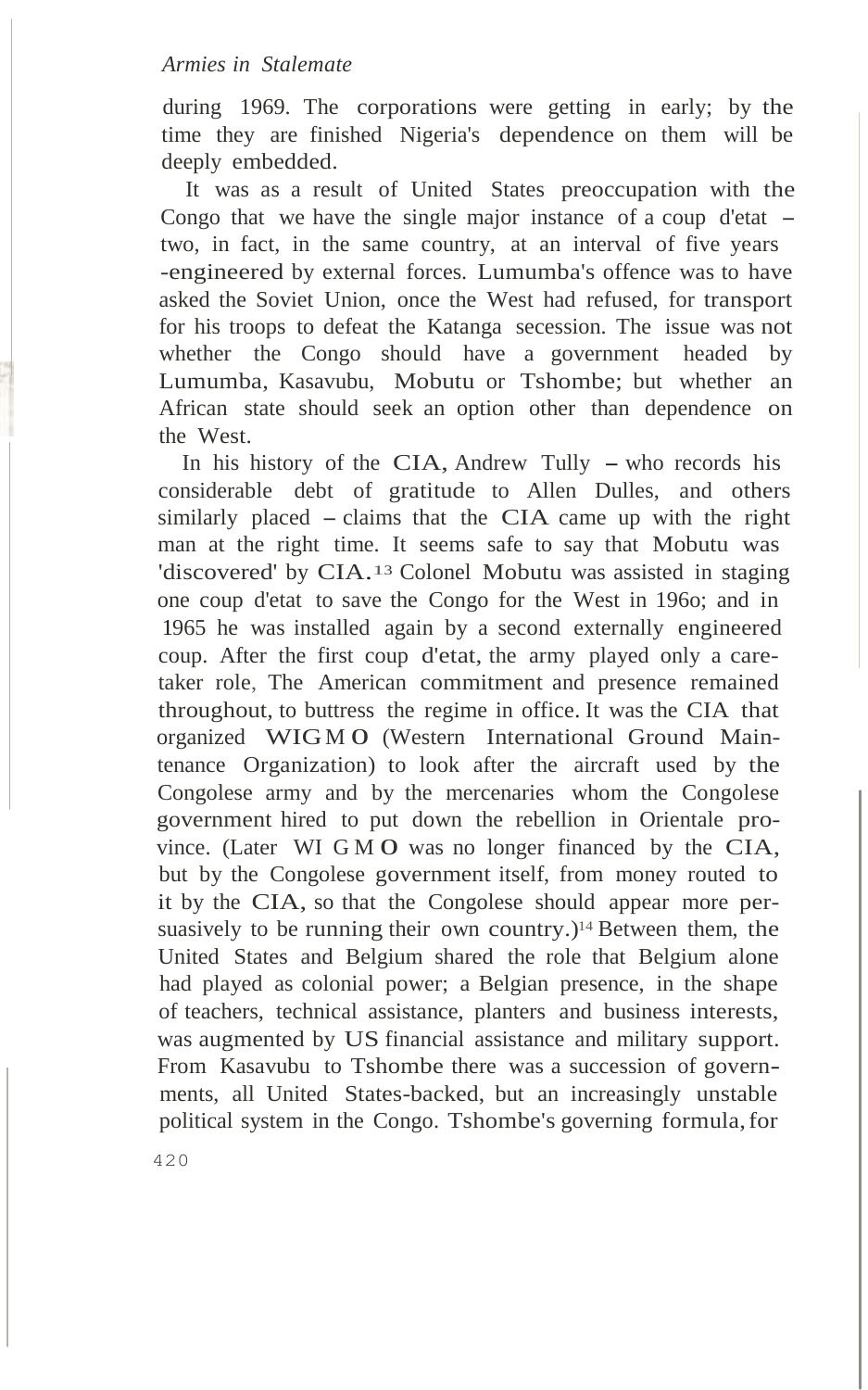during 1969. The corporations were getting in early; by the time they are finished Nigeria's dependence on them will be deeply embedded.

It was as a result of United States preoccupation with the Congo that we have the single major instance of a coup d'etat  $$ two, in fact, in the same country, at an interval of five years -engineered by external forces. Lumumba's offence was to have asked the Soviet Union, once the West had refused, for transport for his troops to defeat the Katanga secession. The issue was not whether the Congo should have a government headed by Lumumba, Kasavubu, Mobutu or Tshombe; but whether an African state should seek an option other than dependence on the West.

In his history of the CIA, Andrew Tully – who records his considerable debt of gratitude to Allen Dulles, and others similarly placed – claims that the CIA came up with the right man at the right time. It seems safe to say that Mobutu was 'discovered' by CIA. 13 Colonel Mobutu was assisted in staging one coup d'etat to save the Congo for the West in 196o; and in 1965 he was installed again by a second externally engineered coup. After the first coup d'etat, the army played only a caretaker role, The American commitment and presence remained throughout, to buttress the regime in office. It was the CIA that organized WIGM 0 (Western International Ground Maintenance Organization) to look after the aircraft used by the Congolese army and by the mercenaries whom the Congolese government hired to put down the rebellion in Orientale province. (Later WI GMO was no longer financed by the CIA, but by the Congolese government itself, from money routed to it by the CIA, so that the Congolese should appear more persuasively to be running their own country.)<sup>14</sup> Between them, the United States and Belgium shared the role that Belgium alone had played as colonial power; a Belgian presence, in the shape of teachers, technical assistance, planters and business interests, was augmented by US financial assistance and military support. From Kasavubu to Tshombe there was a succession of governments, all United States-backed, but an increasingly unstable political system in the Congo. Tshombe's governing formula,for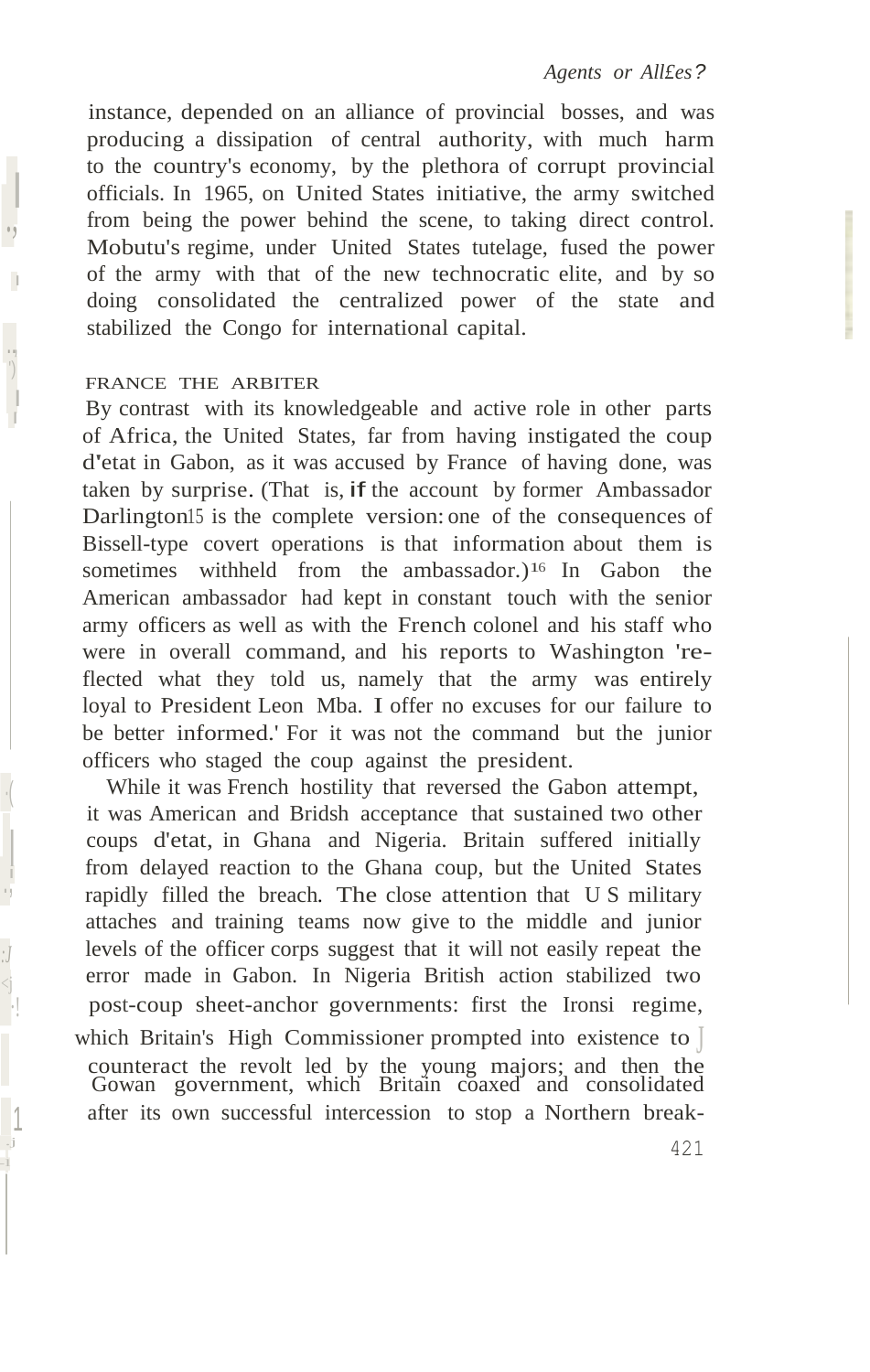instance, depended on an alliance of provincial bosses, and was producing a dissipation of central authority, with much harm to the country's economy, by the plethora of corrupt provincial officials. In 1965, on United States initiative, the army switched from being the power behind the scene, to taking direct control. Mobutu's regime, under United States tutelage, fused the power of the army with that of the new technocratic elite, and by so doing consolidated the centralized power of the state and stabilized the Congo for international capital.

#### FRANCE THE ARBITER

I .,

I

..,

I I

·(

I ., I

*:J* <j

1

-l

By contrast with its knowledgeable and active role in other parts of Africa, the United States, far from having instigated the coup d'etat in Gabon, as it was accused by France of having done, was taken by surprise. (That is, if the account by former Ambassador Darlington15 is the complete version: one of the consequences of Bissell-type covert operations is that information about them is sometimes withheld from the ambassador.) 16 In Gabon the American ambassador had kept in constant touch with the senior army officers as well as with the French colonel and his staff who were in overall command, and his reports to Washington 'reflected what they told us, namely that the army was entirely loyal to President Leon Mba. I offer no excuses for our failure to be better informed.' For it was not the command but the junior officers who staged the coup against the president.

While it was French hostility that reversed the Gabon attempt, it was American and Bridsh acceptance that sustained two other coups d'etat, in Ghana and Nigeria. Britain suffered initially from delayed reaction to the Ghana coup, but the United States rapidly filled the breach. The close attention that U S military attaches and training teams now give to the middle and junior levels of the officer corps suggest that it will not easily repeat the error made in Gabon. In Nigeria British action stabilized two post-coup sheet-anchor governments: first the Ironsi regime, which Britain's High Commissioner prompted into existence to | counteract the revolt led by the young majors; and then the Gowan government, which Britain coaxed and consolidated after its own successful intercession to stop a Northern break-  $\frac{1}{2}$  421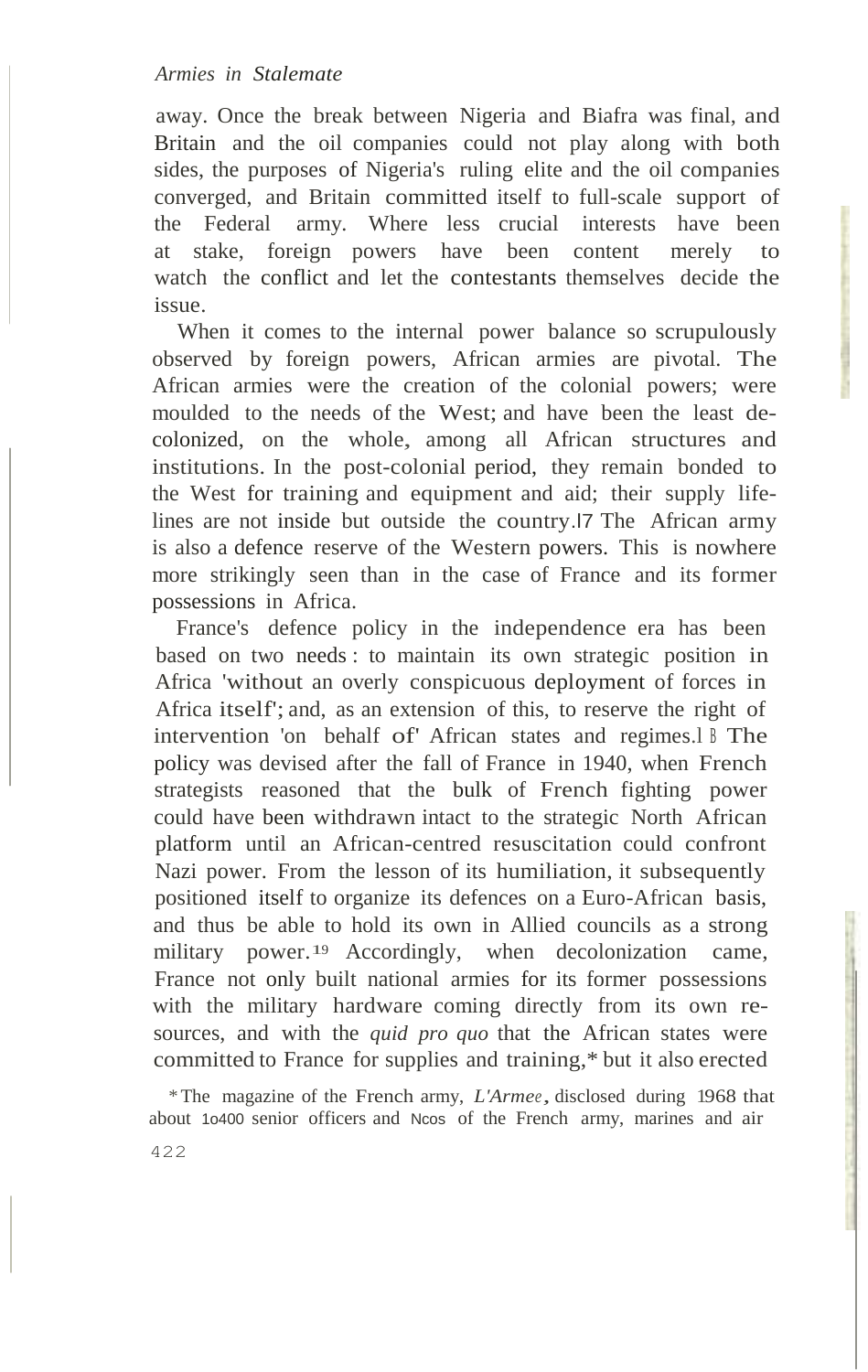away. Once the break between Nigeria and Biafra was final, and Britain and the oil companies could not play along with both sides, the purposes of Nigeria's ruling elite and the oil companies converged, and Britain committed itself to full-scale support of the Federal army. Where less crucial interests have been at stake, foreign powers have been content merely to watch the conflict and let the contestants themselves decide the issue.

When it comes to the internal power balance so scrupulously observed by foreign powers, African armies are pivotal. The African armies were the creation of the colonial powers; were moulded to the needs of the West; and have been the least decolonized, on the whole, among all African structures and institutions. In the post-colonial period, they remain bonded to the West for training and equipment and aid; their supply lifelines are not inside but outside the country.l7 The African army is also a defence reserve of the Western powers. This is nowhere more strikingly seen than in the case of France and its former possessions in Africa.

France's defence policy in the independence era has been based on two needs : to maintain its own strategic position in Africa 'without an overly conspicuous deployment of forces in Africa itself'; and, as an extension of this, to reserve the right of intervention 'on behalf of' African states and regimes.l B The policy was devised after the fall of France in 1940, when French strategists reasoned that the bulk of French fighting power could have been withdrawn intact to the strategic North African platform until an African-centred resuscitation could confront Nazi power. From the lesson of its humiliation, it subsequently positioned itself to organize its defences on a Euro-African basis, and thus be able to hold its own in Allied councils as a strong military power.<sup>19</sup> Accordingly, when decolonization came, France not only built national armies for its former possessions with the military hardware coming directly from its own resources, and with the *quid pro quo* that the African states were committed to France for supplies and training,\* but it also erected

\*The magazine of the French army, *L'Armee,* disclosed during 1968 that about 1o400 senior officers and Ncos of the French army, marines and air 422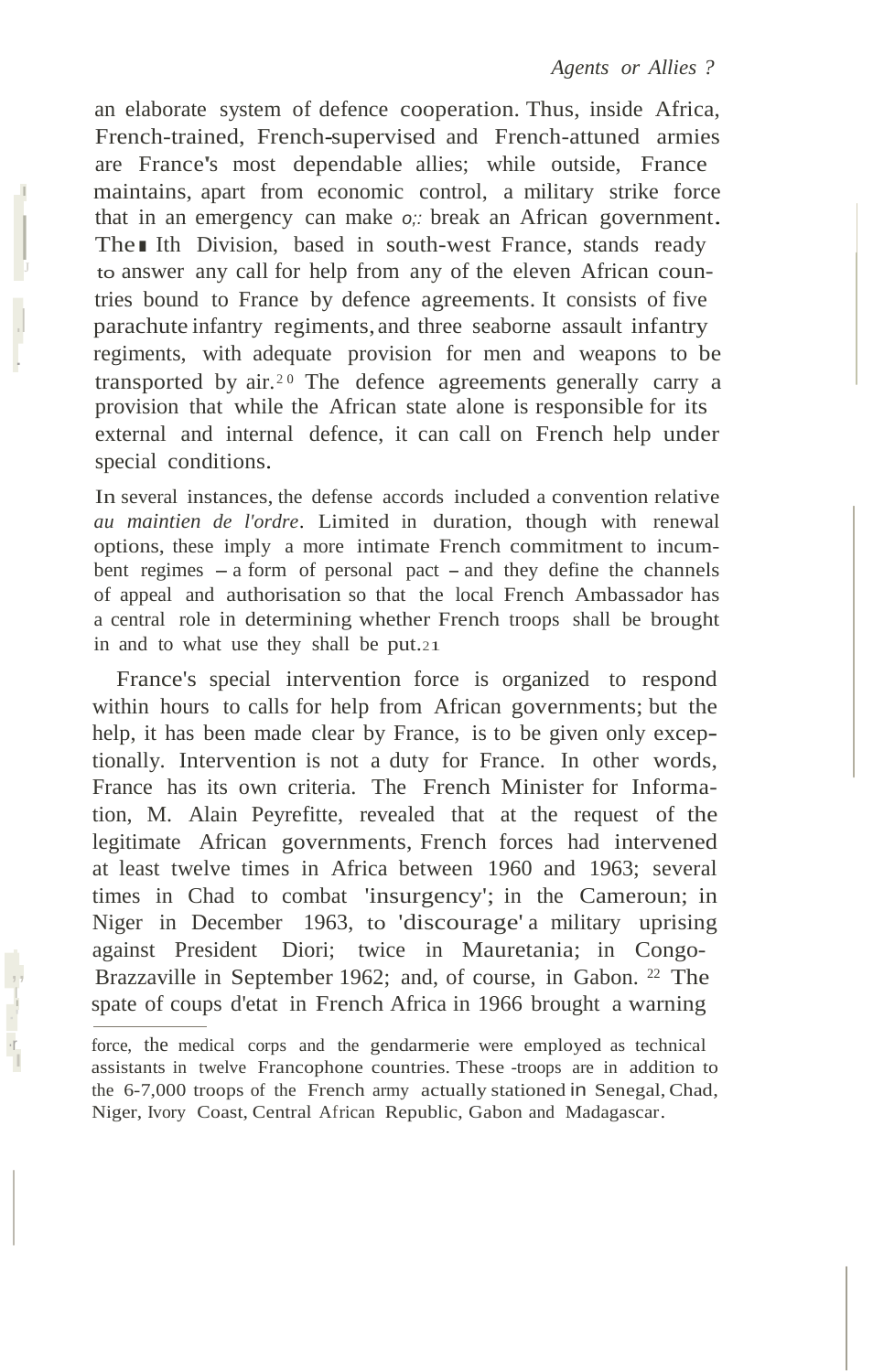an elaborate system of defence cooperation. Thus, inside Africa, French-trained, French-supervised and French-attuned armies are France's most dependable allies; while outside, France maintains, apart from economic control, a military strike force that in an emergency can make *o*; break an African government.<br>The ∎Ith Division, based in south-west France, stands ready to answer any call for help from any of the eleven African countries bound to France by defence agreements. It consists of five parachute infantry regiments, and three seaborne assault infantry regiments, with adequate provision for men and weapons to be transported by air.<sup>20</sup> The defence agreements generally carry a provision that while the African state alone is responsible for its external and internal defence, it can call on French help under special conditions.

In several instances, the defense accords included a convention relative *au maintien de l'ordre.* Limited in duration, though with renewal options, these imply a more intimate French commitment to incumbent regimes - a form of personal pact - and they define the channels of appeal and authorisation so that the local French Ambassador has a central role in determining whether French troops shall be brought in and to what use they shall be put.21

France's special intervention force is organized to respond within hours to calls for help from African governments; but the help, it has been made clear by France, is to be given only exceptionally. Intervention is not a duty for France. In other words, France has its own criteria. The French Minister for Information, M. Alain Peyrefitte, revealed that at the request of the legitimate African governments, French forces had intervened at least twelve times in Africa between 1960 and 1963; several times in Chad to combat 'insurgency'; in the Cameroun; in Niger in December 1963, to 'discourage' a military uprising against President Diori; twice in Mauretania; in Congo- Brazzaville in September 1962; and, of course, in Gabon. <sup>22</sup> The spate of coups d'etat in French Africa in 1966 brought a warning

I

.

force, the medical corps and the gendarmerie were employed as technical assistants in twelve Francophone countries. These -troops are in addition to the 6-7,000 troops of the French army actually stationed in Senegal, Chad, Niger, Ivory Coast, Central African Republic, Gabon and Madagascar.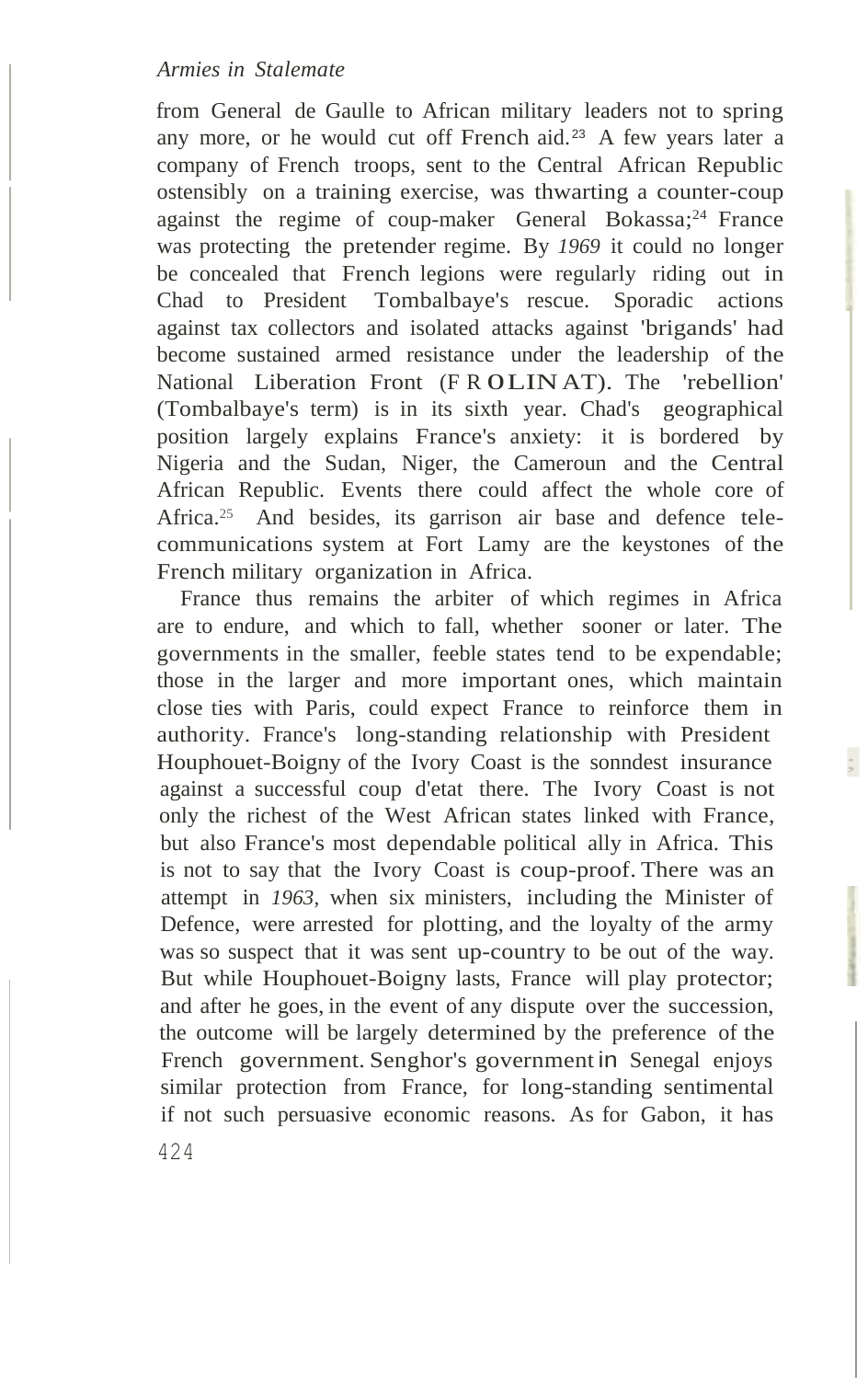from General de Gaulle to African military leaders not to spring any more, or he would cut off French aid.<sup>23</sup> A few years later a company of French troops, sent to the Central African Republic ostensibly on a training exercise, was thwarting a counter-coup against the regime of coup-maker General Bokassa;<sup>24</sup> France was protecting the pretender regime. By *1969* it could no longer be concealed that French legions were regularly riding out in Chad to President Tombalbaye's rescue. Sporadic actions against tax collectors and isolated attacks against 'brigands' had become sustained armed resistance under the leadership of the National Liberation Front (F <sup>R</sup> 0LINAT). The 'rebellion' (Tombalbaye's term) is in its sixth year. Chad's geographical position largely explains France's anxiety: it is bordered by Nigeria and the Sudan, Niger, the Cameroun and the Central African Republic. Events there could affect the whole core of Africa.<sup>25</sup> And besides, its garrison air base and defence telecommunications system at Fort Lamy are the keystones of the French military organization in Africa.

France thus remains the arbiter of which regimes in Africa are to endure, and which to fall, whether sooner or later. The governments in the smaller, feeble states tend to be expendable; those in the larger and more important ones, which maintain close ties with Paris, could expect France to reinforce them in authority. France's long-standing relationship with President Houphouet-Boigny of the Ivory Coast is the sonndest insurance ; against a successful coup d'etat there. The Ivory Coast is not only the richest of the West African states linked with France, but also France's most dependable political ally in Africa. This is not to say that the Ivory Coast is coup-proof. There was an attempt in 1963, when six ministers, including the Minister of Defence, were arrested for plotting, and the loyalty of the army was so suspect that it was sent up-country to be out of the way. But while Houphouet-Boigny lasts, France will play protector; and after he goes, in the event of any dispute over the succession, the outcome will be largely determined by the preference of the French government. Senghor's government in Senegal enjoys similar protection from France, for long-standing sentimental if not such persuasive economic reasons. As for Gabon, it has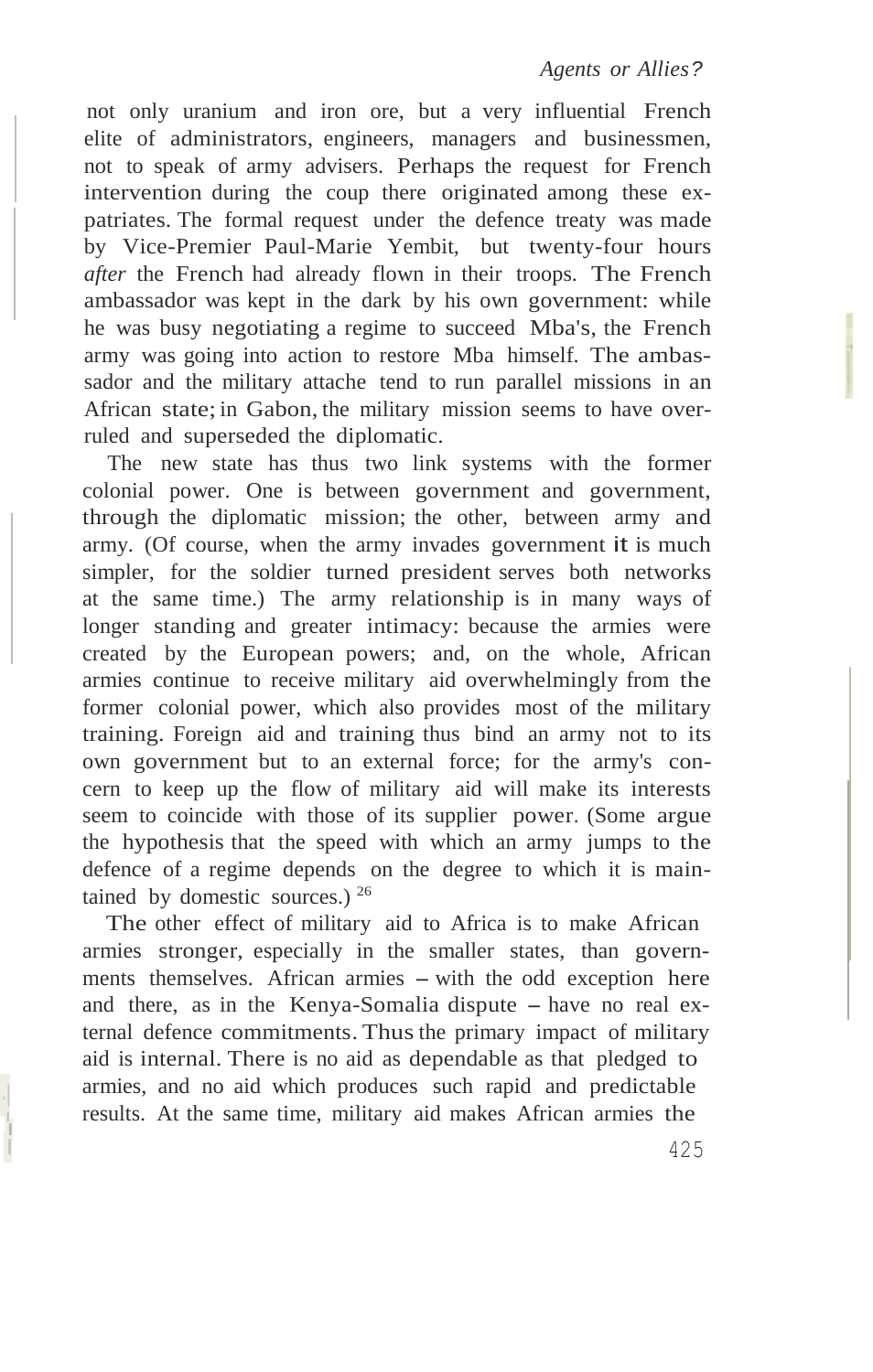not only uranium and iron ore, but a very influential French elite of administrators, engineers, managers and businessmen, not to speak of army advisers. Perhaps the request for French intervention during the coup there originated among these expatriates. The formal request under the defence treaty was made by Vice-Premier Paul-Marie Yembit, but twenty-four hours *after* the French had already flown in their troops. The French ambassador was kept in the dark by his own government: while he was busy negotiating a regime to succeed Mba's, the French army was going into action to restore Mba himself. The ambassador and the military attache tend to run parallel missions in an African state; in Gabon, the military mission seems to have overruled and superseded the diplomatic.

The new state has thus two link systems with the former colonial power. One is between government and government, through the diplomatic mission; the other, between army and army. (Of course, when the army invades government it is much simpler, for the soldier turned president serves both networks at the same time.) The army relationship is in many ways of longer standing and greater intimacy: because the armies were created by the European powers; and, on the whole, African armies continue to receive military aid overwhelmingly from the former colonial power, which also provides most of the military training. Foreign aid and training thus bind an army not to its own government but to an external force; for the army's concern to keep up the flow of military aid will make its interests seem to coincide with those of its supplier power. (Some argue the hypothesis that the speed with which an army jumps to the defence of a regime depends on the degree to which it is maintained by domestic sources.)  $26$ 

The other effect of military aid to Africa is to make African armies stronger, especially in the smaller states, than governments themselves. African armies - with the odd exception here and there, as in the Kenya-Somalia dispute – have no real external defence commitments. Thus the primary impact of military aid is internal. There is no aid as dependable as that pledged to armies, and no aid which produces such rapid and predictable results. At the same time, military aid makes African armies the

I

 $\frac{1}{2}$  425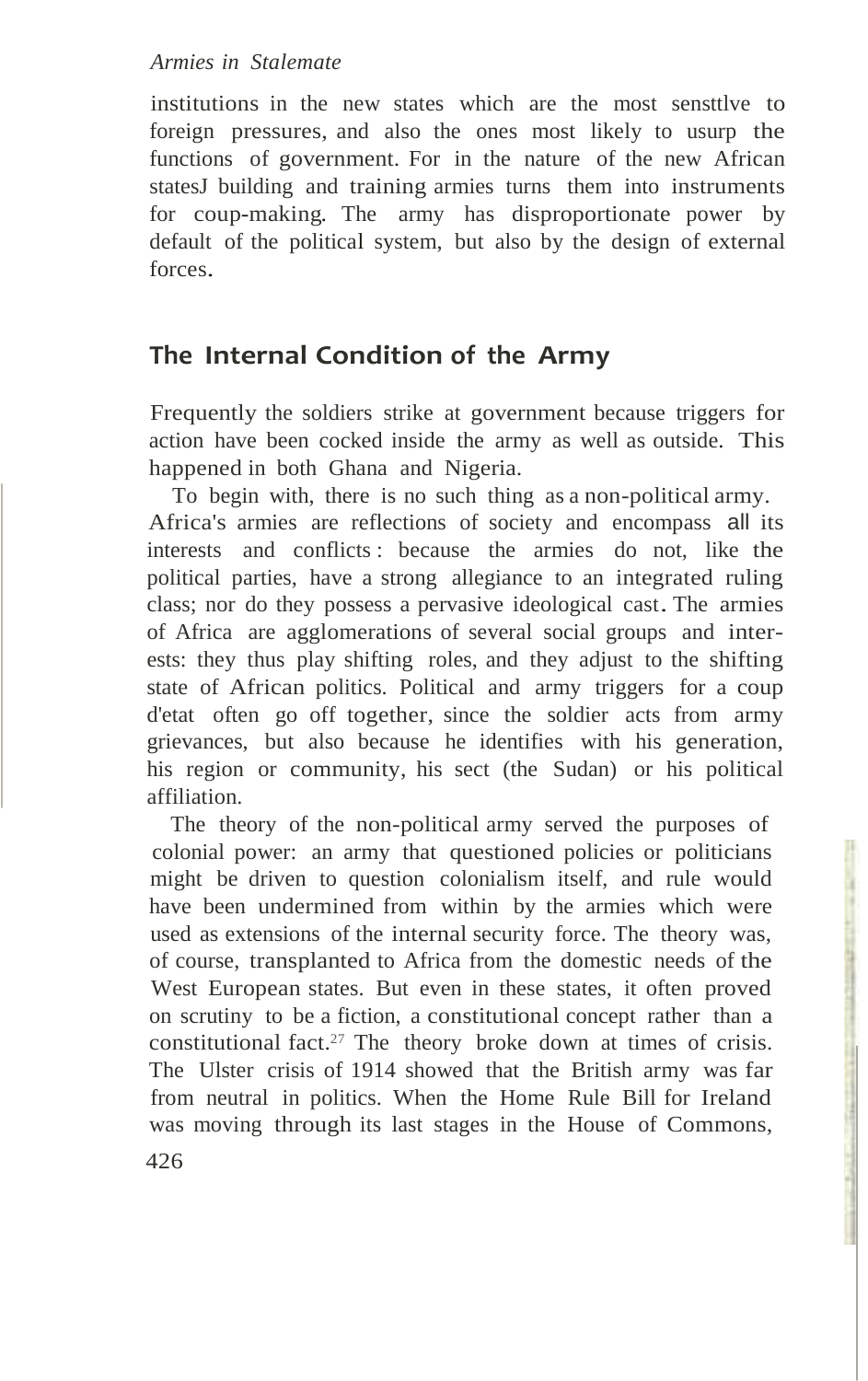institutions in the new states which are the most sensttlve to foreign pressures, and also the ones most likely to usurp the functions of government. For in the nature of the new African statesJ building and training armies turns them into instruments for coup-making. The army has disproportionate power by default of the political system, but also by the design of external forces.

# **The Internal Condition of the Army**

Frequently the soldiers strike at government because triggers for action have been cocked inside the army as well as outside. This happened in both Ghana and Nigeria.

To begin with, there is no such thing as a non-political army. Africa's armies are reflections of society and encompass all its interests and conflicts : because the armies do not, like the political parties, have a strong allegiance to an integrated ruling class; nor do they possess a pervasive ideological cast. The armies of Africa are agglomerations of several social groups and interests: they thus play shifting roles, and they adjust to the shifting state of African politics. Political and army triggers for a coup d'etat often go off together, since the soldier acts from army grievances, but also because he identifies with his generation, his region or community, his sect (the Sudan) or his political affiliation.

The theory of the non-political army served the purposes of colonial power: an army that questioned policies or politicians might be driven to question colonialism itself, and rule would have been undermined from within by the armies which were used as extensions of the internal security force. The theory was, of course, transplanted to Africa from the domestic needs of the West European states. But even in these states, it often proved on scrutiny to be a fiction, a constitutional concept rather than a constitutional fact.<sup>27</sup> The theory broke down at times of crisis. The Ulster crisis of 1914 showed that the British army was far from neutral in politics. When the Home Rule Bill for Ireland was moving through its last stages in the House of Commons,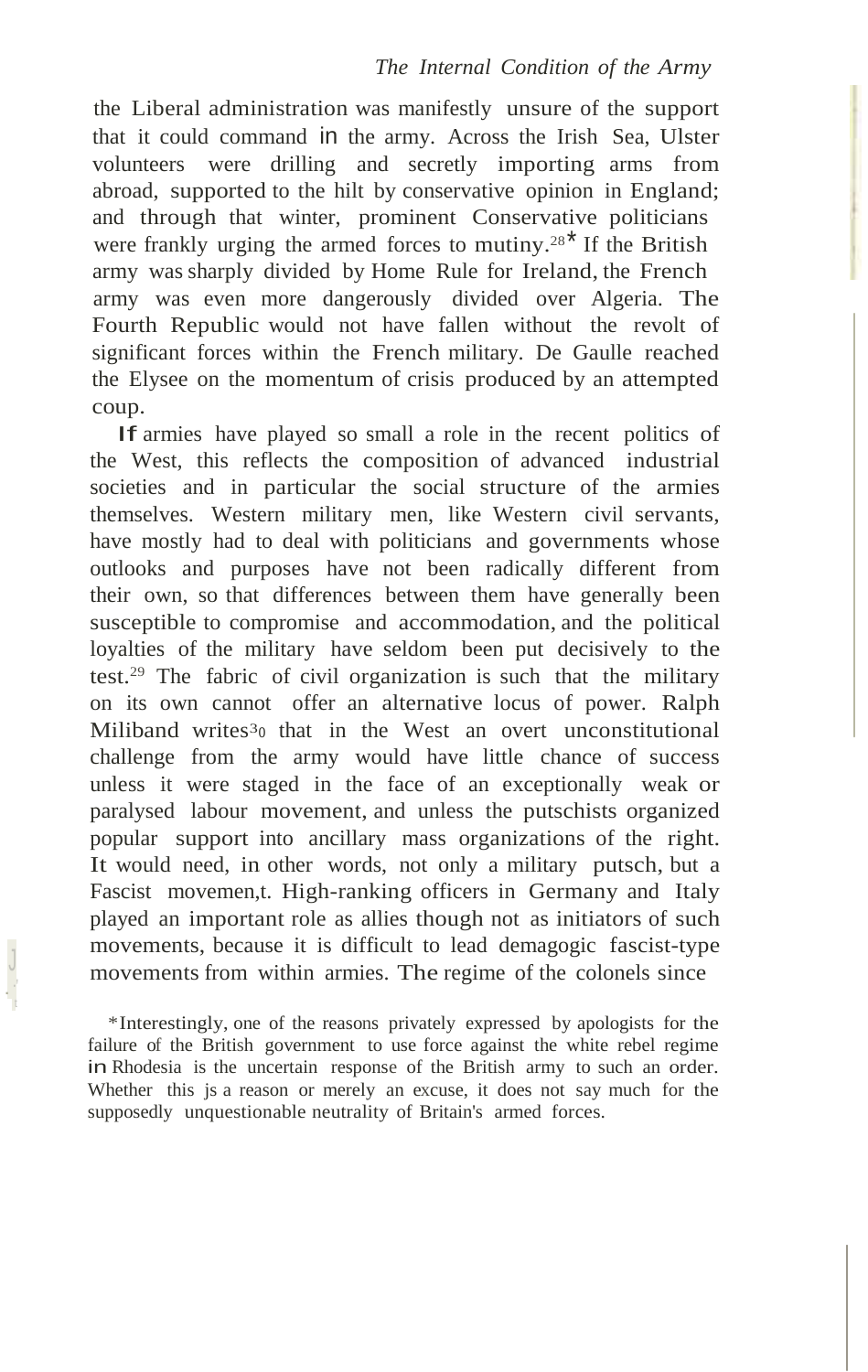the Liberal administration was manifestly unsure of the support that it could command in the army. Across the Irish Sea, Ulster volunteers were drilling and secretly importing arms from abroad, supported to the hilt by conservative opinion in England; and through that winter, prominent Conservative politicians were frankly urging the armed forces to mutiny.<sup>28\*</sup> If the British army was sharply divided by Home Rule for Ireland, the French army was even more dangerously divided over Algeria. The Fourth Republic would not have fallen without the revolt of significant forces within the French military. De Gaulle reached the Elysee on the momentum of crisis produced by an attempted coup.

If armies have played so small <sup>a</sup> role in the recent politics of the West, this reflects the composition of advanced industrial societies and in particular the social structure of the armies themselves. Western military men, like Western civil servants, have mostly had to deal with politicians and governments whose outlooks and purposes have not been radically different from their own, so that differences between them have generally been susceptible to compromise and accommodation, and the political loyalties of the military have seldom been put decisively to the test.<sup>29</sup> The fabric of civil organization is such that the military on its own cannot offer an alternative locus of power. Ralph Miliband writes 3<sup>o</sup> that in the West an overt unconstitutional challenge from the army would have little chance of success unless it were staged in the face of an exceptionally weak or paralysed labour movement, and unless the putschists organized popular support into ancillary mass organizations of the right. It would need, in other words, not only a military putsch, but a Fascist movemen,t. High-ranking officers in Germany and Italy played an important role as allies though not as initiators of such movements, because it is difficult to lead demagogic fascist-type movements from within armies. The regime of the colonels since

\*Interestingly, one of the reasons privately expressed by apologists for the failure of the British government to use force against the white rebel regime in Rhodesia is the uncertain response of the British army to such an order. Whether this js a reason or merely an excuse, it does not say much for the supposedly unquestionable neutrality of Britain's armed forces.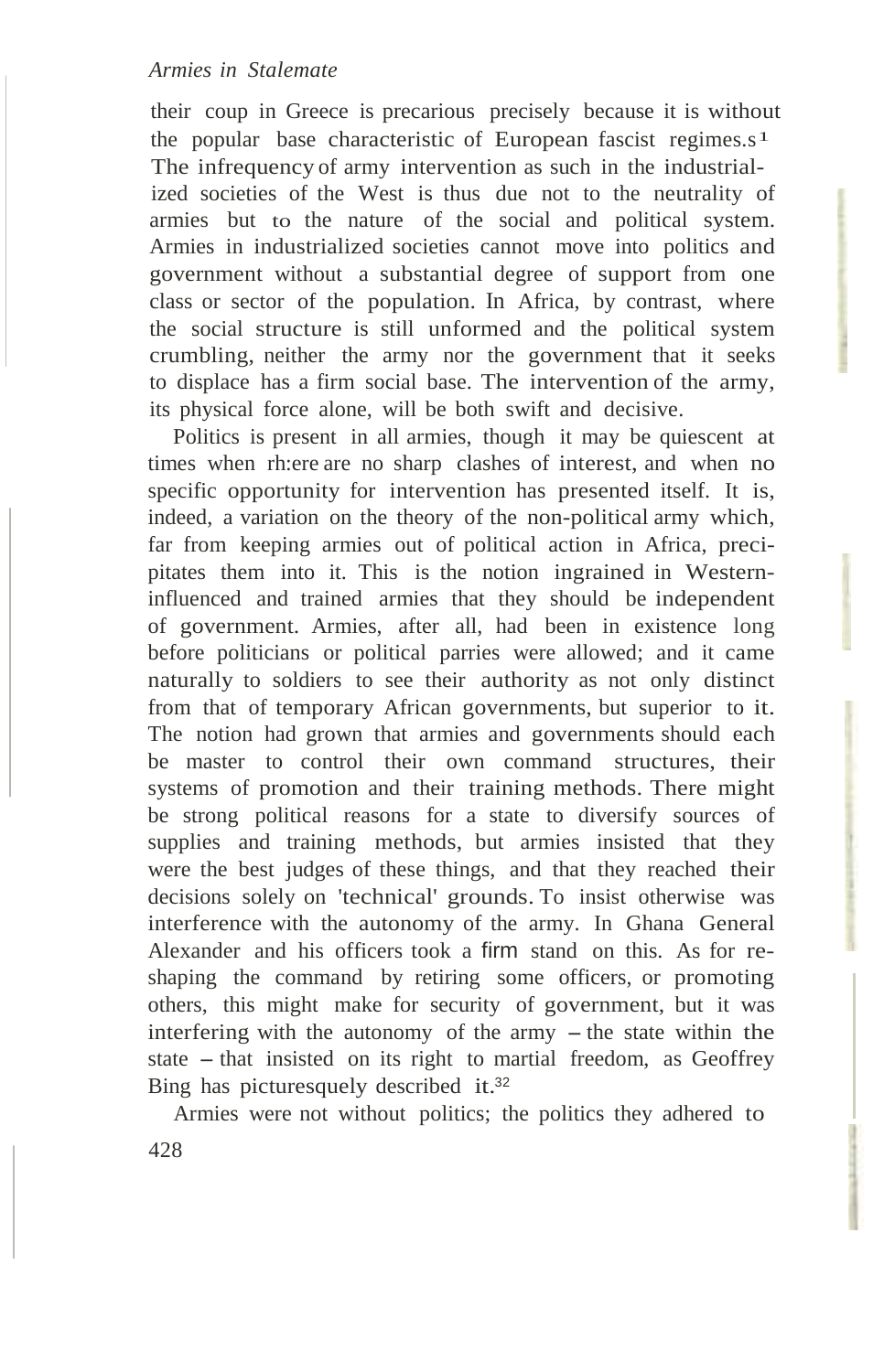their coup in Greece is precarious precisely because it is without the popular base characteristic of European fascist regimes.s 1 The infrequency of army intervention as such in the industrialized societies of the West is thus due not to the neutrality of armies but to the nature of the social and political system. Armies in industrialized societies cannot move into politics and government without a substantial degree of support from one class or sector of the population. In Africa, by contrast, where the social structure is still unformed and the political system crumbling, neither the army nor the government that it seeks to displace has a firm social base. The intervention of the army, its physical force alone, will be both swift and decisive.

Politics is present in all armies, though it may be quiescent at times when rh:ere are no sharp clashes of interest, and when no specific opportunity for intervention has presented itself. It is, indeed, a variation on the theory of the non-political army which, far from keeping armies out of political action in Africa, precipitates them into it. This is the notion ingrained in Westerninfluenced and trained armies that they should be independent of government. Armies, after all, had been in existence long before politicians or political parries were allowed; and it came naturally to soldiers to see their authority as not only distinct from that of temporary African governments, but superior to it. The notion had grown that armies and governments should each be master to control their own command structures, their systems of promotion and their training methods. There might be strong political reasons for a state to diversify sources of supplies and training methods, but armies insisted that they were the best judges of these things, and that they reached their decisions solely on 'technical' grounds. To insist otherwise was interference with the autonomy of the army. In Ghana General Alexander and his officers took a firm stand on this. As for reshaping the command by retiring some officers, or promoting others, this might make for security of government, but it was interfering with the autonomy of the army  $-$  the state within the state – that insisted on its right to martial freedom, as Geoffrey Bing has picturesquely described it. 32

Armies were not without politics; the politics they adhered to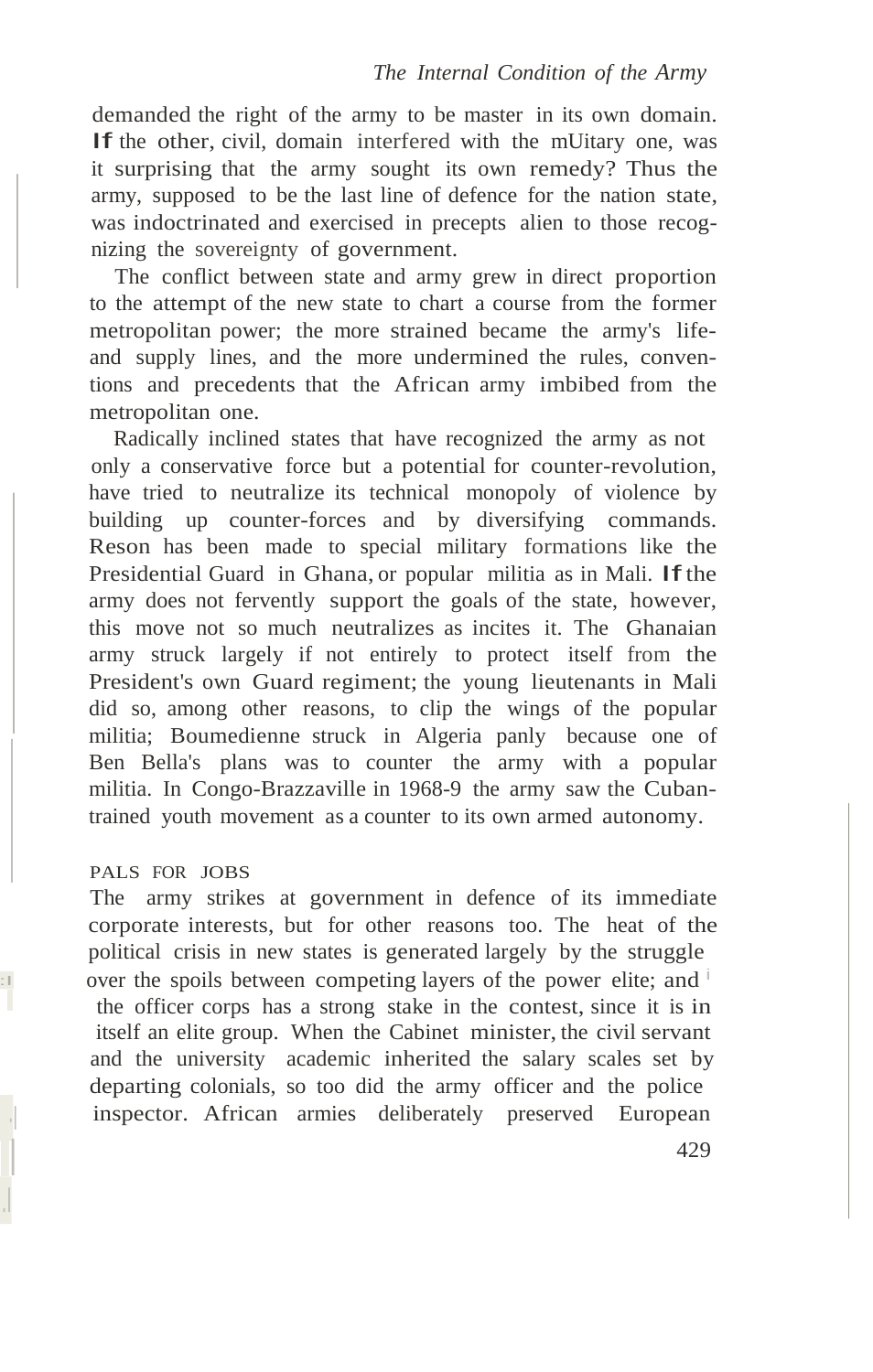demanded the right of the army to be master in its own domain. If the other, civil, domain interfered with the mUitary one, was it surprising that the army sought its own remedy? Thus the army, supposed to be the last line of defence for the nation state, was indoctrinated and exercised in precepts alien to those recognizing the sovereignty of government.

The conflict between state and army grew in direct proportion to the attempt of the new state to chart a course from the former metropolitan power; the more strained became the army's lifeand supply lines, and the more undermined the rules, conventions and precedents that the African army imbibed from the metropolitan one.

Radically inclined states that have recognized the army as not only a conservative force but a potential for counter-revolution, have tried to neutralize its technical monopoly of violence by building up counter-forces and by diversifying commands. Reson has been made to special military formations like the Presidential Guard in Ghana, or popular militia as in Mali. If the army does not fervently support the goals of the state, however, this move not so much neutralizes as incites it. The Ghanaian army struck largely if not entirely to protect itself from the President's own Guard regiment; the young lieutenants in Mali did so, among other reasons, to clip the wings of the popular militia; Boumedienne struck in Algeria panly because one of Ben Bella's plans was to counter the army with a popular militia. In Congo-Brazzaville in 1968-9 the army saw the Cubantrained youth movement as a counter to its own armed autonomy.

#### PALS FOR JOBS

I

The army strikes at government in defence of its immediate corporate interests, but for other reasons too. The heat of the political crisis in new states is generated largely by the struggle over the spoils between competing layers of the power elite; and  $\mathbf{i}$ the officer corps has a strong stake in the contest, since it is in itself an elite group. When the Cabinet minister, the civil servant and the university academic inherited the salary scales set by departing colonials, so too did the army officer and the police inspector. African armies deliberately preserved European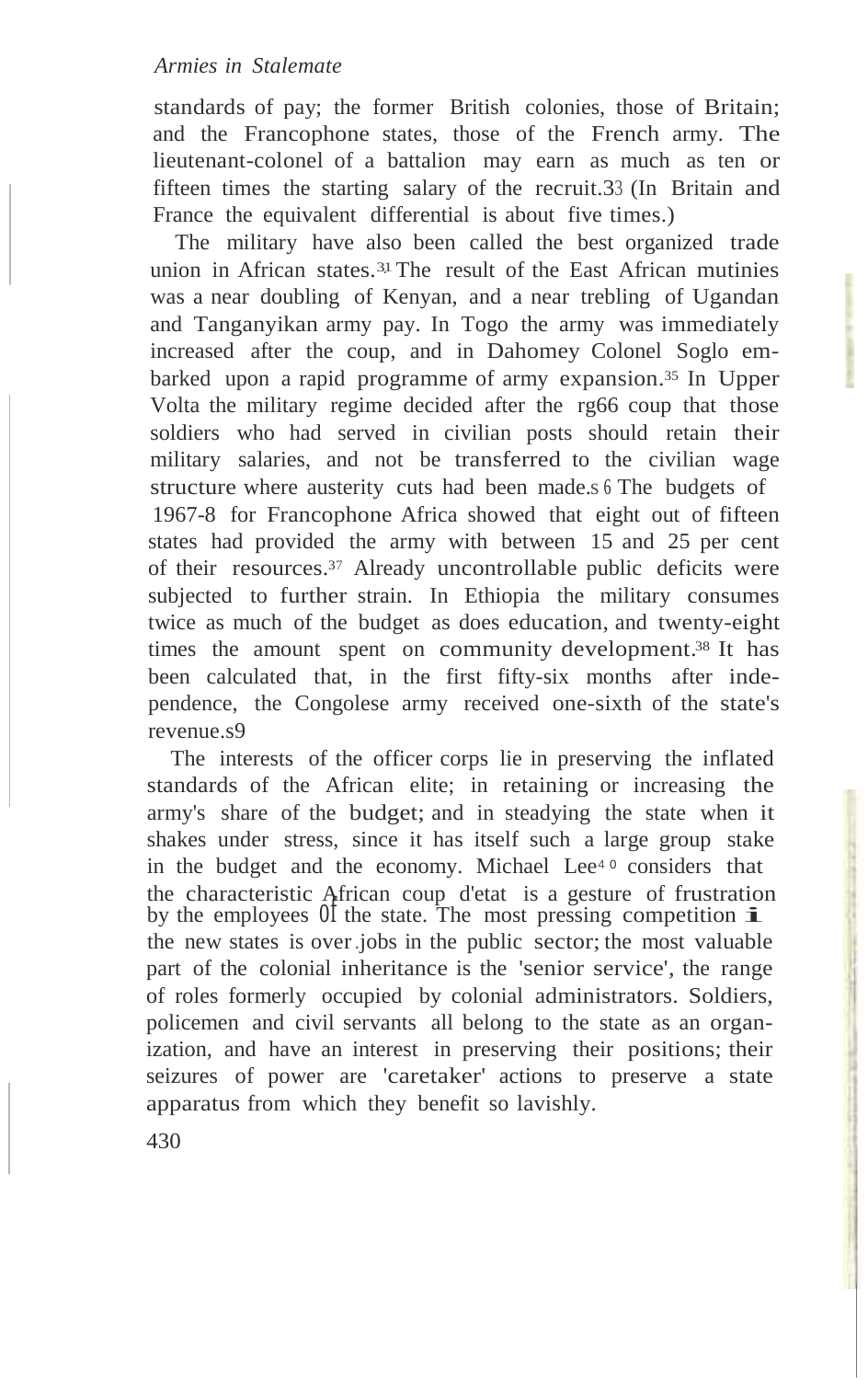standards of pay; the former British colonies, those of Britain; and the Francophone states, those of the French army. The lieutenant-colonel of a battalion may earn as much as ten or fifteen times the starting salary of the recruit.33 (In Britain and France the equivalent differential is about five times.)

The military have also been called the best organized trade union in African states.<sup>31</sup> The result of the East African mutinies was a near doubling of Kenyan, and a near trebling of Ugandan and Tanganyikan army pay. In Togo the army was immediately increased after the coup, and in Dahomey Colonel Soglo embarked upon a rapid programme of army expansion. <sup>35</sup> In Upper Volta the military regime decided after the rg66 coup that those soldiers who had served in civilian posts should retain their military salaries, and not be transferred to the civilian wage structure where austerity cuts had been made.s <sup>6</sup> The budgets of 1967-8 for Francophone Africa showed that eight out of fifteen states had provided the army with between 15 and 25 per cent of their resources. <sup>37</sup>Already uncontrollable public deficits were subjected to further strain. In Ethiopia the military consumes twice as much of the budget as does education, and twenty-eight times the amount spent on community development. <sup>38</sup> It has been calculated that, in the first fifty-six months after independence, the Congolese army received one-sixth of the state's revenue s9

The interests of the officer corps lie in preserving the inflated standards of the African elite; in retaining or increasing the army's share of the budget; and in steadying the state when it shakes under stress, since it has itself such a large group stake in the budget and the economy. Michael Lee<sup> $40$ </sup> considers that the characteristic African coup d'etat is a gesture of frustration In the budget and the economy. Michael Lee<sup>40</sup> considers that<br>the characteristic African coup d'etat is a gesture of frustration<br>by the employees 01 the state. The most pressing competition  $\vec{I}$ the new states is over.jobs in the public sector; the most valuable part of the colonial inheritance is the 'senior service', the range of roles formerly occupied by colonial administrators. Soldiers, policemen and civil servants all belong to the state as an organization, and have an interest in preserving their positions; their seizures of power are 'caretaker' actions to preserve a state apparatus from which they benefit so lavishly.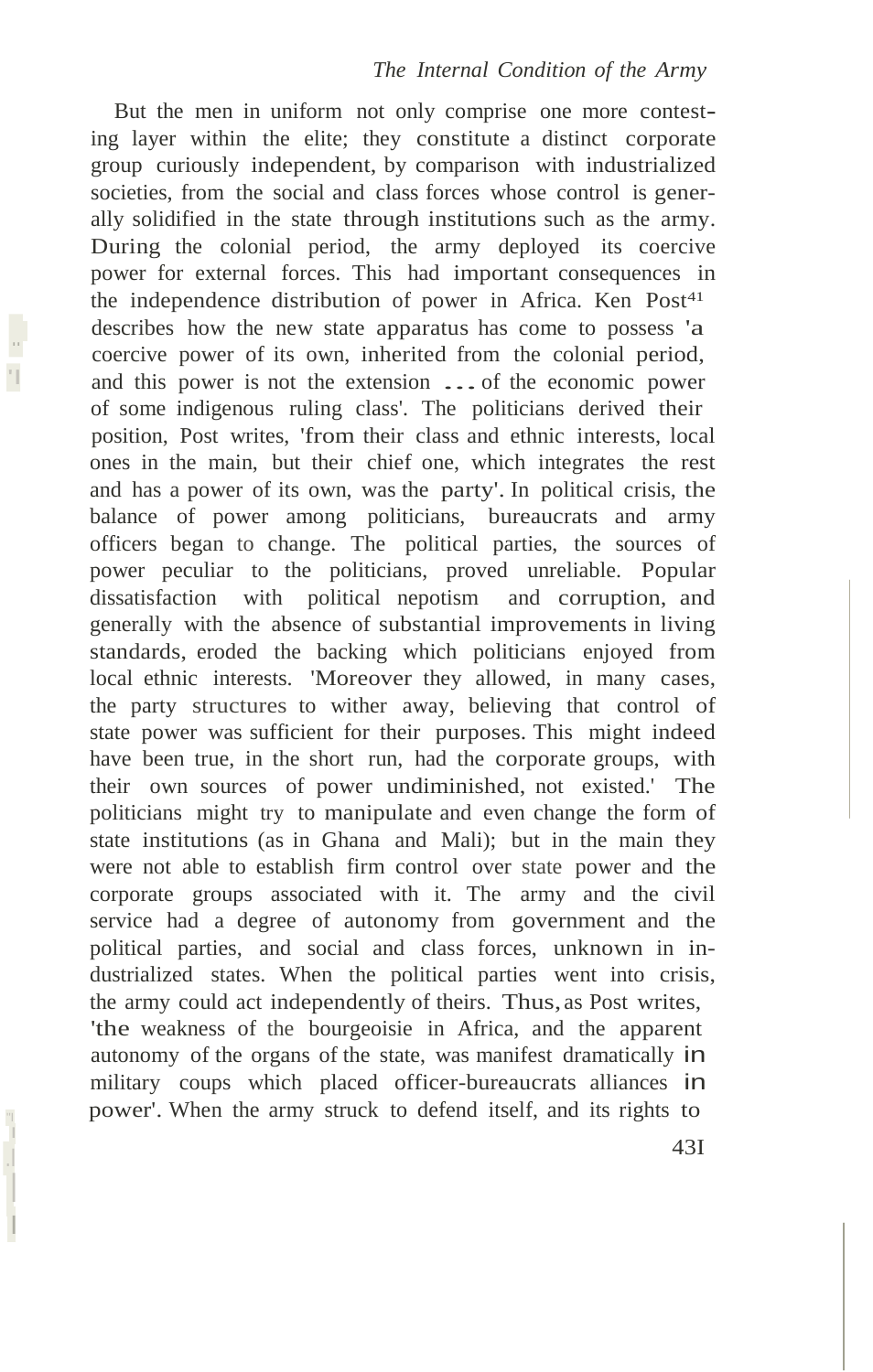But the men in uniform not only comprise one more contesting layer within the elite; they constitute a distinct corporate group curiously independent, by comparison with industrialized societies, from the social and class forces whose control is generally solidified in the state through institutions such as the army. During the colonial period, the army deployed its coercive power for external forces. This had important consequences in the independence distribution of power in Africa. Ken Post<sup>41</sup> describes how the new state apparatus has come to possess 'a coercive power of its own, inherited from the colonial period, and this power is not the extension ... of the economic power of some indigenous ruling class'. The politicians derived their position, Post writes, 'from their class and ethnic interests, local ones in the main, but their chief one, which integrates the rest and has a power of its own, was the party'. In political crisis, the balance of power among politicians, bureaucrats and army officers began to change. The political parties, the sources of power peculiar to the politicians, proved unreliable. Popular dissatisfaction with political nepotism and corruption, and generally with the absence of substantial improvements in living standards, eroded the backing which politicians enjoyed from local ethnic interests. 'Moreover they allowed, in many cases, the party structures to wither away, believing that control of state power was sufficient for their purposes. This might indeed have been true, in the short run, had the corporate groups, with their own sources of power undiminished, not existed.' The politicians might try to manipulate and even change the form of state institutions (as in Ghana and Mali); but in the main they were not able to establish firm control over state power and the corporate groups associated with it. The army and the civil service had a degree of autonomy from government and the political parties, and social and class forces, unknown in industrialized states. When the political parties went into crisis, the army could act independently of theirs. Thus, as Post writes, 'the weakness of the bourgeoisie in Africa, and the apparent autonomy of the organs of the state, was manifest dramatically in military coups which placed officer-bureaucrats alliances in power'. When the army struck to defend itself, and its rights to

I

I I

 $\overline{\phantom{a}}$  43I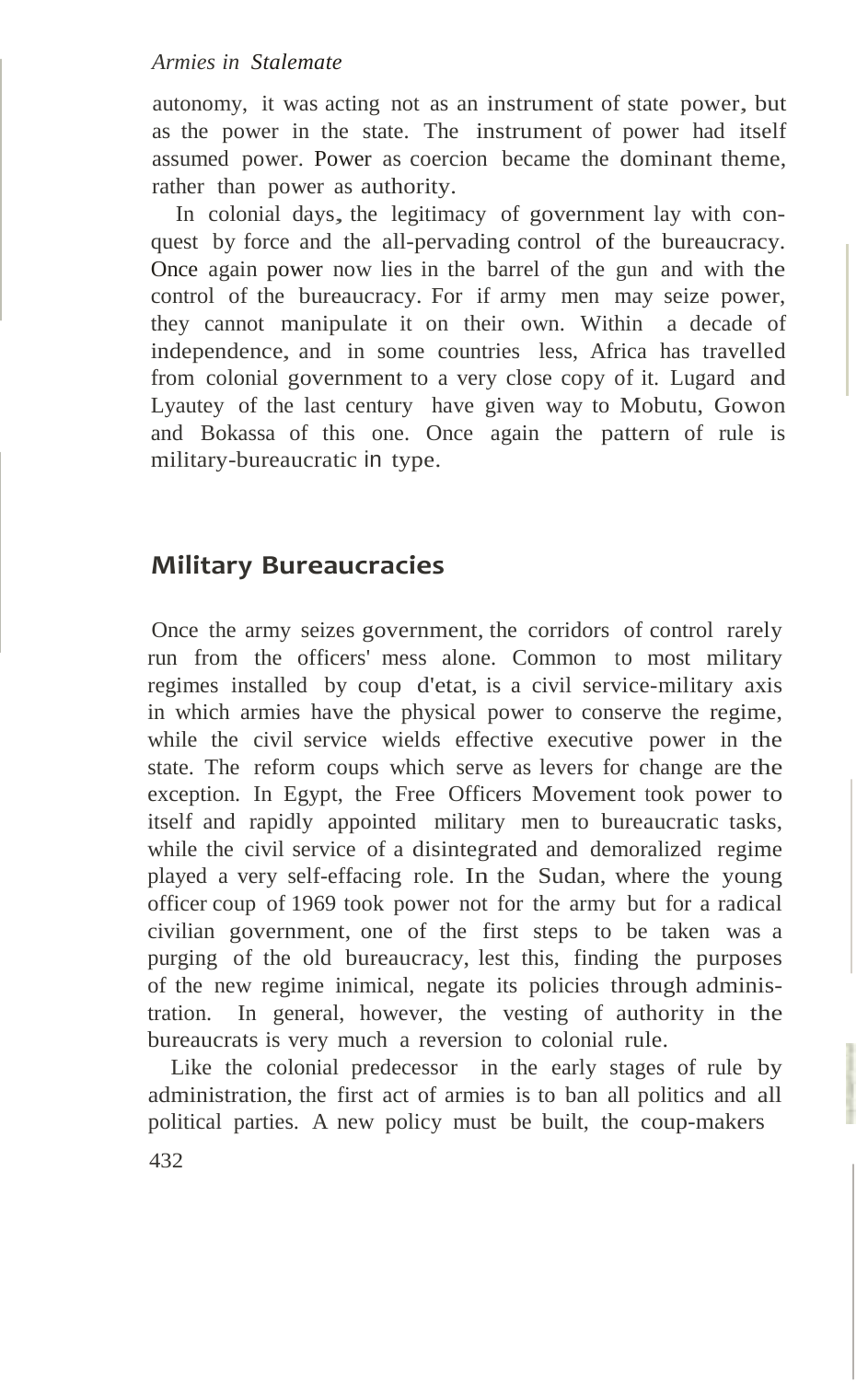autonomy, it was acting not as an instrument of state power, but as the power in the state. The instrument of power had itself assumed power. Power as coercion became the dominant theme, rather than power as authority.

In colonial days, the legitimacy of government lay with conquest by force and the all-pervading control of the bureaucracy. Once again power now lies in the barrel of the gun and with the control of the bureaucracy. For if army men may seize power, they cannot manipulate it on their own. Within a decade of independence, and in some countries less, Africa has travelled from colonial government to a very close copy of it. Lugard and Lyautey of the last century have given way to Mobutu, Gowon and Bokassa of this one. Once again the pattern of rule is military-bureaucratic in type.

# **Military Bureaucracies**

Once the army seizes government, the corridors of control rarely run from the officers' mess alone. Common to most military regimes installed by coup d'etat, is a civil service-military axis in which armies have the physical power to conserve the regime, while the civil service wields effective executive power in the state. The reform coups which serve as levers for change are the exception. In Egypt, the Free Officers Movement took power to itself and rapidly appointed military men to bureaucratic tasks, while the civil service of a disintegrated and demoralized regime played a very self-effacing role. In the Sudan, where the young officer coup of 1969 took power not for the army but for a radical civilian government, one of the first steps to be taken was a purging of the old bureaucracy, lest this, finding the purposes of the new regime inimical, negate its policies through administration. In general, however, the vesting of authority in the bureaucrats is very much a reversion to colonial rule.

Like the colonial predecessor in the early stages of rule by administration, the first act of armies is to ban all politics and all political parties. A new policy must be built, the coup-makers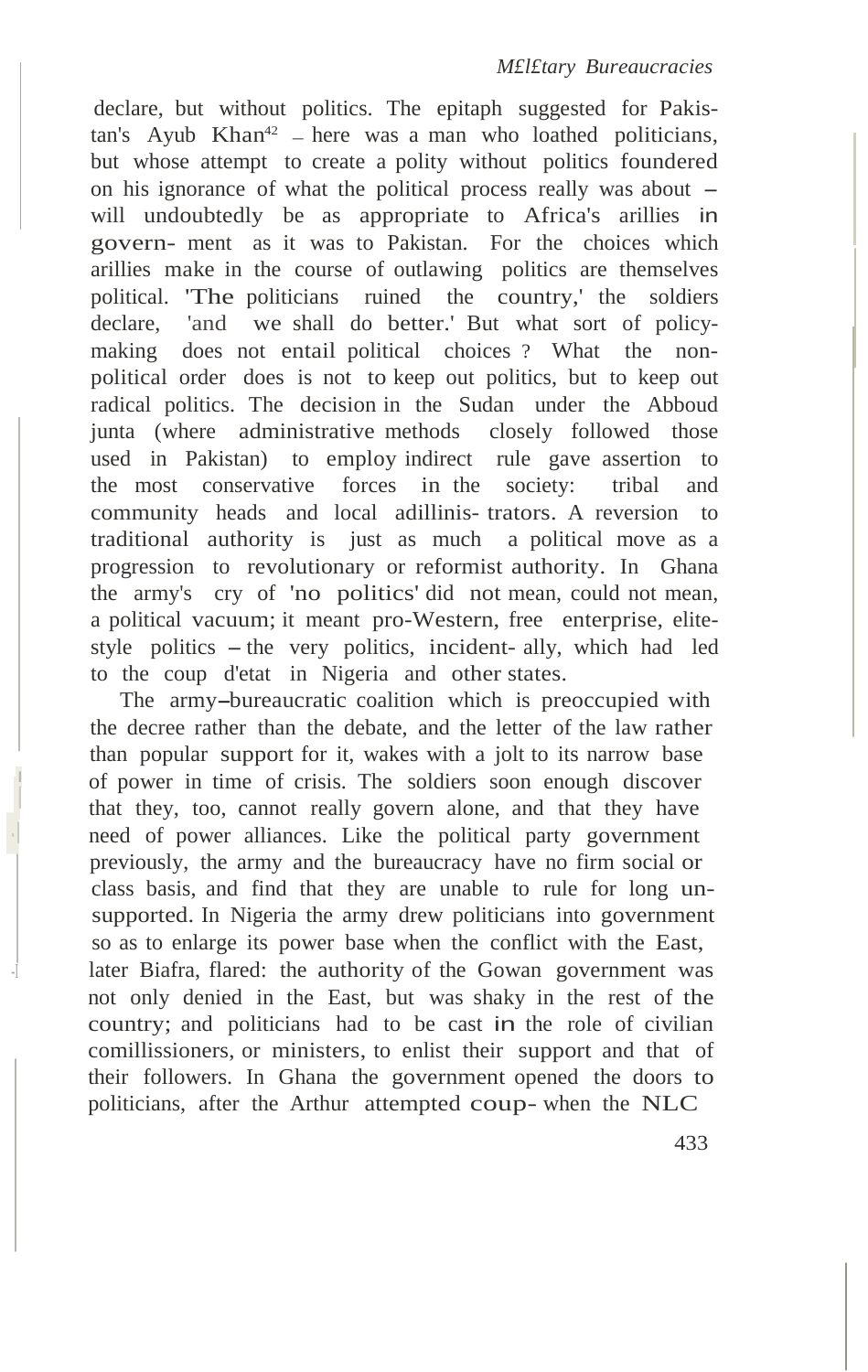declare, but without politics. The epitaph suggested for Pakis $t$ an's Ayub Khan<sup>42</sup> – here was a man who loathed politicians, but whose attempt to create a polity without politics foundered on his ignorance of what the political process really was about  $$ will undoubtedly be as appropriate to Africa's arillies in govern- ment as it was to Pakistan. For the choices which arillies make in the course of outlawing politics are themselves political. 'The politicians ruined the country,' the soldiers declare, 'and we shall do better.' But what sort of policymaking does not entail political choices ? What the nonpolitical order does is not to keep out politics, but to keep out radical politics. The decision in the Sudan under the Abboud junta (where administrative methods closely followed those used in Pakistan) to employ indirect rule gave assertion to the most conservative forces in the society: tribal and community heads and local adillinis- trators. A reversion to traditional authority is just as much a political move as a progression to revolutionary or reformist authority. In Ghana the army's cry of 'no politics' did not mean, could not mean, a political vacuum; it meant pro-Western, free enterprise, elitestyle politics -the very politics, incident- ally, which had led to the coup d'etat in Nigeria and other states.

The army-bureaucratic coalition which is preoccupied with the decree rather than the debate, and the letter of the law rather than popular support for it, wakes with a jolt to its narrow base of power in time of crisis. The soldiers soon enough discover that they, too, cannot really govern alone, and that they have need of power alliances. Like the political party government previously, the army and the bureaucracy have no firm social or class basis, and find that they are unable to rule for long unsupported. In Nigeria the army drew politicians into government so as to enlarge its power base when the conflict with the East, later Biafra, flared: the authority of the Gowan government was not only denied in the East, but was shaky in the rest of the country; and politicians had to be cast in the role of civilian comillissioners, or ministers, to enlist their support and that of their followers. In Ghana the government opened the doors to politicians, after the Arthur attempted coup- when the NLC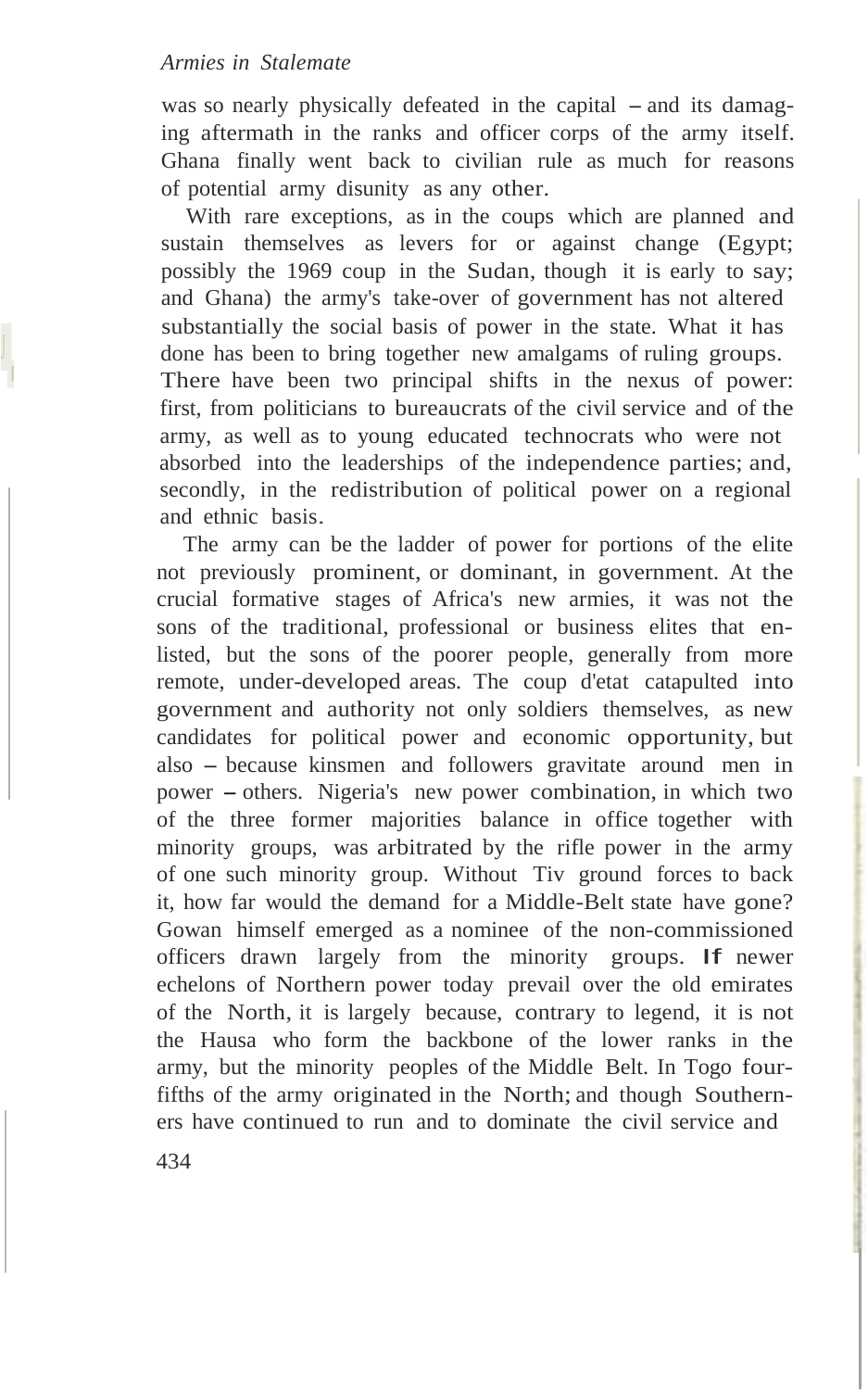was so nearly physically defeated in the capital – and its damaging aftermath in the ranks and officer corps of the army itself. Ghana finally went back to civilian rule as much for reasons of potential army disunity as any other.

With rare exceptions, as in the coups which are planned and sustain themselves as levers for or against change (Egypt; possibly the 1969 coup in the Sudan, though it is early to say; and Ghana) the army's take-over of government has not altered substantially the social basis of power in the state. What it has done has been to bring together new amalgams of ruling groups. There have been two principal shifts in the nexus of power: first, from politicians to bureaucrats of the civil service and of the army, as well as to young educated technocrats who were not absorbed into the leaderships of the independence parties; and, secondly, in the redistribution of political power on a regional and ethnic basis.

The army can be the ladder of power for portions of the elite not previously prominent, or dominant, in government. At the crucial formative stages of Africa's new armies, it was not the sons of the traditional, professional or business elites that enlisted, but the sons of the poorer people, generally from more remote, under-developed areas. The coup d'etat catapulted into government and authority not only soldiers themselves, as new candidates for political power and economic opportunity, but also - because kinsmen and followers gravitate around men in power - others. Nigeria's new power combination, in which two of the three former majorities balance in office together with minority groups, was arbitrated by the rifle power in the army of one such minority group. Without Tiv ground forces to back it, how far would the demand for a Middle-Belt state have gone? Gowan himself emerged as a nominee of the non-commissioned officers drawn largely from the minority groups. If newer echelons of Northern power today prevail over the old emirates of the North, it is largely because, contrary to legend, it is not the Hausa who form the backbone of the lower ranks in the army, but the minority peoples of the Middle Belt. In Togo fourfifths of the army originated in the North; and though Southerners have continued to run and to dominate the civil service and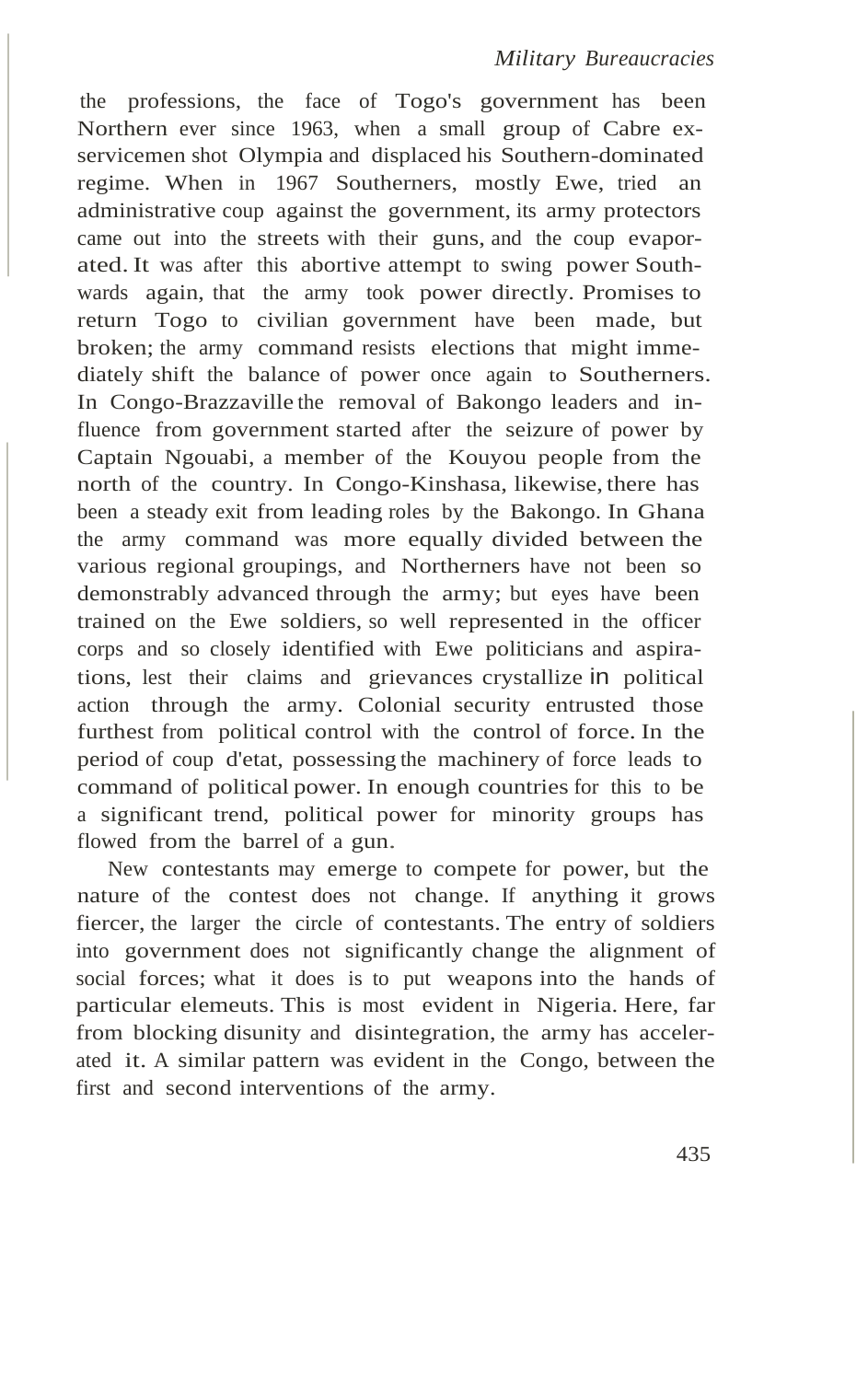the professions, the face of Togo's government has been Northern ever since 1963, when a small group of Cabre exservicemen shot Olympia and displaced his Southern-dominated regime. When in 1967 Southerners, mostly Ewe, tried an administrative coup against the government, its army protectors came out into the streets with their guns, and the coup evaporated.It was after this abortive attempt to swing power Southwards again, that the army took power directly. Promises to return Togo to civilian government have been made, but broken; the army command resists elections that might immediately shift the balance of power once again to Southerners. In Congo-Brazzaville the removal of Bakongo leaders and influence from government started after the seizure of power by Captain Ngouabi, a member of the Kouyou people from the north of the country. In Congo-Kinshasa, likewise, there has been a steady exit from leading roles by the Bakongo. In Ghana the army command was more equally divided between the various regional groupings, and Northerners have not been so demonstrably advanced through the army; but eyes have been trained on the Ewe soldiers, so well represented in the officer corps and so closely identified with Ewe politicians and aspirations, lest their claims and grievances crystallize in political action through the army. Colonial security entrusted those furthest from political control with the control of force. In the period of coup d'etat, possessing the machinery of force leads to command of political power. In enough countries for this to be a significant trend, political power for minority groups has flowed from the barrel of a gun.

New contestants may emerge to compete for power, but the nature of the contest does not change. If anything it grows fiercer, the larger the circle of contestants. The entry of soldiers into government does not significantly change the alignment of social forces; what it does is to put weapons into the hands of particular elemeuts. This is most evident in Nigeria. Here, far from blocking disunity and disintegration, the army has accelerated it. A similar pattern was evident in the Congo, between the first and second interventions of the army.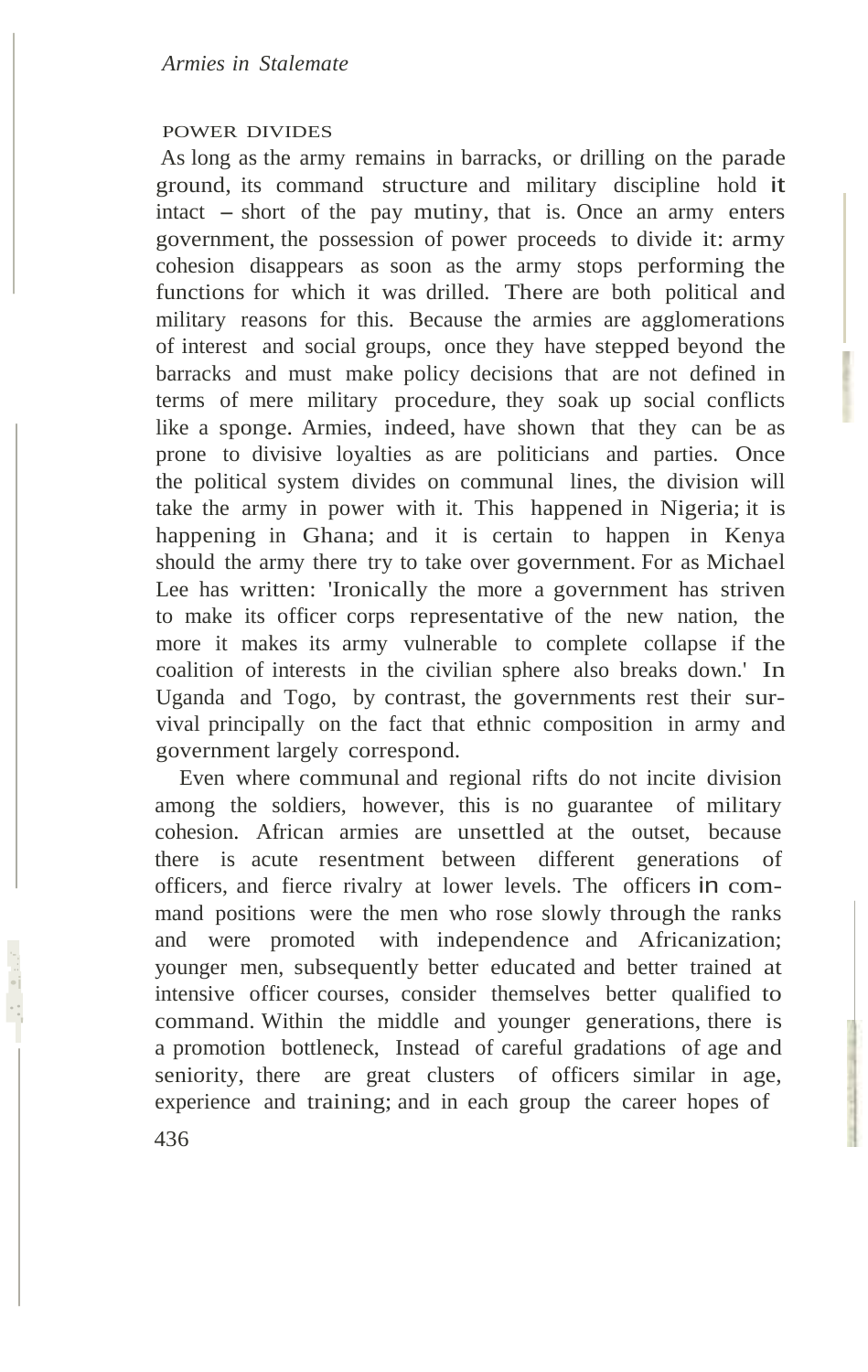#### POWER DIVIDES

As long as the army remains in barracks, or drilling on the parade ground, its command structure and military discipline hold it intact – short of the pay mutiny, that is. Once an army enters government, the possession of power proceeds to divide it: army cohesion disappears as soon as the army stops performing the functions for which it was drilled. There are both political and military reasons for this. Because the armies are agglomerations of interest and social groups, once they have stepped beyond the barracks and must make policy decisions that are not defined in terms of mere military procedure, they soak up social conflicts like a sponge. Armies, indeed, have shown that they can be as prone to divisive loyalties as are politicians and parties. Once the political system divides on communal lines, the division will take the army in power with it. This happened in Nigeria; it is happening in Ghana; and it is certain to happen in Kenya should the army there try to take over government. For as Michael Lee has written: 'Ironically the more a government has striven to make its officer corps representative of the new nation, the more it makes its army vulnerable to complete collapse if the coalition of interests in the civilian sphere also breaks down.' In Uganda and Togo, by contrast, the governments rest their survival principally on the fact that ethnic composition in army and government largely correspond.

Even where communal and regional rifts do not incite division among the soldiers, however, this is no guarantee of military cohesion. African armies are unsettled at the outset, because there is acute resentment between different generations of officers, and fierce rivalry at lower levels. The officers in command positions were the men who rose slowly through the ranks and were promoted with independence and Africanization; younger men, subsequently better educated and better trained at intensive officer courses, consider themselves better qualified to command. Within the middle and younger generations, there is a promotion bottleneck, Instead of careful gradations of age and seniority, there are great clusters of officers similar in age, experience and training; and in each group the career hopes of

•i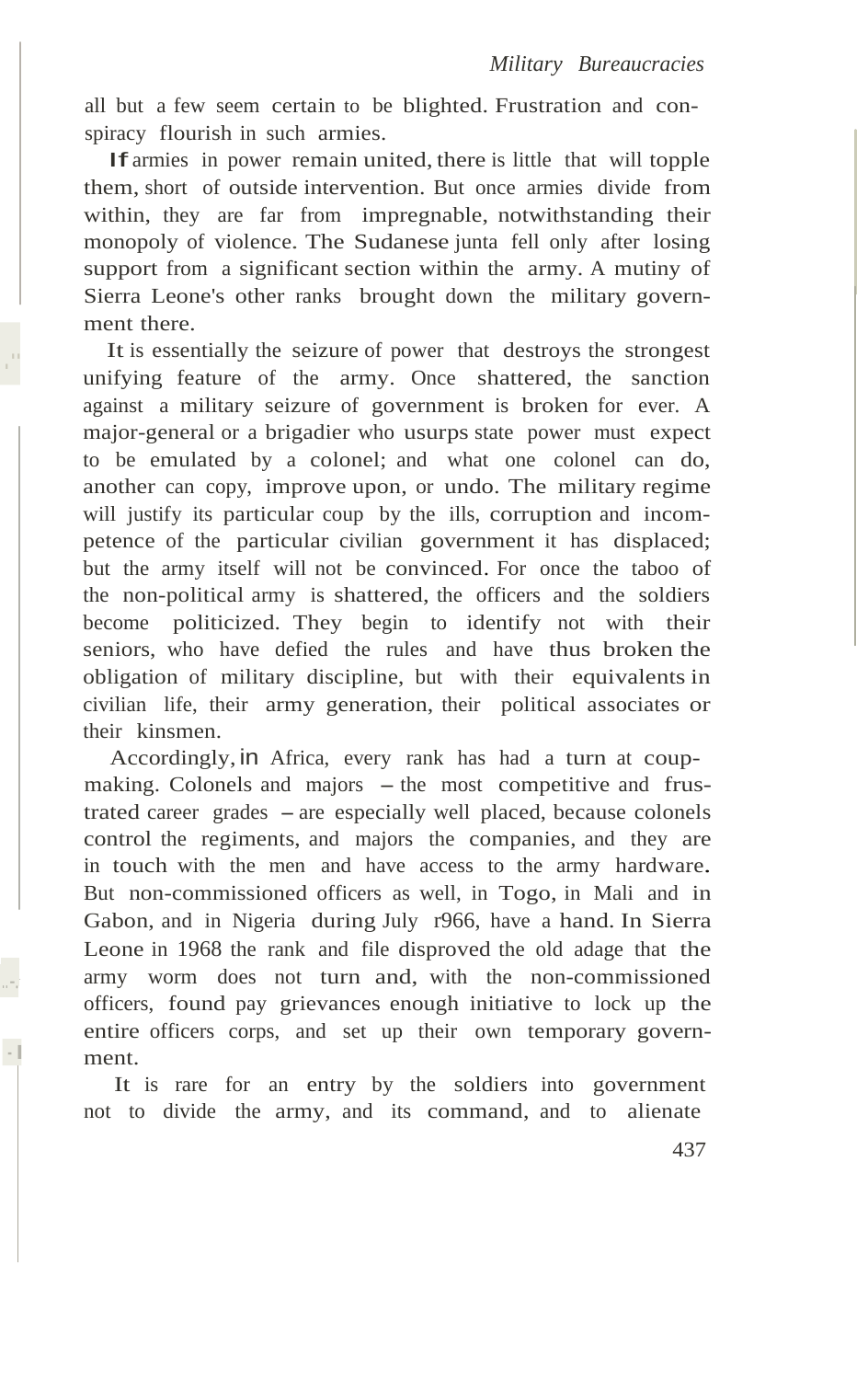all but a few seem certain to be blighted. Frustration and conspiracy flourish in such armies.

If armies in power remain united, there is little that will topple them, short of outside intervention. But once armies divide from within, they are far from impregnable, notwithstanding their monopoly of violence. The Sudanese junta fell only after losing support from a significant section within the army. A mutiny of Sierra Leone's other ranks brought down the military government there.

It is essentially the seizure of power that destroys the strongest unifying feature of the army. Once shattered, the sanction against a military seizure of government is broken for ever. A major-general or a brigadier who usurps state power must expect to be emulated by a colonel; and what one colonel can do, another can copy, improve upon, or undo. The military regime will justify its particular coup by the ills, corruption and incompetence of the particular civilian government it has displaced; but the army itself will not be convinced. For once the taboo of the non-political army is shattered, the officers and the soldiers become politicized. They begin to identify not with their seniors, who have defied the rules and have thus broken the obligation of military discipline, but with their equivalents in civilian life, their army generation, their political associates or their kinsmen.

Accordingly, in Africa, every rank has had a turn at coupmaking. Colonels and majors  $-$  the most competitive and frustrated career grades - are especially well placed, because colonels control the regiments, and majors the companies, and they are in touch with the men and have access to the army hardware. But non-commissioned officers as well, in Togo, in Mali and in Gabon, and in Nigeria during July r966, have a hand. In Sierra Leone in 1968 the rank and file disproved the old adage that the army worm does not turn and, with the non-commissioned officers, found pay grievances enough initiative to lock up the entire officers corps, and set up their own temporary government.

..'.;1

·I

..-.

.··

It is rare for an entry by the soldiers into government not to divide the army, and its command, and to alienate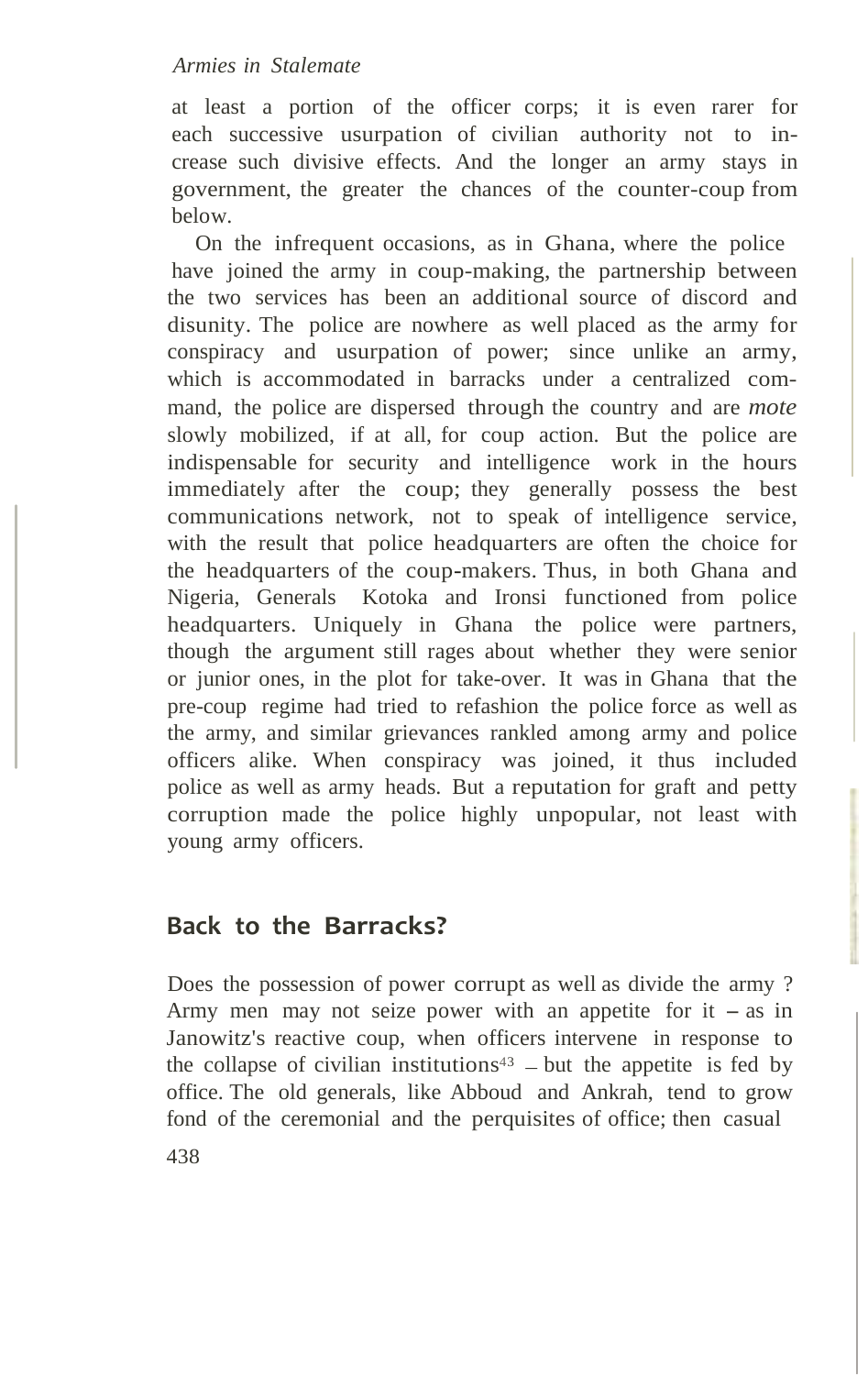at least a portion of the officer corps; it is even rarer for each successive usurpation of civilian authority not to increase such divisive effects. And the longer an army stays in government, the greater the chances of the counter-coup from below.

On the infrequent occasions, as in Ghana, where the police have joined the army in coup-making, the partnership between the two services has been an additional source of discord and disunity. The police are nowhere as well placed as the army for conspiracy and usurpation of power; since unlike an army, which is accommodated in barracks under a centralized command, the police are dispersed through the country and are *mote*  slowly mobilized, if at all, for coup action. But the police are indispensable for security and intelligence work in the hours immediately after the coup; they generally possess the best communications network, not to speak of intelligence service, with the result that police headquarters are often the choice for the headquarters of the coup-makers. Thus, in both Ghana and Nigeria, Generals Kotoka and Ironsi functioned from police headquarters. Uniquely in Ghana the police were partners, though the argument still rages about whether they were senior or junior ones, in the plot for take-over. It was in Ghana that the pre-coup regime had tried to refashion the police force as well as the army, and similar grievances rankled among army and police officers alike. When conspiracy was joined, it thus included police as well as army heads. But a reputation for graft and petty corruption made the police highly unpopular, not least with young army officers.

# **Back to the Barracks?**

Does the possession of power corrupt as well as divide the army ? Army men may not seize power with an appetite for it  $-$  as in Janowitz's reactive coup, when officers intervene in response to Janowitz's reactive coup, when officers intervene in response to the collapse of civilian institutions<sup>43</sup> – but the appetite is fed by office. The old generals, like Abboud and Ankrah, tend to grow fond of the ceremonial and the perquisites of office; then casual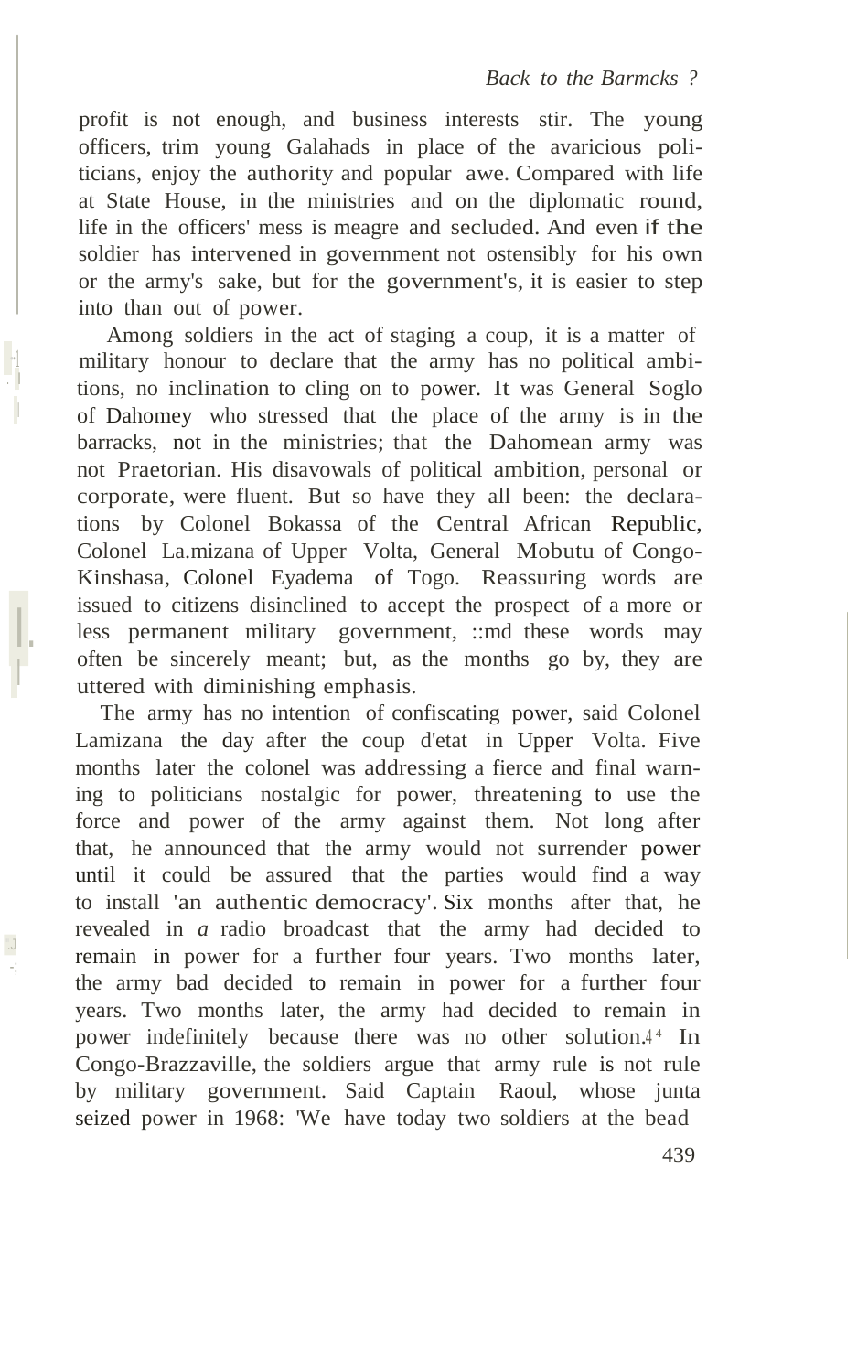profit is not enough, and business interests stir. The young officers, trim young Galahads in place of the avaricious politicians, enjoy the authority and popular awe. Compared with life at State House, in the ministries and on the diplomatic round, life in the officers' mess is meagre and secluded. And even if the soldier has intervened in government not ostensibly for his own or the army's sake, but for the government's, it is easier to step into than out of power.

Among soldiers in the act of staging a coup, it is a matter of military honour to declare that the army has no political ambitions, no inclination to cling on to power. It was General Soglo of Dahomey who stressed that the place of the army is in the barracks, not in the ministries; that the Dahomean army was not Praetorian. His disavowals of political ambition, personal or corporate, were fluent. But so have they all been: the declarations by Colonel Bokassa of the Central African Republic, Colonel La.mizana of Upper Volta, General Mobutu of Congo-Kinshasa, Colonel Eyadema of Togo. Reassuring words are issued to citizens disinclined to accept the prospect of a more or less permanent military government, ::md these words may often be sincerely meant; but, as the months go by, they are uttered with diminishing emphasis.

. I

I.

I

".J -;

The army has no intention of confiscating power, said Colonel Lamizana the day after the coup d'etat in Upper Volta. Five months later the colonel was addressing a fierce and final warning to politicians nostalgic for power, threatening to use the force and power of the army against them. Not long after that, he announced that the army would not surrender power until it could be assured that the parties would find a way to install 'an authentic democracy'. Six months after that, he revealed in *a* radio broadcast that the army had decided to remain in power for a further four years. Two months later, the army bad decided to remain in power for a further four years. Two months later, the army had decided to remain in power indefinitely because there was no other solution.<sup>44</sup> In Congo-Brazzaville, the soldiers argue that army rule is not rule by military government. Said Captain Raoul, whose junta seized power in 1968: 'We have today two soldiers at the bead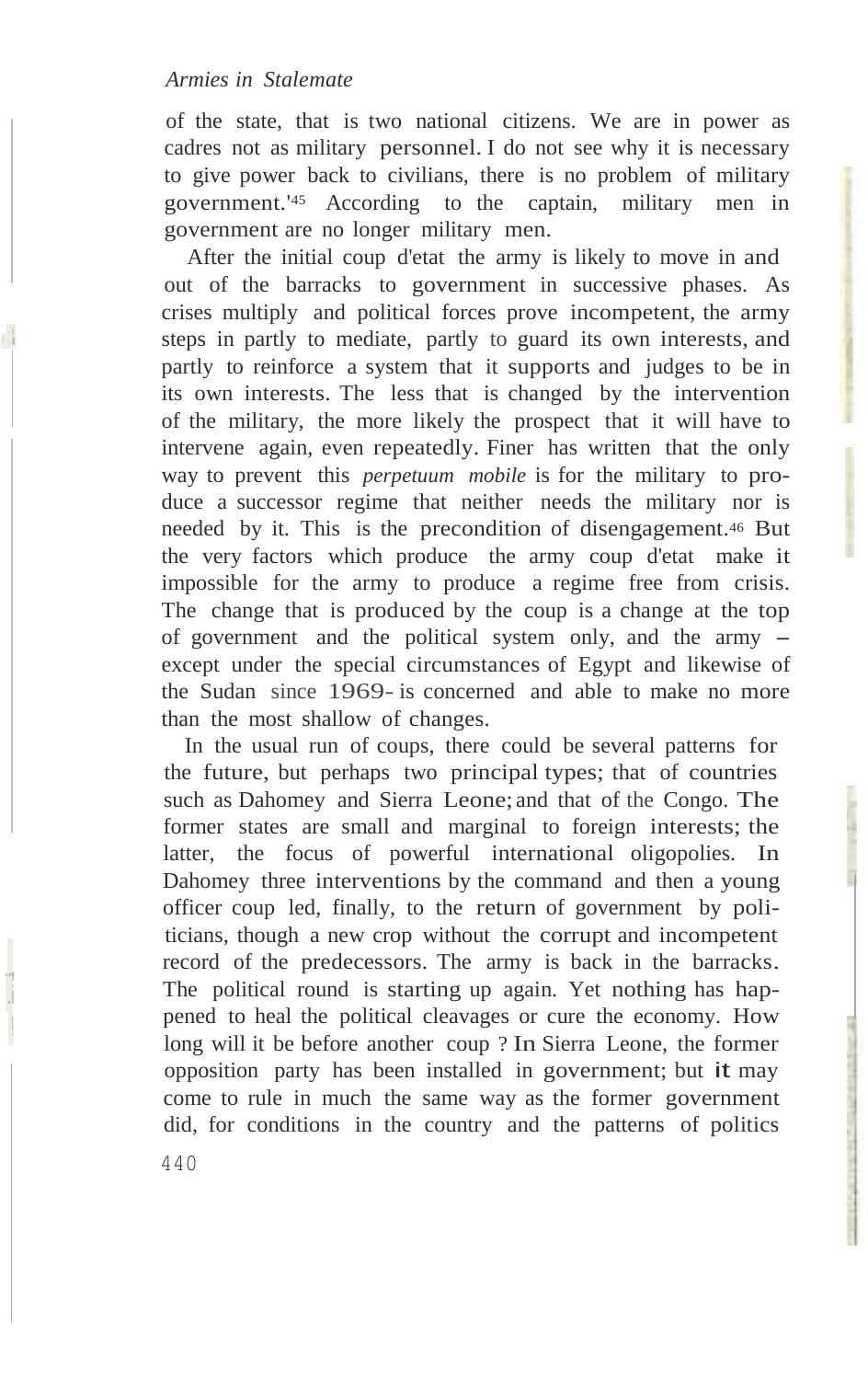I

.., .i !

of the state, that is two national citizens. We are in power as cadres not as military personnel. I do not see why it is necessary to give power back to civilians, there is no problem of military government.<sup>'45</sup> According to the captain, military men in government are no longer military men.

After the initial coup d'etat the army is likely to move in and out of the barracks to government in successive phases. As crises multiply and political forces prove incompetent, the army steps in partly to mediate, partly to guard its own interests, and partly to reinforce a system that it supports and judges to be in its own interests. The less that is changed by the intervention of the military, the more likely the prospect that it will have to intervene again, even repeatedly. Finer has written that the only way to prevent this *perpetuum mobile* is for the military to produce a successor regime that neither needs the military nor is needed by it. This is the precondition of disengagement.<sup>46</sup> But the very factors which produce the army coup d'etat make it impossible for the army to produce a regime free from crisis. The change that is produced by the coup is a change at the top of government and the political system only, and the army except under the special circumstances of Egypt and likewise of the Sudan since 1969- is concerned and able to make no more than the most shallow of changes.

In the usual run of coups, there could be several patterns for the future, but perhaps two principal types; that of countries such as Dahomey and Sierra Leone; and that of the Congo. The former states are small and marginal to foreign interests; the latter, the focus of powerful international oligopolies. In Dahomey three interventions by the command and then a young officer coup led, finally, to the return of government by politicians, though a new crop without the corrupt and incompetent record of the predecessors. The army is back in the barracks. The political round is starting up again. Yet nothing has happened to heal the political cleavages or cure the economy. How long will it be before another coup ? In Sierra Leone, the former opposition party has been installed in government; but it may come to rule in much the same way as the former government did, for conditions in the country and the patterns of politics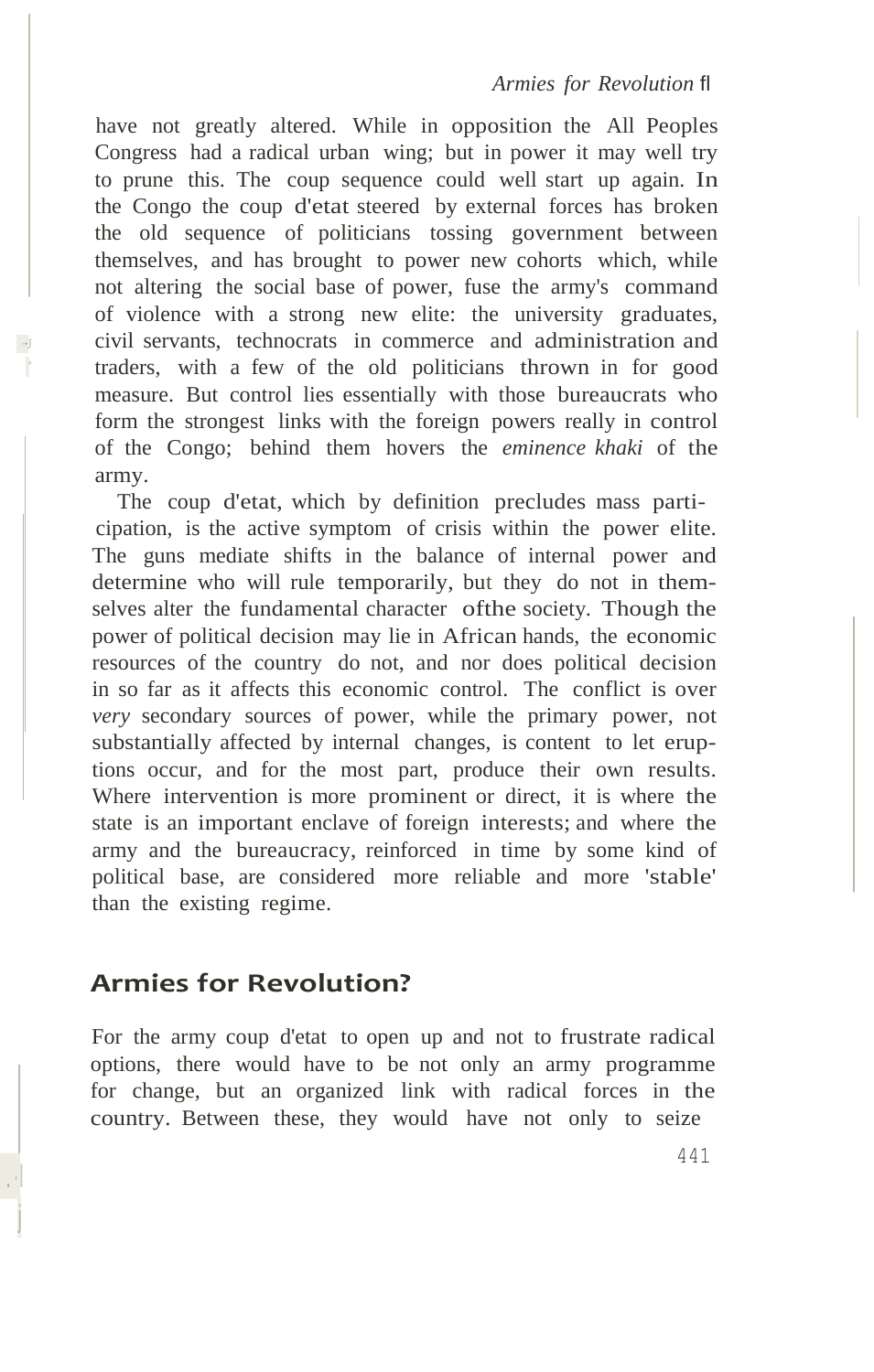# *Armies for Revolution* fl

have not greatly altered. While in opposition the All Peoples Congress had a radical urban wing; but in power it may well try to prune this. The coup sequence could well start up again. In the Congo the coup d'etat steered by external forces has broken the old sequence of politicians tossing government between themselves, and has brought to power new cohorts which, while not altering the social base of power, fuse the army's command of violence with a strong new elite: the university graduates, civil servants, technocrats in commerce and administration and traders, with a few of the old politicians thrown in for good measure. But control lies essentially with those bureaucrats who form the strongest links with the foreign powers really in control of the Congo; behind them hovers the *eminence khaki* of the army.

The coup d'etat, which by definition precludes mass participation, is the active symptom of crisis within the power elite. The guns mediate shifts in the balance of internal power and determine who will rule temporarily, but they do not in themselves alter the fundamental character ofthe society. Though the power of political decision may lie in African hands, the economic resources of the country do not, and nor does political decision in so far as it affects this economic control. The conflict is over *very* secondary sources of power, while the primary power, not substantially affected by internal changes, is content to let eruptions occur, and for the most part, produce their own results. Where intervention is more prominent or direct, it is where the state is an important enclave of foreign interests; and where the army and the bureaucracy, reinforced in time by some kind of political base, are considered more reliable and more 'stable' than the existing regime.

# **Armies for Revolution?**

··J

.·I j

For the army coup d'etat to open up and not to frustrate radical options, there would have to be not only an army programme for change, but an organized link with radical forces in the country. Between these, they would have not only to seize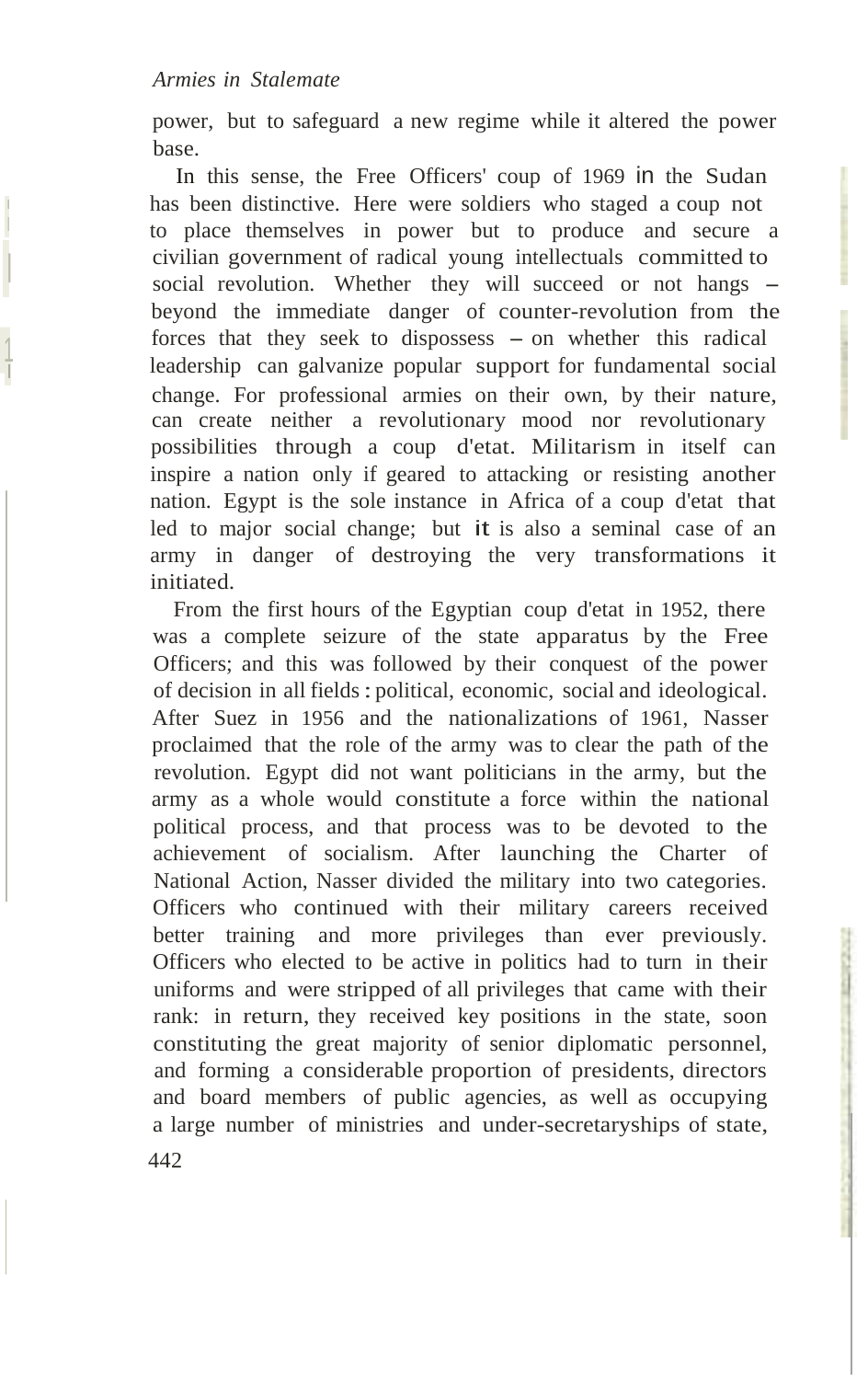I

I

1

I

power, but to safeguard a new regime while it altered the power base.

In this sense, the Free Officers' coup of 1969 in the Sudan has been distinctive. Here were soldiers who staged a coup not to place themselves in power but to produce and secure a civilian government of radical young intellectuals committed to social revolution. Whether they will succeed or not hangs beyond the immediate danger of counter-revolution from the forces that they seek to dispossess - on whether this radical leadership can galvanize popular support for fundamental social change. For professional armies on their own, by their nature, can create neither a revolutionary mood nor revolutionary possibilities through a coup d'etat. Militarism in itself can inspire a nation only if geared to attacking or resisting another nation. Egypt is the sole instance in Africa of a coup d'etat that led to major social change; but it is also a seminal case of an army in danger of destroying the very transformations it initiated.

From the first hours of the Egyptian coup d'etat in 1952, there was a complete seizure of the state apparatus by the Free Officers; and this was followed by their conquest of the power of decision in all fields: political, economic, social and ideological. After Suez in 1956 and the nationalizations of 1961, Nasser proclaimed that the role of the army was to clear the path of the revolution. Egypt did not want politicians in the army, but the army as a whole would constitute a force within the national political process, and that process was to be devoted to the achievement of socialism. After launching the Charter of National Action, Nasser divided the military into two categories. Officers who continued with their military careers received better training and more privileges than ever previously. Officers who elected to be active in politics had to turn in their uniforms and were stripped of all privileges that came with their rank: in return, they received key positions in the state, soon constituting the great majority of senior diplomatic personnel, and forming a considerable proportion of presidents, directors and board members of public agencies, as well as occupying a large number of ministries and under-secretaryships of state,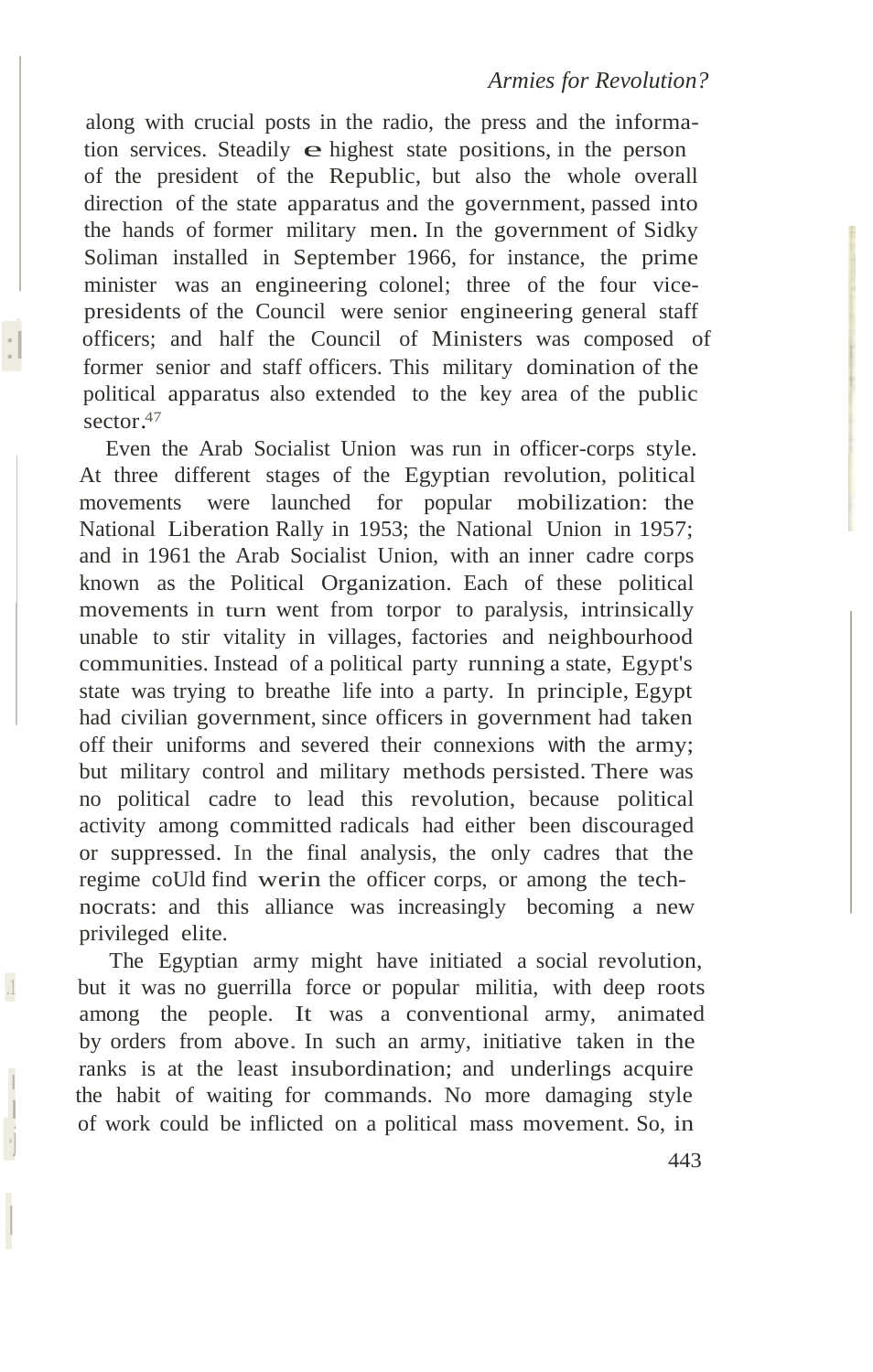# *Armies for Revolution?*

along with crucial posts in the radio, the press and the information services. Steadily  $\epsilon$  highest state positions, in the person of the president of the Republic, but also the whole overall direction of the state apparatus and the government, passed into the hands of former military men. In the government of Sidky Soliman installed in September 1966, for instance, the prime minister was an engineering colonel; three of the four vicepresidents of the Council were senior engineering general staff officers; and half the Council of Ministers was composed of former senior and staff officers. This military domination of the political apparatus also extended to the key area of the public sector. 47

J

·j

I

Even the Arab Socialist Union was run in officer-corps style. At three different stages of the Egyptian revolution, political movements were launched for popular mobilization: the National Liberation Rally in 1953; the National Union in 1957; and in 1961 the Arab Socialist Union, with an inner cadre corps known as the Political Organization. Each of these political movements in turn went from torpor to paralysis, intrinsically unable to stir vitality in villages, factories and neighbourhood communities. Instead of a political party running a state, Egypt's state was trying to breathe life into a party. In principle, Egypt had civilian government, since officers in government had taken off their uniforms and severed their connexions with the army; but military control and military methods persisted. There was no political cadre to lead this revolution, because political activity among committed radicals had either been discouraged or suppressed. In the final analysis, the only cadres that the regime coUld find werin the officer corps, or among the technocrats: and this alliance was increasingly becoming a new privileged elite.

The Egyptian army might have initiated a social revolution, .1 but it was no guerrilla force or popular militia, with deep roots among the people. It was a conventional army, animated by orders from above. In such an army, initiative taken in the ranks is at the least insubordination; and underlings acquire the habit of waiting for commands. No more damaging style of work could be inflicted on a political mass movement. So, in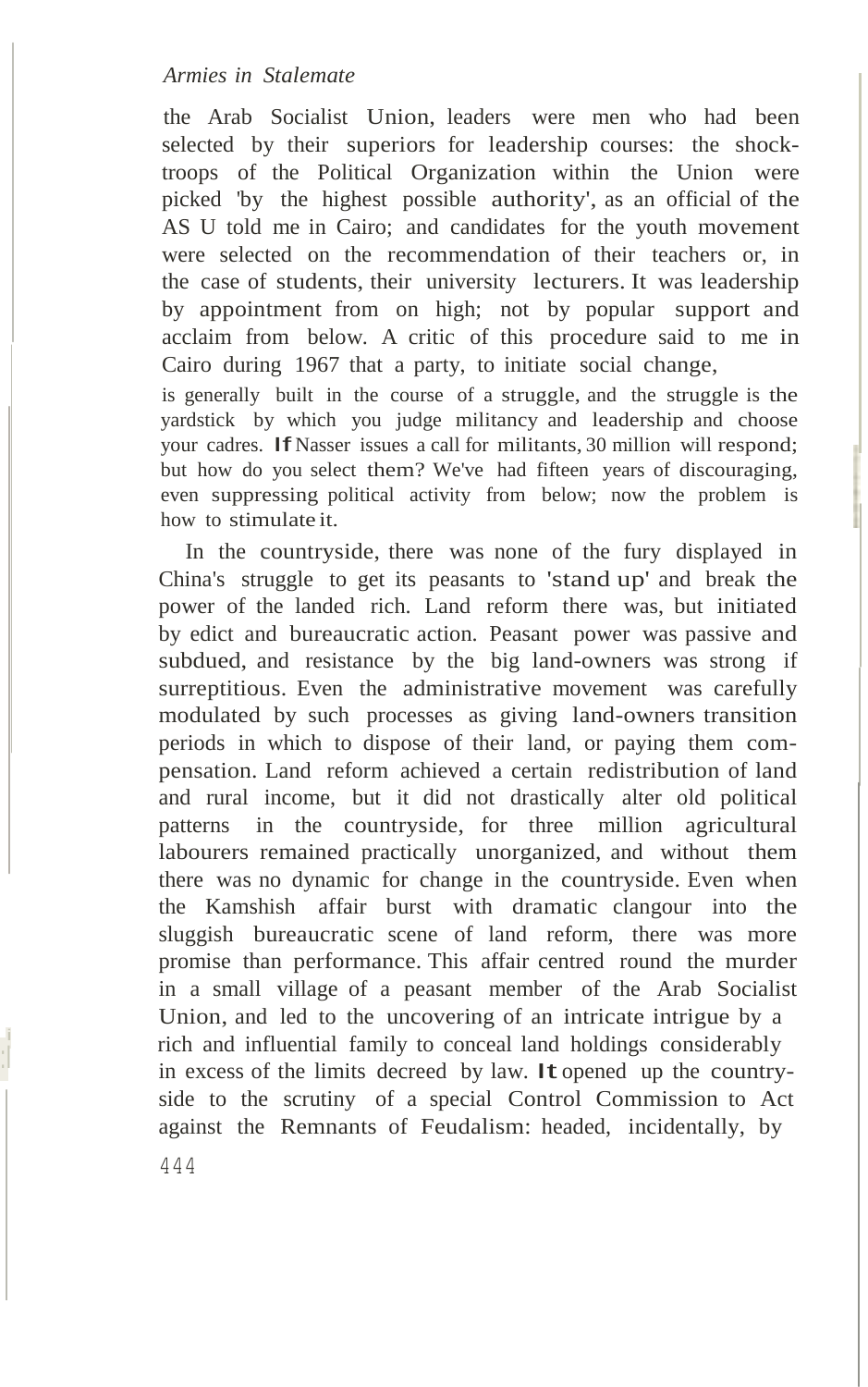the Arab Socialist Union, leaders were men who had been selected by their superiors for leadership courses: the shocktroops of the Political Organization within the Union were picked 'by the highest possible authority', as an official of the AS U told me in Cairo; and candidates for the youth movement were selected on the recommendation of their teachers or, in the case of students, their university lecturers. It was leadership by appointment from on high; not by popular support and acclaim from below. A critic of this procedure said to me in Cairo during 1967 that a party, to initiate social change,

is generally built in the course of a struggle, and the struggle is the yardstick by which you judge militancy and leadership and choose your cadres. If Nasser issues a call for militants, 30 million will respond; but how do you select them? We've had fifteen years of discouraging, even suppressing political activity from below; now the problem is how to stimulate it.

In the countryside, there was none of the fury displayed in China's struggle to get its peasants to 'stand up' and break the power of the landed rich. Land reform there was, but initiated by edict and bureaucratic action. Peasant power was passive and subdued, and resistance by the big land-owners was strong if surreptitious. Even the administrative movement was carefully modulated by such processes as giving land-owners transition periods in which to dispose of their land, or paying them compensation. Land reform achieved a certain redistribution of land and rural income, but it did not drastically alter old political patterns in the countryside, for three million agricultural labourers remained practically unorganized, and without them there was no dynamic for change in the countryside. Even when the Kamshish affair burst with dramatic clangour into the sluggish bureaucratic scene of land reform, there was more promise than performance. This affair centred round the murder in a small village of a peasant member of the Arab Socialist Union, and led to the uncovering of an intricate intrigue by a rich and influential family to conceal land holdings considerably in excess of the limits decreed by law. It opened up the countryside to the scrutiny of a special Control Commission to Act against the Remnants of Feudalism: headed, incidentally, by

444

:I

i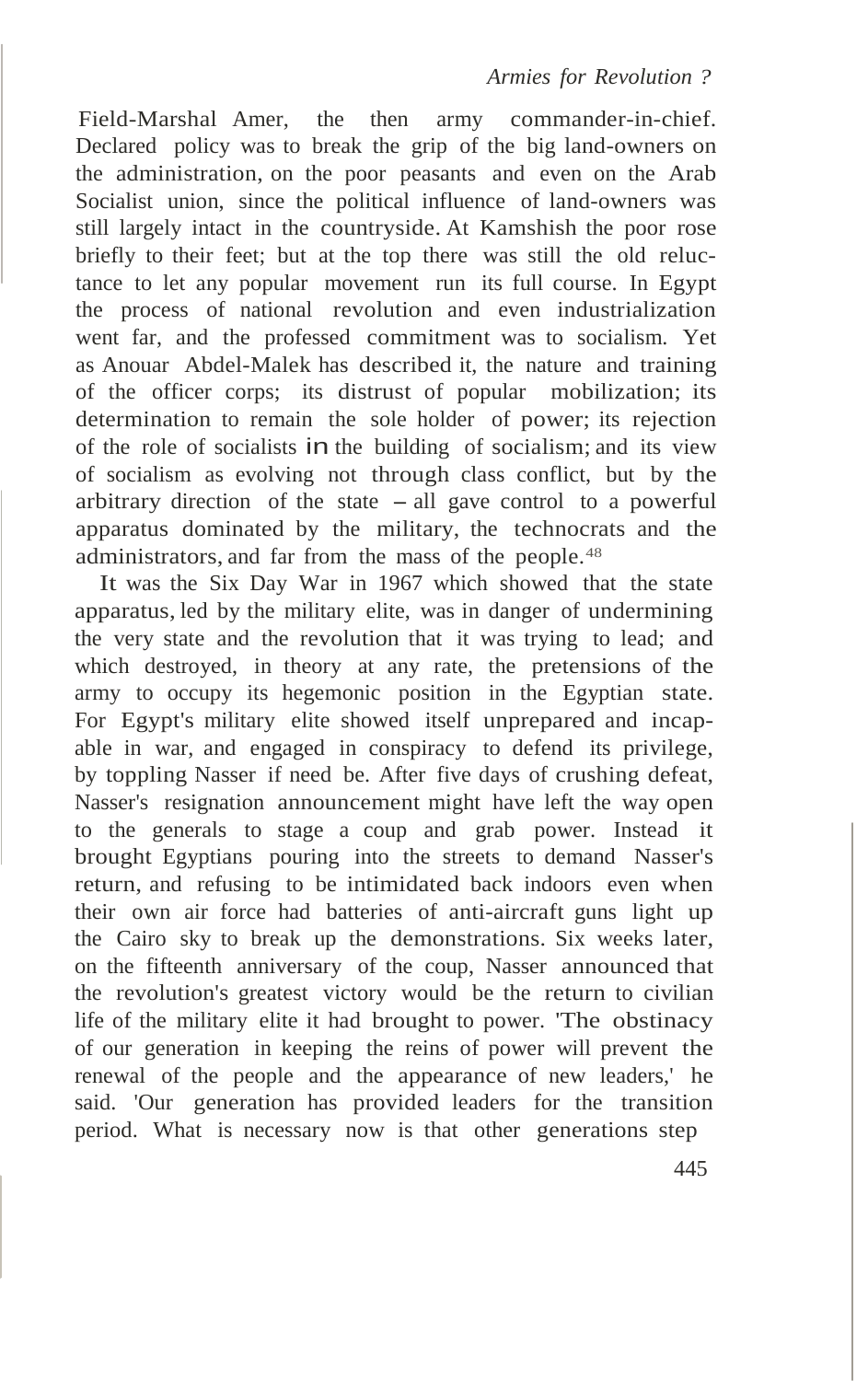Field-Marshal Amer, the then army commander-in-chief. Declared policy was to break the grip of the big land-owners on the administration, on the poor peasants and even on the Arab Socialist union, since the political influence of land-owners was still largely intact in the countryside. At Kamshish the poor rose briefly to their feet; but at the top there was still the old reluctance to let any popular movement run its full course. In Egypt the process of national revolution and even industrialization went far, and the professed commitment was to socialism. Yet as Anouar Abdel-Malek has described it, the nature and training of the officer corps; its distrust of popular mobilization; its determination to remain the sole holder of power; its rejection of the role of socialists in the building of socialism; and its view of socialism as evolving not through class conflict, but by the arbitrary direction of the state  $-$  all gave control to a powerful apparatus dominated by the military, the technocrats and the administrators, and far from the mass of the people. 48

It was the Six Day War in 1967 which showed that the state apparatus, led by the military elite, was in danger of undermining the very state and the revolution that it was trying to lead; and which destroyed, in theory at any rate, the pretensions of the army to occupy its hegemonic position in the Egyptian state. For Egypt's military elite showed itself unprepared and incapable in war, and engaged in conspiracy to defend its privilege, by toppling Nasser if need be. After five days of crushing defeat, Nasser's resignation announcement might have left the way open to the generals to stage a coup and grab power. Instead it brought Egyptians pouring into the streets to demand Nasser's return, and refusing to be intimidated back indoors even when their own air force had batteries of anti-aircraft guns light up the Cairo sky to break up the demonstrations. Six weeks later, on the fifteenth anniversary of the coup, Nasser announced that the revolution's greatest victory would be the return to civilian life of the military elite it had brought to power. 'The obstinacy of our generation in keeping the reins of power will prevent the renewal of the people and the appearance of new leaders,' he said. 'Our generation has provided leaders for the transition period. What is necessary now is that other generations step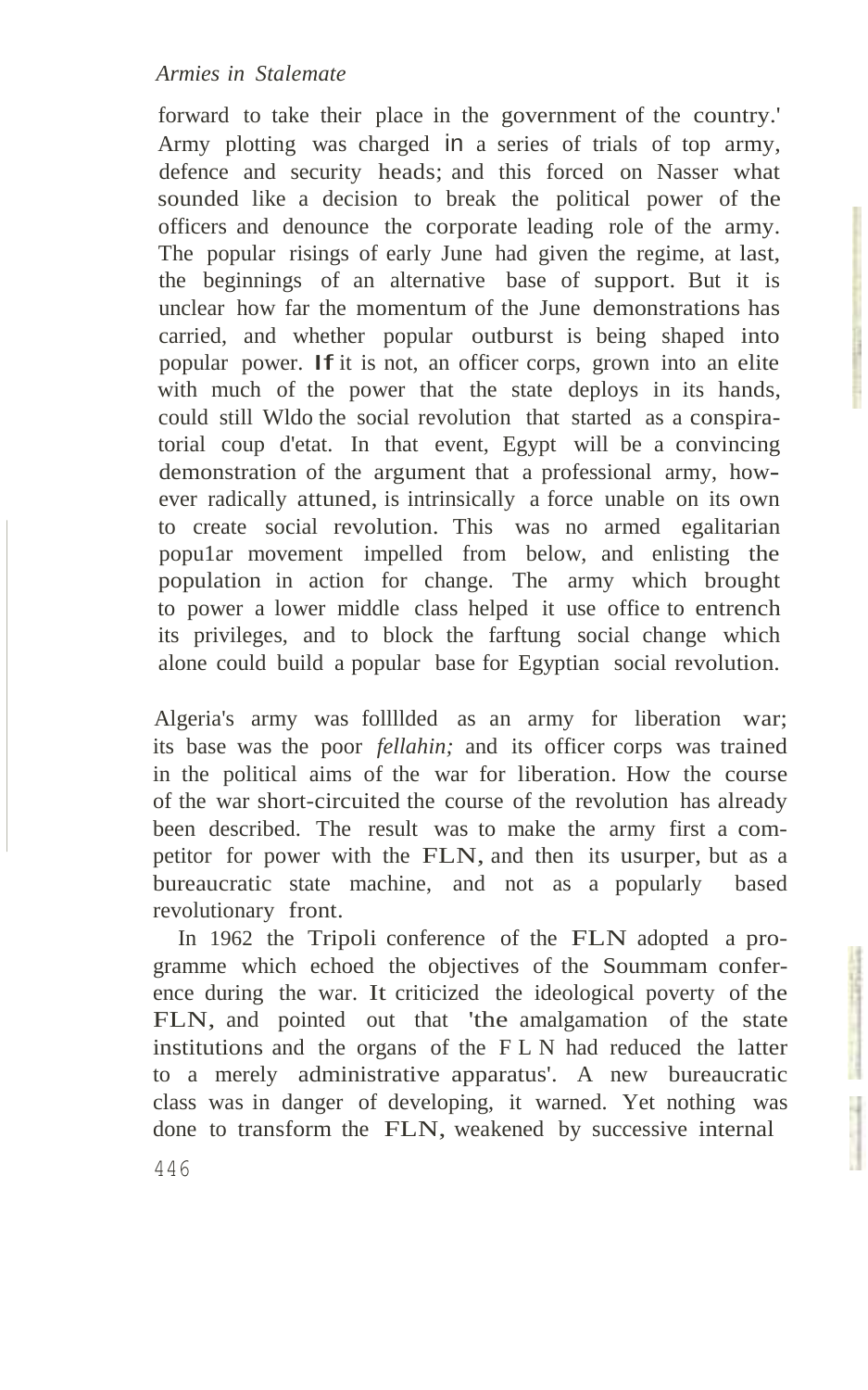forward to take their place in the government of the country.' Army plotting was charged in a series of trials of top army, defence and security heads; and this forced on Nasser what sounded like a decision to break the political power of the officers and denounce the corporate leading role of the army. The popular risings of early June had given the regime, at last, the beginnings of an alternative base of support. But it is unclear how far the momentum of the June demonstrations has carried, and whether popular outburst is being shaped into popular power. If it is not, an officer corps, grown into an elite with much of the power that the state deploys in its hands, could still Wldo the social revolution that started as a conspiratorial coup d'etat. In that event, Egypt will be a convincing demonstration of the argument that a professional army, however radically attuned, is intrinsically a force unable on its own to create social revolution. This was no armed egalitarian popu1ar movement impelled from below, and enlisting the population in action for change. The army which brought to power a lower middle class helped it use office to entrench its privileges, and to block the farftung social change which alone could build a popular base for Egyptian social revolution.

Algeria's army was follllded as an army for liberation war; its base was the poor *fellahin;* and its officer corps was trained in the political aims of the war for liberation. How the course of the war short-circuited the course of the revolution has already been described. The result was to make the army first a competitor for power with the FLN, and then its usurper, but as a bureaucratic state machine, and not as a popularly based revolutionary front.

In 1962 the Tripoli conference of the FLN adopted a programme which echoed the objectives of the Soummam conference during the war. It criticized the ideological poverty of the FLN, and pointed out that 'the amalgamation of the state institutions and the organs of the F L N had reduced the latter to a merely administrative apparatus'. A new bureaucratic class was in danger of developing, it warned. Yet nothing was done to transform the FLN, weakened by successive internal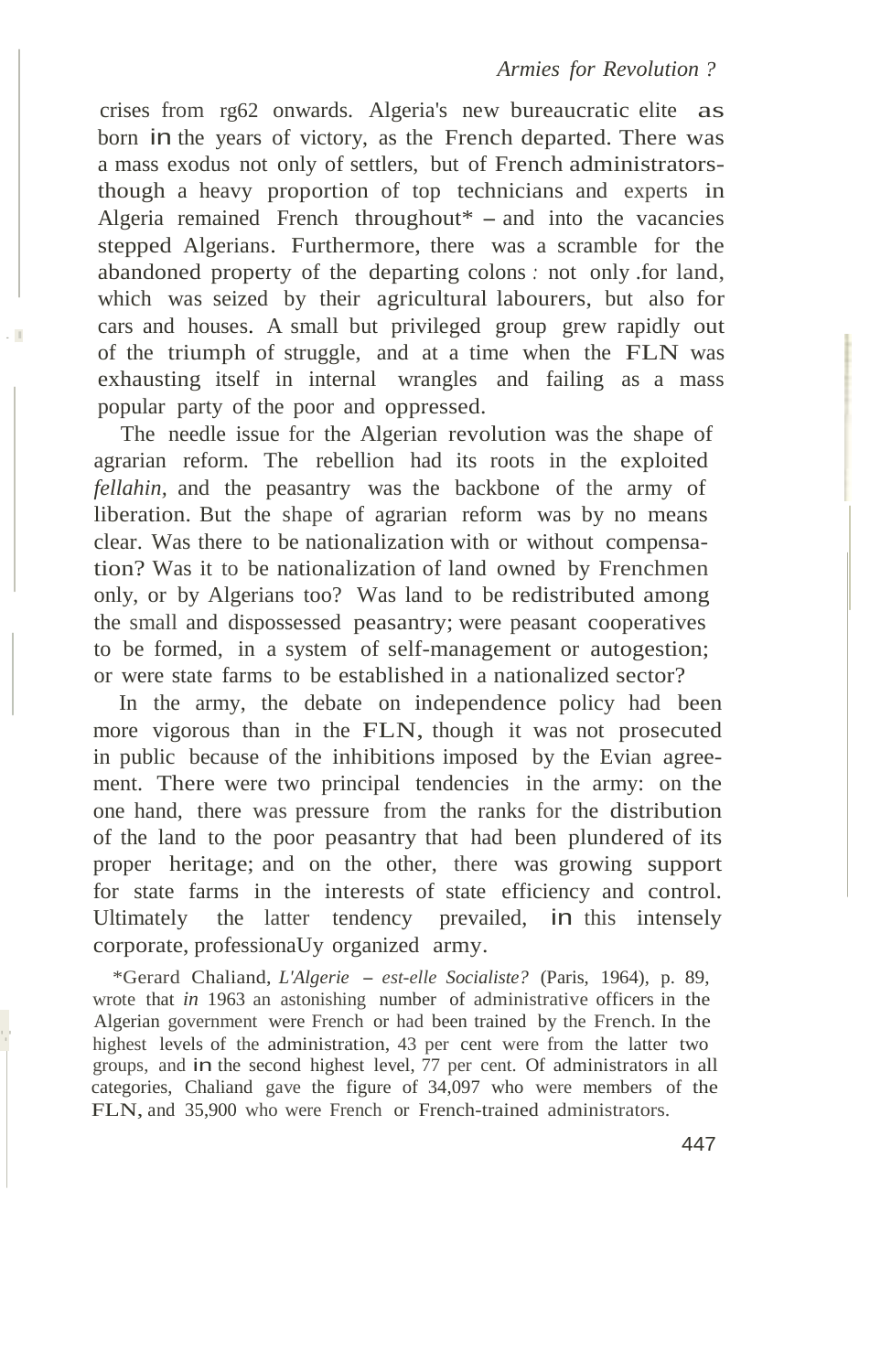crises from rg62 onwards. Algeria's new bureaucratic elite as born in the years of victory, as the French departed. There was a mass exodus not only of settlers, but of French administratorsthough a heavy proportion of top technicians and experts in Algeria remained French throughout $*$  - and into the vacancies stepped Algerians. Furthermore, there was a scramble for the abandoned property of the departing colons *:* not only .for land, which was seized by their agricultural labourers, but also for cars and houses. A small but privileged group grew rapidly out of the triumph of struggle, and at a time when the FLN was exhausting itself in internal wrangles and failing as a mass popular party of the poor and oppressed.

. I

·.·

The needle issue for the Algerian revolution was the shape of agrarian reform. The rebellion had its roots in the exploited *fellahin,* and the peasantry was the backbone of the army of liberation. But the shape of agrarian reform was by no means clear. Was there to be nationalization with or without compensation? Was it to be nationalization of land owned by Frenchmen only, or by Algerians too? Was land to be redistributed among the small and dispossessed peasantry; were peasant cooperatives to be formed, in a system of self-management or autogestion; or were state farms to be established in a nationalized sector?

In the army, the debate on independence policy had been more vigorous than in the FLN, though it was not prosecuted in public because of the inhibitions imposed by the Evian agreement. There were two principal tendencies in the army: on the one hand, there was pressure from the ranks for the distribution of the land to the poor peasantry that had been plundered of its proper heritage; and on the other, there was growing support for state farms in the interests of state efficiency and control. Ultimately the latter tendency prevailed, in this intensely corporate, professionaUy organized army.

\*Gerard Chaliand, *L'Algerie* - *est-elle Socialiste?* (Paris, 1964), p. 89, wrote that *in* 1963 an astonishing number of administrative officers in the Algerian government were French or had been trained by the French. In the highest levels of the administration, 43 per cent were from the latter two groups, and in the second highest level, 77 per cent. Of administrators in all categories, Chaliand gave the figure of 34,097 who were members of the FLN, and 35,900 who were French or French-trained administrators.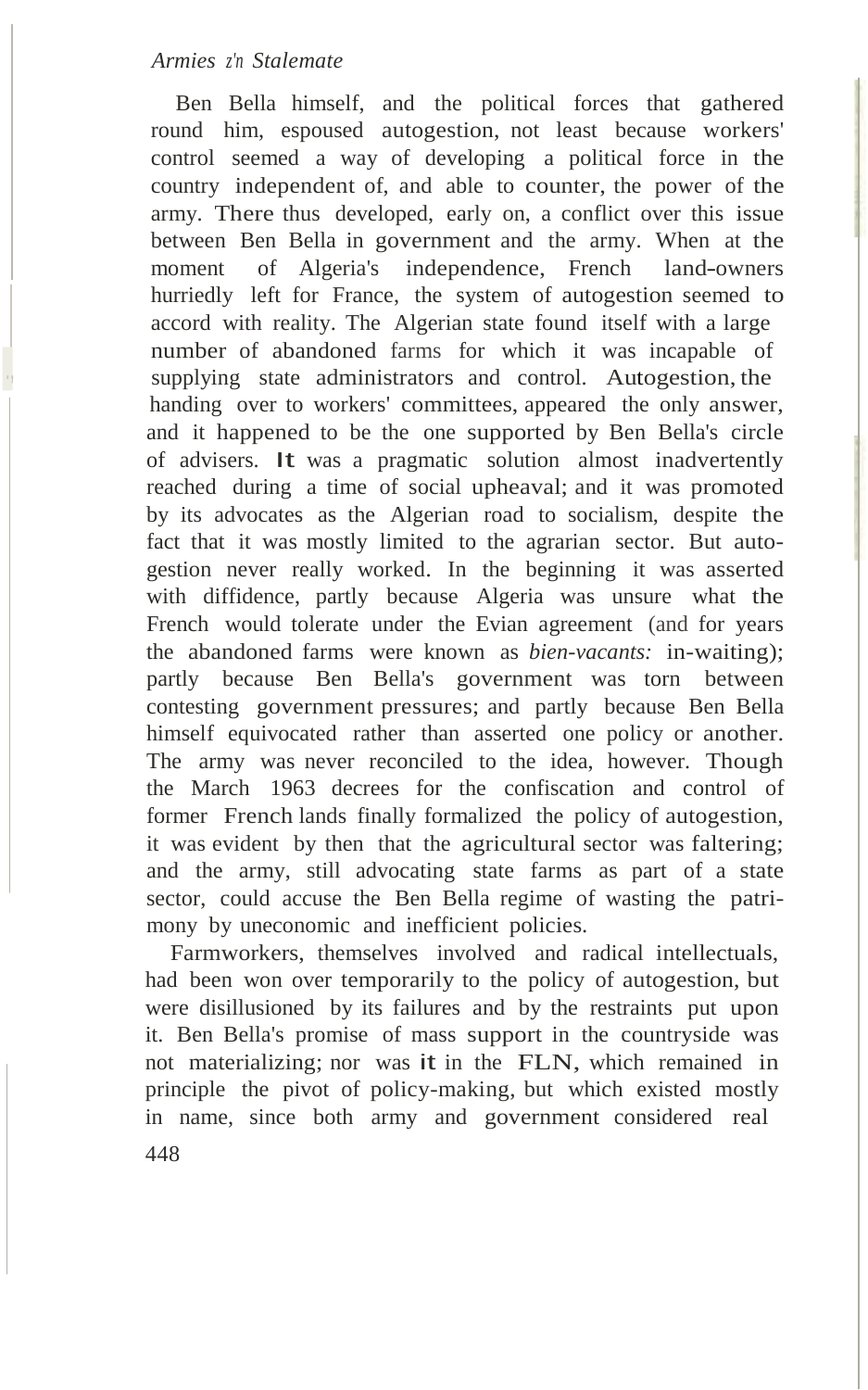Ben Bella himself, and the political forces that gathered round him, espoused autogestion, not least because workers' control seemed a way of developing a political force in the country independent of, and able to counter, the power of the army. There thus developed, early on, a conflict over this issue between Ben Bella in government and the army. When at the moment of Algeria's independence, French land-owners hurriedly left for France, the system of autogestion seemed to accord with reality. The Algerian state found itself with a large number of abandoned farms for which it was incapable of supplying state administrators and control. Autogestion, the handing over to workers' committees, appeared the only answer, and it happened to be the one supported by Ben Bella's circle of advisers. It was a pragmatic solution almost inadvertently reached during a time of social upheaval; and it was promoted by its advocates as the Algerian road to socialism, despite the fact that it was mostly limited to the agrarian sector. But autogestion never really worked. In the beginning it was asserted with diffidence, partly because Algeria was unsure what the French would tolerate under the Evian agreement (and for years the abandoned farms were known as *bien-vacants:* in-waiting); partly because Ben Bella's government was torn between contesting government pressures; and partly because Ben Bella himself equivocated rather than asserted one policy or another. The army was never reconciled to the idea, however. Though the March 1963 decrees for the confiscation and control of former French lands finally formalized the policy of autogestion, it was evident by then that the agricultural sector was faltering; and the army, still advocating state farms as part of a state sector, could accuse the Ben Bella regime of wasting the patrimony by uneconomic and inefficient policies.

Farmworkers, themselves involved and radical intellectuals, had been won over temporarily to the policy of autogestion, but were disillusioned by its failures and by the restraints put upon it. Ben Bella's promise of mass support in the countryside was not materializing; nor was it in the FLN, which remained in principle the pivot of policy-making, but which existed mostly in name, since both army and government considered real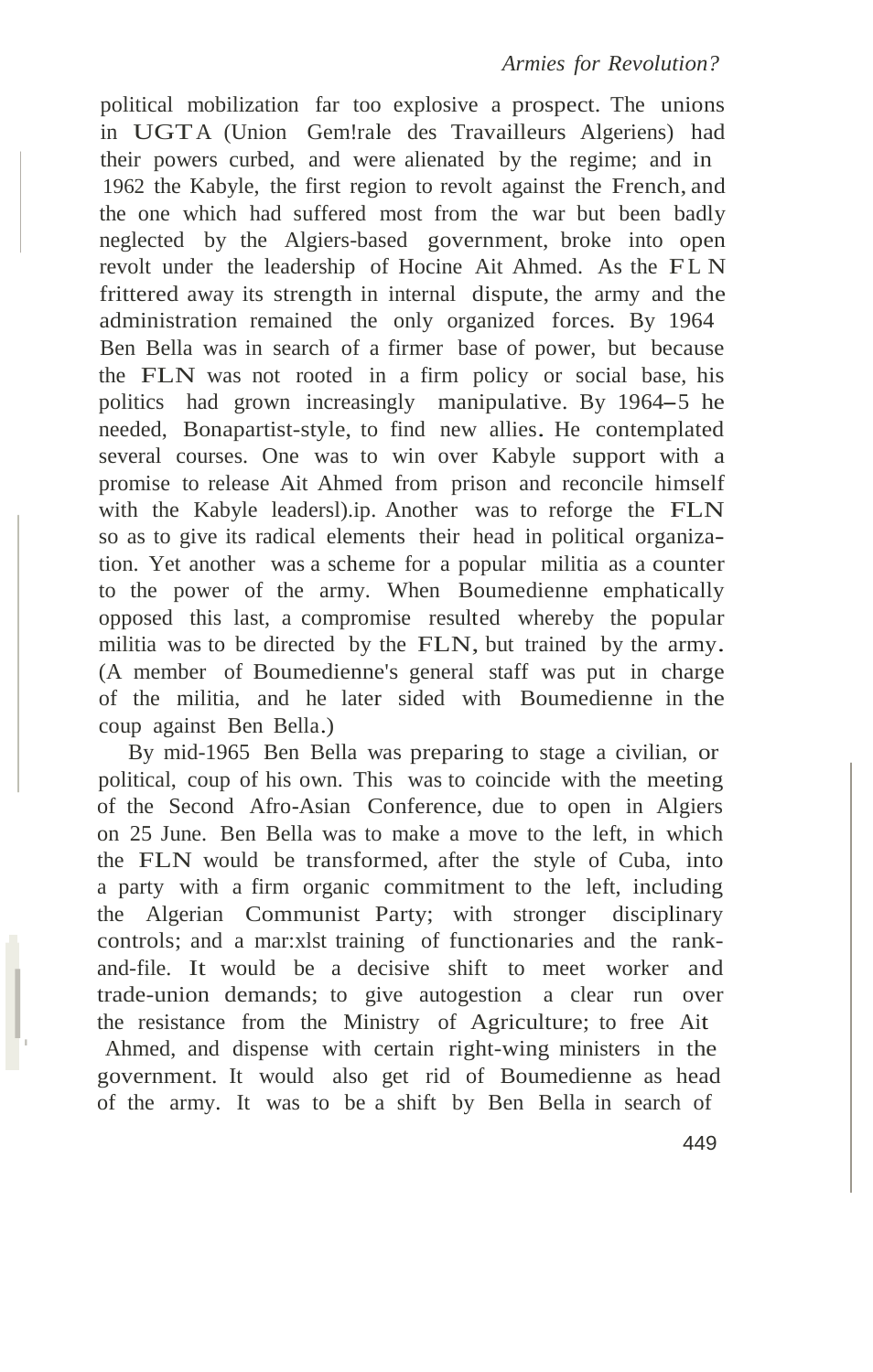political mobilization far too explosive a prospect. The unions in UGTA (Union Gem!rale des Travailleurs Algeriens) had their powers curbed, and were alienated by the regime; and in 1962 the Kabyle, the first region to revolt against the French, and the one which had suffered most from the war but been badly neglected by the Algiers-based government, broke into open revolt under the leadership of Hocine Ait Ahmed. As the FL N frittered away its strength in internal dispute, the army and the administration remained the only organized forces. By 1964 Ben Bella was in search of a firmer base of power, but because the FLN was not rooted in a firm policy or social base, his politics had grown increasingly manipulative. By 1964-5 he needed, Bonapartist-style, to find new allies. He contemplated several courses. One was to win over Kabyle support with a promise to release Ait Ahmed from prison and reconcile himself with the Kabyle leadersl).ip. Another was to reforge the FLN so as to give its radical elements their head in political organization. Yet another was a scheme for a popular militia as a counter to the power of the army. When Boumedienne emphatically opposed this last, a compromise resulted whereby the popular militia was to be directed by the FLN, but trained by the army. (A member of Boumedienne's general staff was put in charge of the militia, and he later sided with Boumedienne in the coup against Ben Bella.)

By mid-1965 Ben Bella was preparing to stage a civilian, or political, coup of his own. This was to coincide with the meeting of the Second Afro-Asian Conference, due to open in Algiers on 25 June. Ben Bella was to make a move to the left, in which the FLN would be transformed, after the style of Cuba, into a party with a firm organic commitment to the left, including the Algerian Communist Party; with stronger disciplinary controls; and a mar:xlst training of functionaries and the rankand-file. It would be a decisive shift to meet worker and trade-union demands; to give autogestion a clear run over the resistance from the Ministry of Agriculture; to free Ait

Ahmed, and dispense with certain right-wing ministers in the government. It would also get rid of Boumedienne as head of the army. It was to be a shift by Ben Bella in search of

l,

I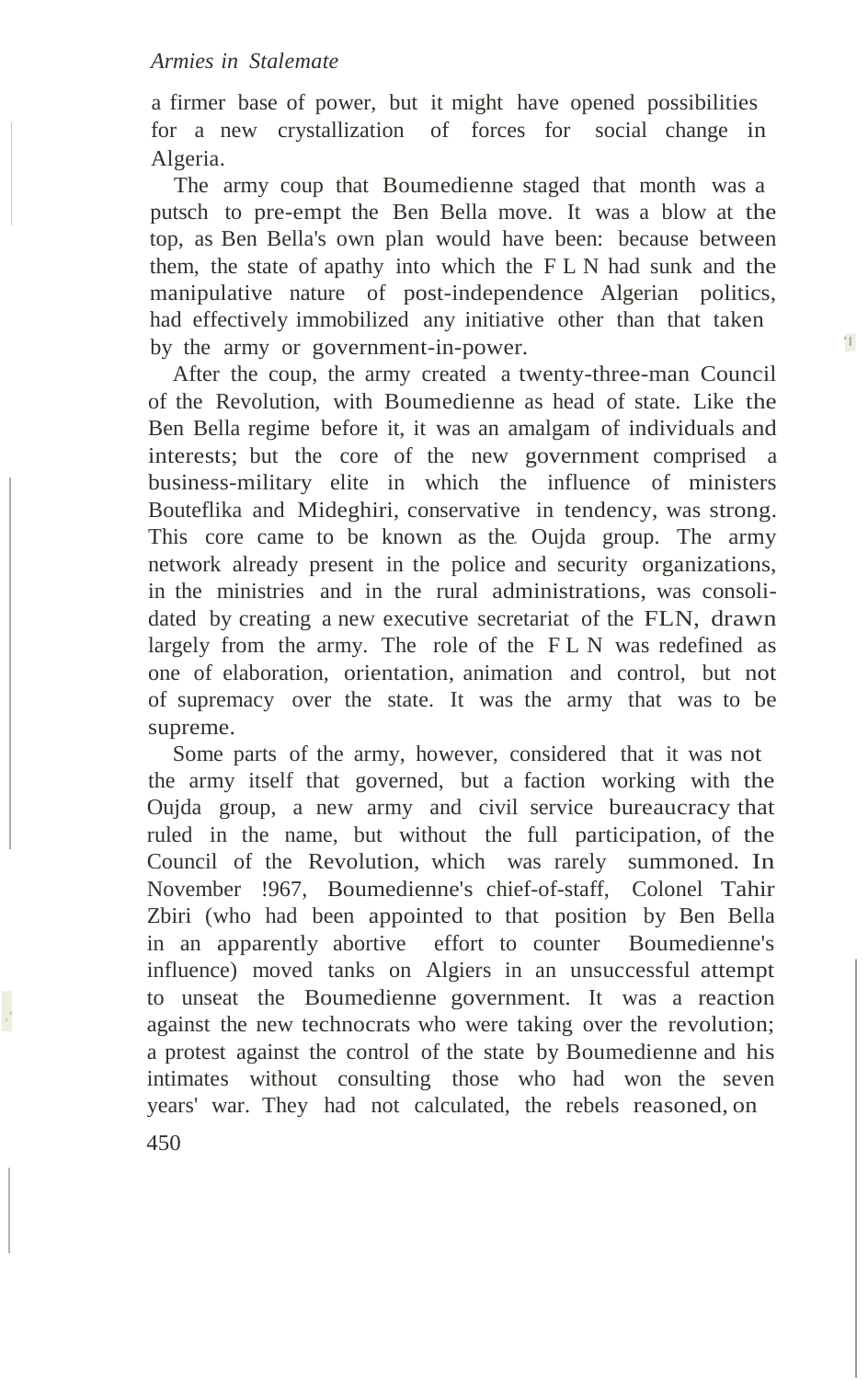.·

a firmer base of power, but it might have opened possibilities for a new crystallization of forces for social change in Algeria.

The army coup that Boumedienne staged that month was a putsch to pre-empt the Ben Bella move. It was a blow at the top, as Ben Bella's own plan would have been: because between them, the state of apathy into which the F L N had sunk and the manipulative nature of post-independence Algerian politics, had effectively immobilized any initiative other than that taken by the army or government-in-power.

After the coup, the army created a twenty-three-man Council of the Revolution, with Boumedienne as head of state. Like the Ben Bella regime before it, it was an amalgam of individuals and interests; but the core of the new government comprised a business-military elite in which the influence of ministers Bouteflika and Mideghiri, conservative in tendency, was strong. This core came to be known as the. Oujda group. The army network already present in the police and security organizations, in the ministries and in the rural administrations, was consolidated by creating a new executive secretariat of the FLN, drawn largely from the army. The role of the FLN was redefined as one of elaboration, orientation, animation and control, but not of supremacy over the state. It was the army that was to be supreme.

Some parts of the army, however, considered that it was not the army itself that governed, but a faction working with the Oujda group, a new army and civil service bureaucracy that ruled in the name, but without the full participation, of the Council of the Revolution, which was rarely summoned. In November !967, Boumedienne's chief-of-staff, Colonel Tahir Zbiri (who had been appointed to that position by Ben Bella in an apparently abortive effort to counter Boumedienne's influence) moved tanks on Algiers in an unsuccessful attempt to unseat the Boumedienne government. It was a reaction against the new technocrats who were taking over the revolution; a protest against the control of the state by Boumedienne and his intimates without consulting those who had won the seven years' war. They had not calculated, the rebels reasoned, on 450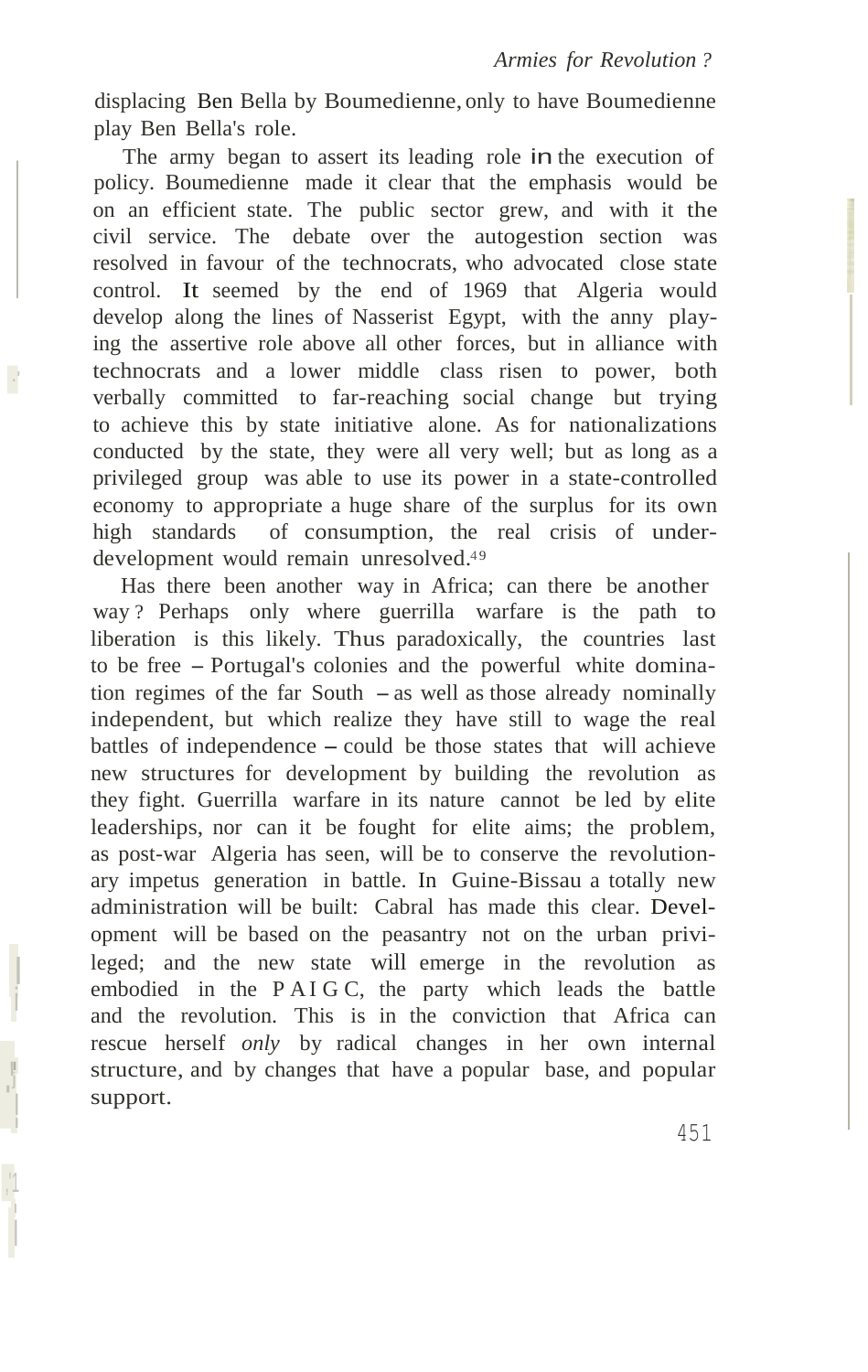displacing Ben Bella by Boumedienne, only to have Boumedienne play Ben Bella's role.

The army began to assert its leading role in the execution of policy. Boumedienne made it clear that the emphasis would be on an efficient state. The public sector grew, and with it the civil service. The debate over the autogestion section was resolved in favour of the technocrats, who advocated close state control. It seemed by the end of 1969 that Algeria would develop along the lines of Nasserist Egypt, with the anny playing the assertive role above all other forces, but in alliance with technocrats and a lower middle class risen to power, both verbally committed to far-reaching social change but trying to achieve this by state initiative alone. As for nationalizations conducted by the state, they were all very well; but as long as a privileged group was able to use its power in a state-controlled economy to appropriate a huge share of the surplus for its own high standards of consumption, the real crisis of underdevelopment would remain unresolved.<sup>49</sup>

Has there been another way in Africa; can there be another way ? Perhaps only where guerrilla warfare is the path to liberation is this likely. Thus paradoxically, the countries last to be free - Portugal's colonies and the powerful white domination regimes of the far South - as well as those already nominally independent, but which realize they have still to wage the real battles of independence - could be those states that will achieve new structures for development by building the revolution as they fight. Guerrilla warfare in its nature cannot be led by elite leaderships, nor can it be fought for elite aims; the problem, as post-war Algeria has seen, will be to conserve the revolutionary impetus generation in battle. In Guine-Bissau a totally new administration will be built: Cabral has made this clear. Development will be based on the peasantry not on the urban privileged; and the new state will emerge in the revolution as embodied in the P A I G C, the party which leads the battle and the revolution. This is in the conviction that Africa can rescue herself *only* by radical changes in her own internal structure, and by changes that have a popular base, and popular support.

·' j

I I

,'1 I I

I

I i

·'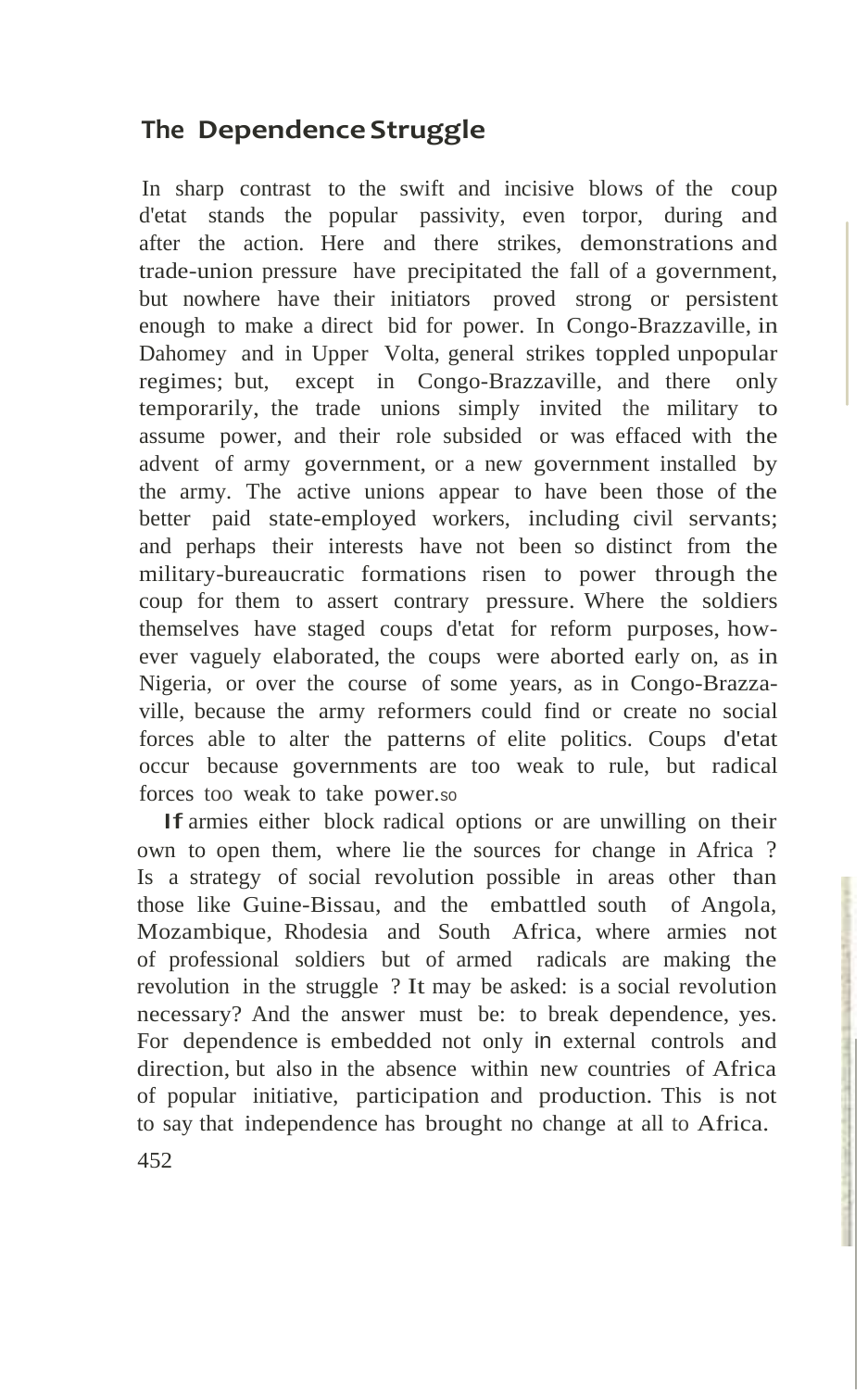# **The Dependence Struggle**

In sharp contrast to the swift and incisive blows of the coup d'etat stands the popular passivity, even torpor, during and after the action. Here and there strikes, demonstrations and trade-union pressure have precipitated the fall of a government, but nowhere have their initiators proved strong or persistent enough to make a direct bid for power. In Congo-Brazzaville, in Dahomey and in Upper Volta, general strikes toppled unpopular regimes; but, except in Congo-Brazzaville, and there only temporarily, the trade unions simply invited the military to assume power, and their role subsided or was effaced with the advent of army government, or a new government installed by the army. The active unions appear to have been those of the better paid state-employed workers, including civil servants; and perhaps their interests have not been so distinct from the military-bureaucratic formations risen to power through the coup for them to assert contrary pressure. Where the soldiers themselves have staged coups d'etat for reform purposes, however vaguely elaborated, the coups were aborted early on, as in Nigeria, or over the course of some years, as in Congo-Brazzaville, because the army reformers could find or create no social forces able to alter the patterns of elite politics. Coups d'etat occur because governments are too weak to rule, but radical forces too weak to take power.so

If armies either block radical options or are unwilling on their own to open them, where lie the sources for change in Africa ? Is a strategy of social revolution possible in areas other than those like Guine-Bissau, and the embattled south of Angola, Mozambique, Rhodesia and South Africa, where armies not of professional soldiers but of armed radicals are making the revolution in the struggle ? It may be asked: is a social revolution necessary? And the answer must be: to break dependence, yes. For dependence is embedded not only in external controls and direction, but also in the absence within new countries of Africa of popular initiative, participation and production. This is not to say that independence has brought no change at all to Africa.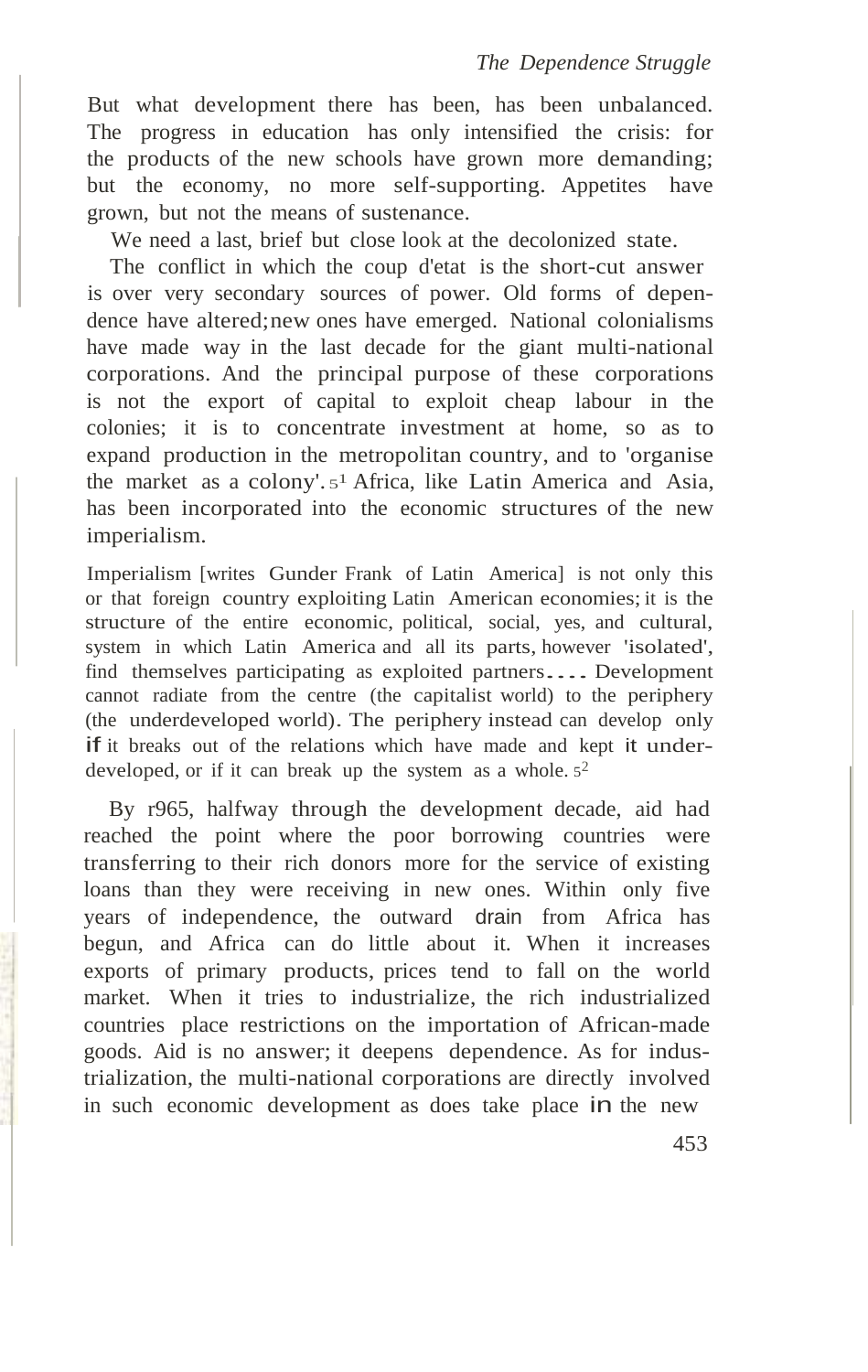But what development there has been, has been unbalanced. The progress in education has only intensified the crisis: for the products of the new schools have grown more demanding; but the economy, no more self-supporting. Appetites have grown, but not the means of sustenance.

We need a last, brief but close look at the decolonized state.

The conflict in which the coup d'etat is the short-cut answer is over very secondary sources of power. Old forms of dependence have altered;new ones have emerged. National colonialisms have made way in the last decade for the giant multi-national corporations. And the principal purpose of these corporations is not the export of capital to exploit cheap labour in the colonies; it is to concentrate investment at home, so as to expand production in the metropolitan country, and to 'organise the market as a colony'. 5 1 Africa, like Latin America and Asia, has been incorporated into the economic structures of the new imperialism.

Imperialism [writes Gunder Frank of Latin America] is not only this or that foreign country exploiting Latin American economies; it is the structure of the entire economic, political, social, yes, and cultural, system in which Latin America and all its parts, however 'isolated', find themselves participating as exploited partners.... Development cannot radiate from the centre (the capitalist world) to the periphery (the underdeveloped world). The periphery instead can develop only if it breaks out of the relations which have made and kept it underdeveloped, or if it can break up the system as a whole.  $5^2$ 

By r965, halfway through the development decade, aid had reached the point where the poor borrowing countries were transferring to their rich donors more for the service of existing loans than they were receiving in new ones. Within only five years of independence, the outward drain from Africa has begun, and Africa can do little about it. When it increases exports of primary products, prices tend to fall on the world market. When it tries to industrialize, the rich industrialized countries place restrictions on the importation of African-made goods. Aid is no answer; it deepens dependence. As for industrialization, the multi-national corporations are directly involved in such economic development as does take place in the new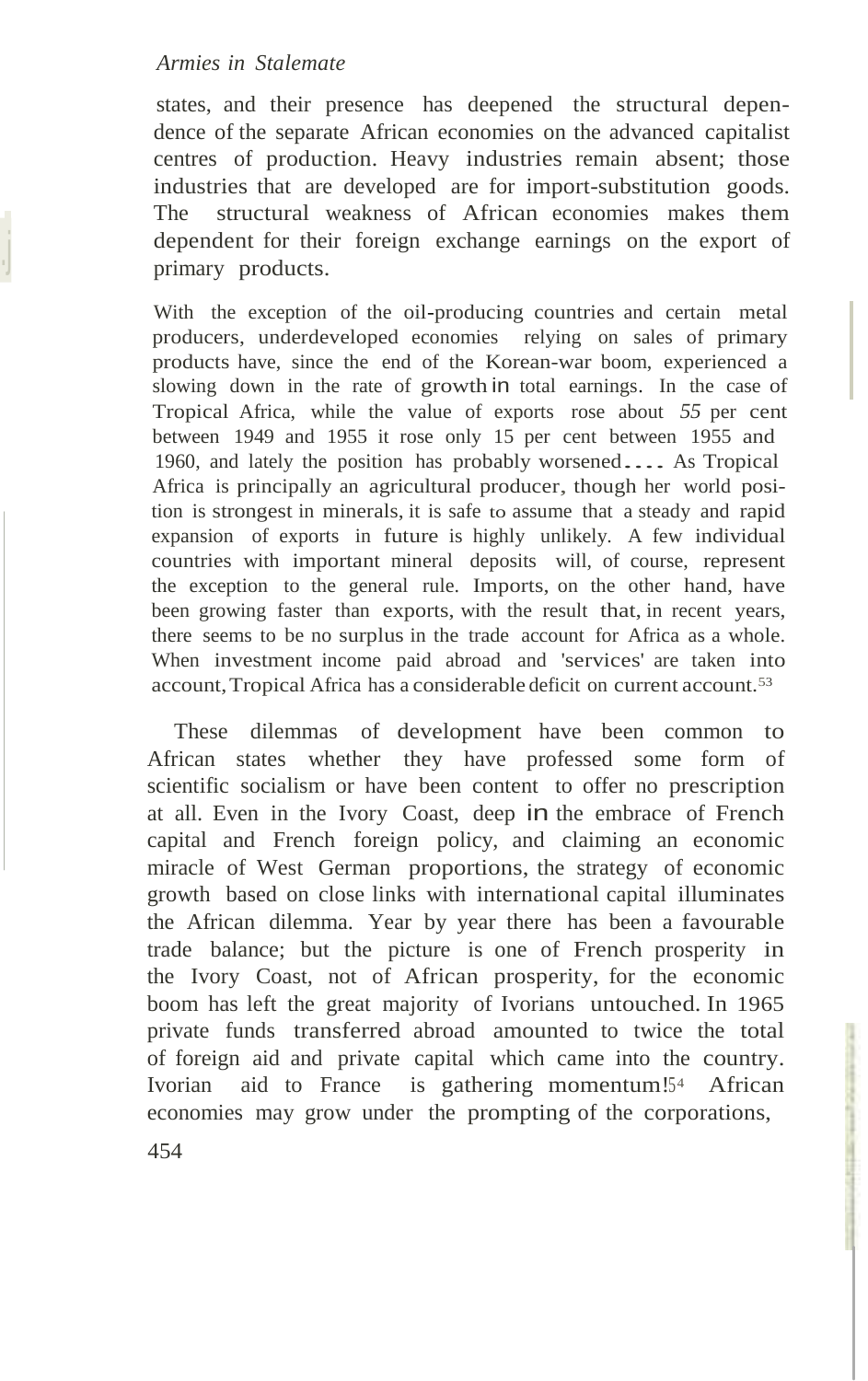.j

states, and their presence has deepened the structural dependence of the separate African economies on the advanced capitalist centres of production. Heavy industries remain absent; those industries that are developed are for import-substitution goods. The structural weakness of African economies makes them dependent for their foreign exchange earnings on the export of primary products.

With the exception of the oil-producing countries and certain metal producers, underdeveloped economies relying on sales of primary products have, since the end of the Korean-war boom, experienced a slowing down in the rate of growth in total earnings. In the case of Tropical Africa, while the value of exports rose about *55* per cent between 1949 and 1955 it rose only 15 per cent between 1955 and 1960, and lately the position has probably worsened.... As Tropical Africa is principally an agricultural producer, though her world position is strongest in minerals, it is safe to assume that a steady and rapid expansion of exports in future is highly unlikely. A few individual countries with important mineral deposits will, of course, represent the exception to the general rule. Imports, on the other hand, have been growing faster than exports, with the result that, in recent years, there seems to be no surplus in the trade account for Africa as a whole. When investment income paid abroad and 'services' are taken into account, Tropical Africa has a considerable deficit on current account.<sup>53</sup>

These dilemmas of development have been common to African states whether they have professed some form of scientific socialism or have been content to offer no prescription at all. Even in the Ivory Coast, deep in the embrace of French capital and French foreign policy, and claiming an economic miracle of West German proportions, the strategy of economic growth based on close links with international capital illuminates the African dilemma. Year by year there has been a favourable trade balance; but the picture is one of French prosperity in the Ivory Coast, not of African prosperity, for the economic boom has left the great majority of Ivorians untouched. In 1965 private funds transferred abroad amounted to twice the total of foreign aid and private capital which came into the country. Ivorian aid to France is gathering momentum!5<sup>4</sup> African economies may grow under the prompting of the corporations,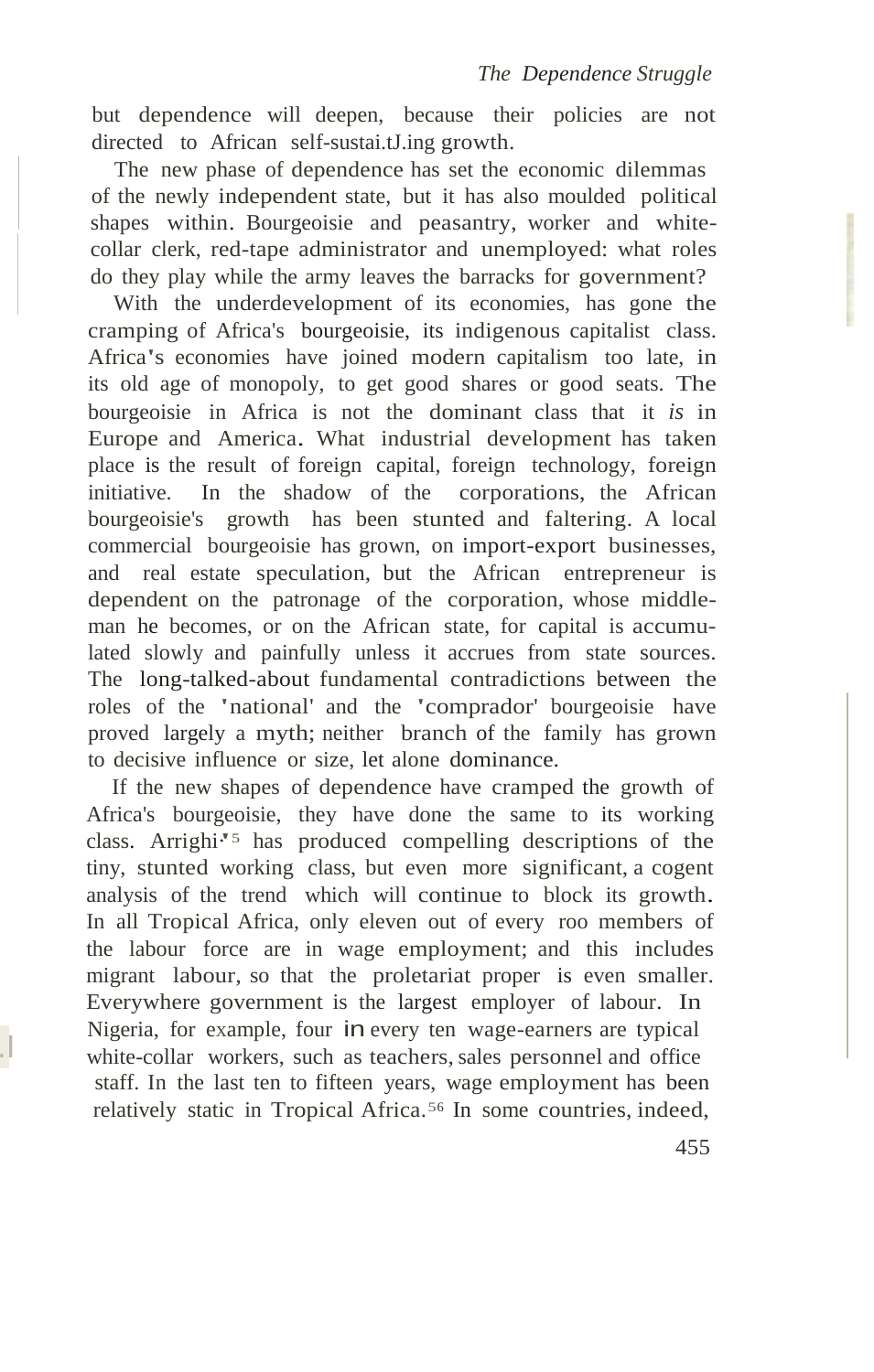but dependence will deepen, because their policies are not directed to African self-sustai.tJ.ing growth.

The new phase of dependence has set the economic dilemmas of the newly independent state, but it has also moulded political shapes within. Bourgeoisie and peasantry, worker and whitecollar clerk, red-tape administrator and unemployed: what roles do they play while the army leaves the barracks for government?

With the underdevelopment of its economies, has gone the cramping of Africa's bourgeoisie, its indigenous capitalist class. Africa's economies have joined modern capitalism too late, in its old age of monopoly, to get good shares or good seats. The bourgeoisie in Africa is not the dominant class that it *is* in Europe and America. What industrial development has taken place is the result of foreign capital, foreign technology, foreign initiative. In the shadow of the corporations, the African bourgeoisie's growth has been stunted and faltering. A local commercial bourgeoisie has grown, on import-export businesses, and real estate speculation, but the African entrepreneur is dependent on the patronage of the corporation, whose middleman he becomes, or on the African state, for capital is accumulated slowly and painfully unless it accrues from state sources. The long-talked-about fundamental contradictions between the roles of the 'national' and the 'comprador' bourgeoisie have proved largely a myth; neither branch of the family has grown to decisive influence or size, let alone dominance.

If the new shapes of dependence have cramped the growth of Africa's bourgeoisie, they have done the same to its working class. Arrighi.'<sup>5</sup> has produced compelling descriptions of the tiny, stunted working class, but even more significant, a cogent analysis of the trend which will continue to block its growth. In all Tropical Africa, only eleven out of every roo members of the labour force are in wage employment; and this includes migrant labour, so that the proletariat proper is even smaller. Everywhere government is the largest employer of labour. In Nigeria, for example, four in every ten wage-earners are typical white-collar workers, such as teachers, sales personnel and office staff. In the last ten to fifteen years, wage employment has been relatively static in Tropical Africa.<sup>56</sup> In some countries, indeed,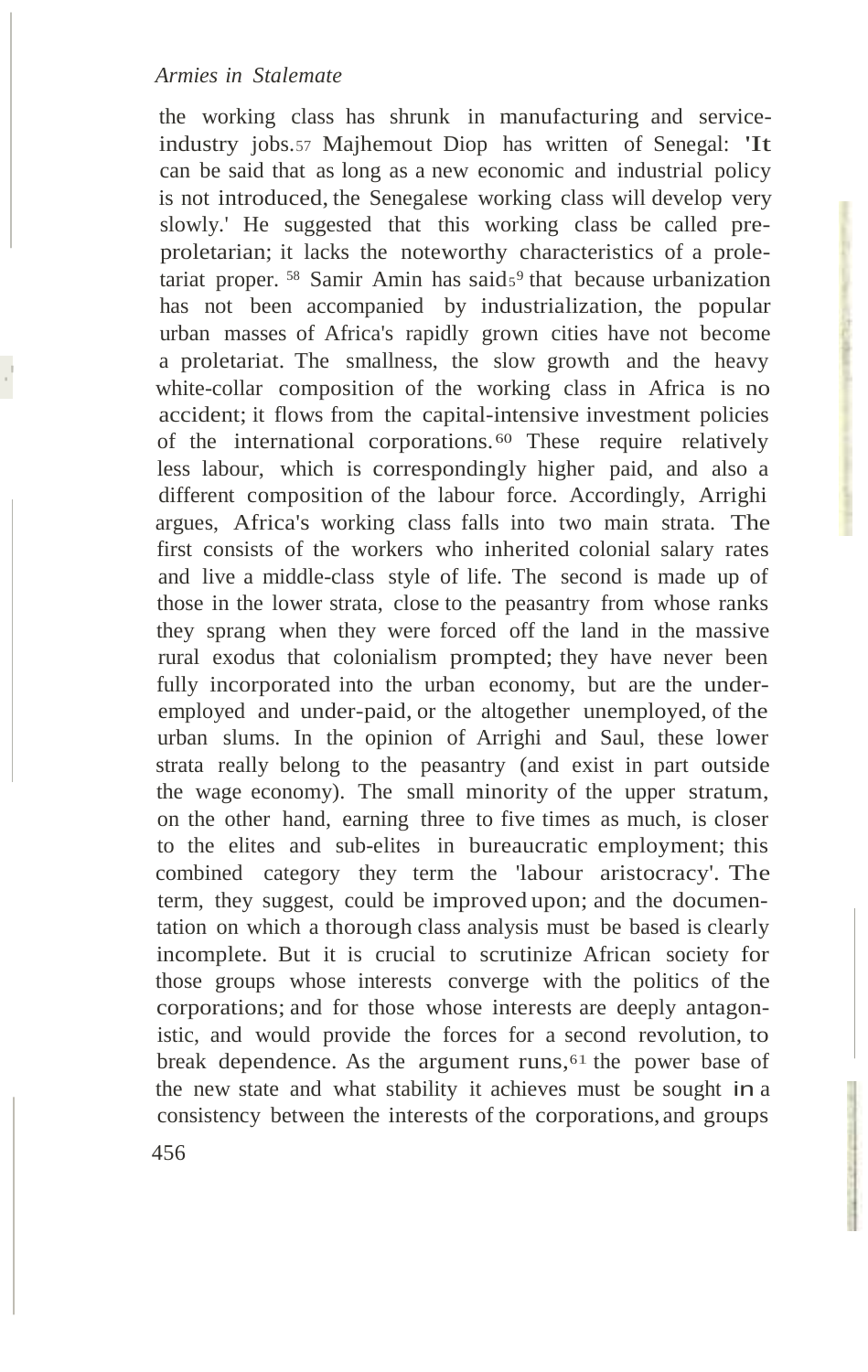the working class has shrunk in manufacturing and serviceindustry jobs.57 Majhemout Diop has written of Senegal: 'It can be said that as long as a new economic and industrial policy is not introduced, the Senegalese working class will develop very slowly.' He suggested that this working class be called preproletarian; it lacks the noteworthy characteristics of a proletariat proper. <sup>58</sup> Samir Amin has said<sub>5</sub><sup>9</sup> that because urbanization has not been accompanied by industrialization, the popular urban masses of Africa's rapidly grown cities have not become a proletariat. The smallness, the slow growth and the heavy white-collar composition of the working class in Africa is no accident; it flows from the capital-intensive investment policies of the international corporations. 60 These require relatively less labour, which is correspondingly higher paid, and also a different composition of the labour force. Accordingly, Arrighi argues, Africa's working class falls into two main strata. The first consists of the workers who inherited colonial salary rates and live a middle-class style of life. The second is made up of those in the lower strata, close to the peasantry from whose ranks they sprang when they were forced off the land in the massive rural exodus that colonialism prompted; they have never been fully incorporated into the urban economy, but are the underemployed and under-paid, or the altogether unemployed, of the urban slums. In the opinion of Arrighi and Saul, these lower strata really belong to the peasantry (and exist in part outside the wage economy). The small minority of the upper stratum, on the other hand, earning three to five times as much, is closer to the elites and sub-elites in bureaucratic employment; this combined category they term the 'labour aristocracy'. The term, they suggest, could be improved upon; and the documentation on which a thorough class analysis must be based is clearly incomplete. But it is crucial to scrutinize African society for those groups whose interests converge with the politics of the corporations; and for those whose interests are deeply antagonistic, and would provide the forces for a second revolution, to break dependence. As the argument runs, 61 the power base of the new state and what stability it achieves must be sought in a consistency between the interests of the corporations, and groups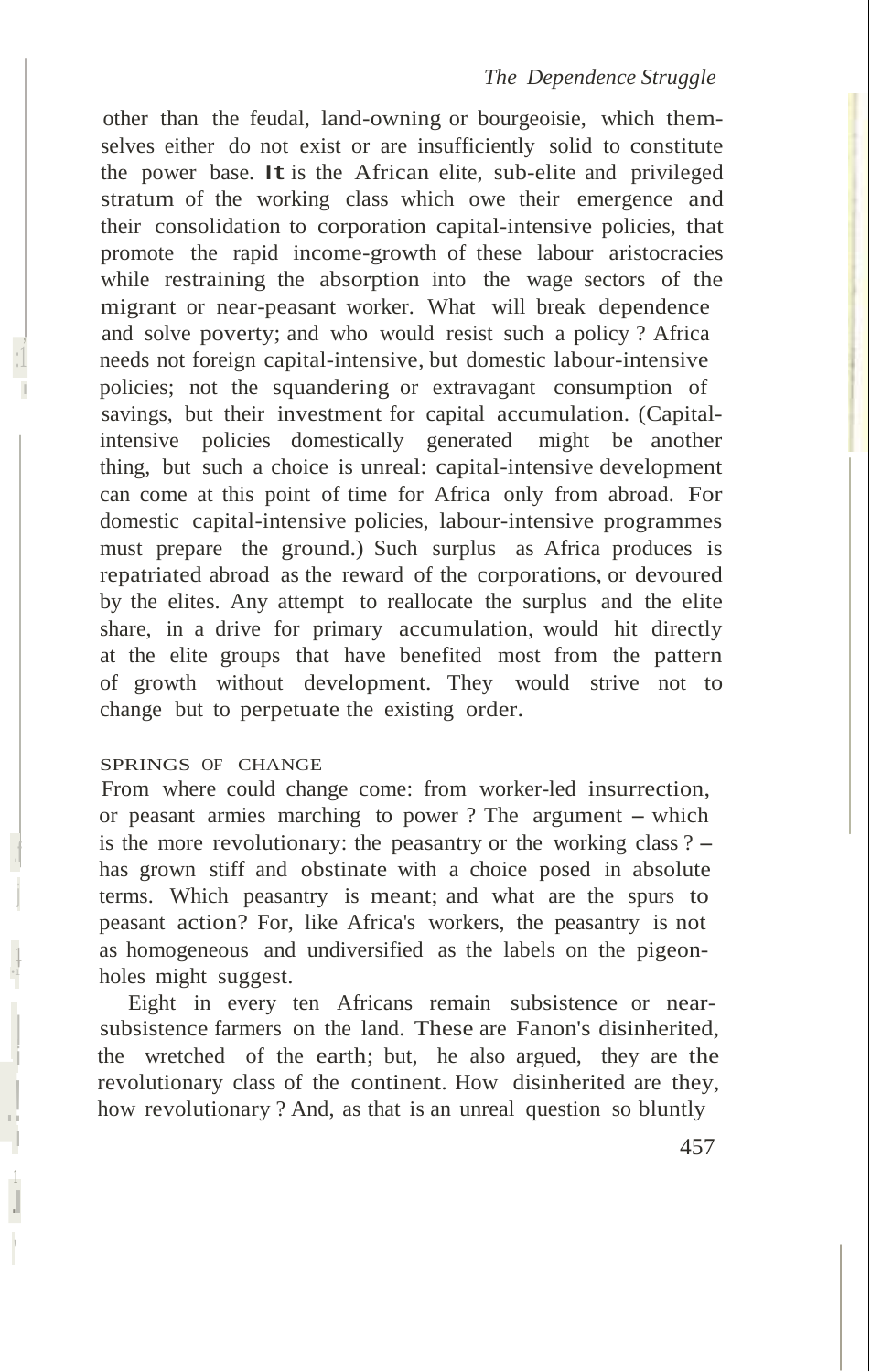#### *The Dependence Struggle*

other than the feudal, land-owning or bourgeoisie, which themselves either do not exist or are insufficiently solid to constitute the power base. It is the African elite, sub-elite and privileged stratum of the working class which owe their emergence and their consolidation to corporation capital-intensive policies, that promote the rapid income-growth of these labour aristocracies while restraining the absorption into the wage sectors of the migrant or near-peasant worker. What will break dependence and solve poverty; and who would resist such a policy ? Africa :1 needs not foreign capital-intensive, but domestic labour-intensive policies; not the squandering or extravagant consumption of savings, but their investment for capital accumulation. (Capitalintensive policies domestically generated might be another thing, but such a choice is unreal: capital-intensive development can come at this point of time for Africa only from abroad. For domestic capital-intensive policies, labour-intensive programmes must prepare the ground.) Such surplus as Africa produces is repatriated abroad as the reward of the corporations, or devoured by the elites. Any attempt to reallocate the surplus and the elite share, in a drive for primary accumulation, would hit directly at the elite groups that have benefited most from the pattern of growth without development. They would strive not to change but to perpetuate the existing order.

## SPRINGS OF CHANGE

.f

1

I i

.! I 1 .I

From where could change come: from worker-led insurrection, or peasant armies marching to power? The argument – which is the more revolutionary: the peasantry or the working class  $?$  has grown stiff and obstinate with a choice posed in absolute terms. Which peasantry is meant; and what are the spurs to peasant action? For, like Africa's workers, the peasantry is not as homogeneous and undiversified as the labels on the pigeonholes might suggest.

Eight in every ten Africans remain subsistence or nearsubsistence farmers on the land. These are Fanon's disinherited, the wretched of the earth; but, he also argued, they are the revolutionary class of the continent. How disinherited are they, how revolutionary ? And, as that is an unreal question so bluntly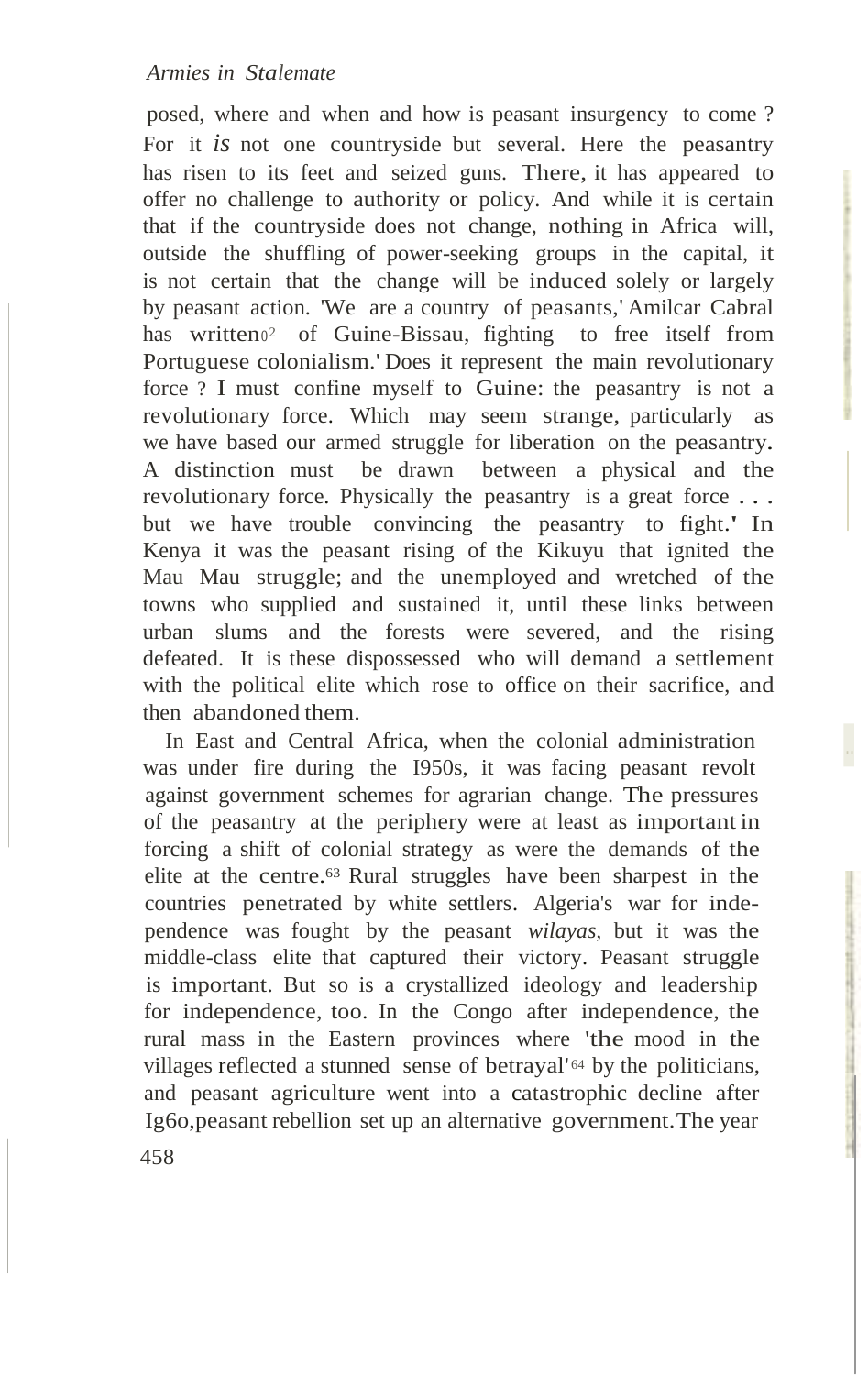posed, where and when and how is peasant insurgency to come ? For it *is* not one countryside but several. Here the peasantry has risen to its feet and seized guns. There, it has appeared to offer no challenge to authority or policy. And while it is certain that if the countryside does not change, nothing in Africa will, outside the shuffling of power-seeking groups in the capital, it is not certain that the change will be induced solely or largely by peasant action. 'We are a country of peasants,' Amilcar Cabral has written<sup>02</sup> of Guine-Bissau, fighting to free itself from Portuguese colonialism.' Does it represent the main revolutionary force ? I must confine myself to Guine: the peasantry is not a revolutionary force. Which may seem strange, particularly as we have based our armed struggle for liberation on the peasantry. A distinction must be drawn between a physical and the revolutionary force. Physically the peasantry is a great force ... but we have trouble convincing the peasantry to fight.' In Kenya it was the peasant rising of the Kikuyu that ignited the Mau Mau struggle; and the unemployed and wretched of the towns who supplied and sustained it, until these links between urban slums and the forests were severed, and the rising defeated. It is these dispossessed who will demand a settlement with the political elite which rose to office on their sacrifice, and then abandoned them.

In East and Central Africa, when the colonial administration was under fire during the I950s, it was facing peasant revolt against government schemes for agrarian change. The pressures of the peasantry at the periphery were at least as important in forcing a shift of colonial strategy as were the demands of the elite at the centre.<sup>63</sup> Rural struggles have been sharpest in the countries penetrated by white settlers. Algeria's war for independence was fought by the peasant *wilayas,* but it was the middle-class elite that captured their victory. Peasant struggle is important. But so is a crystallized ideology and leadership for independence, too. In the Congo after independence, the rural mass in the Eastern provinces where 'the mood in the villages reflected a stunned sense of betrayal' $64$  by the politicians, and peasant agriculture went into a catastrophic decline after Ig6o,peasant rebellion set up an alternative government.The year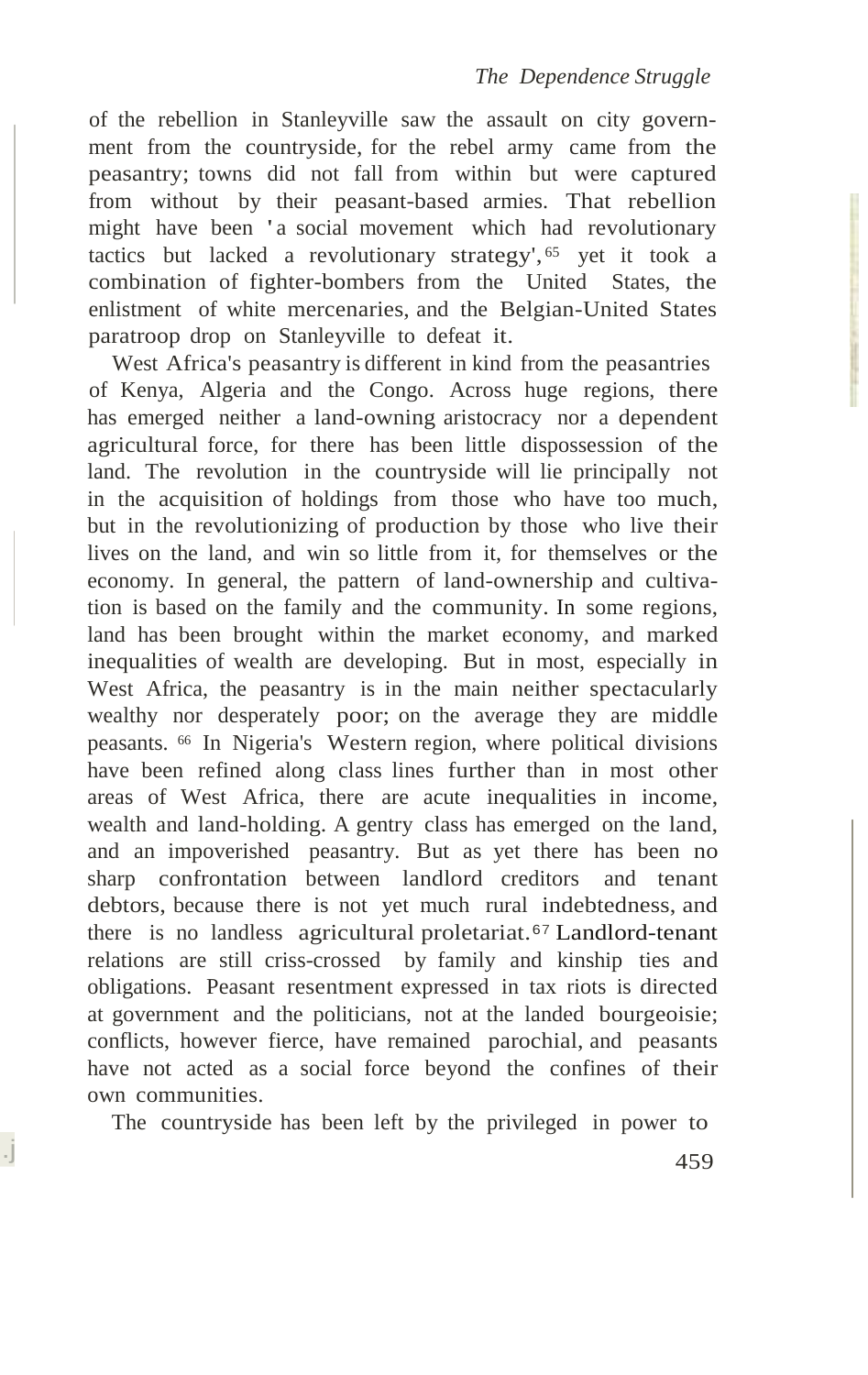of the rebellion in Stanleyville saw the assault on city government from the countryside, for the rebel army came from the peasantry; towns did not fall from within but were captured from without by their peasant-based armies. That rebellion might have been 'a social movement which had revolutionary tactics but lacked a revolutionary strategy',  $65$  yet it took a combination of fighter-bombers from the United States, the enlistment of white mercenaries, and the Belgian-United States paratroop drop on Stanleyville to defeat it.

West Africa's peasantry is different in kind from the peasantries of Kenya, Algeria and the Congo. Across huge regions, there has emerged neither a land-owning aristocracy nor a dependent agricultural force, for there has been little dispossession of the land. The revolution in the countryside will lie principally not in the acquisition of holdings from those who have too much, but in the revolutionizing of production by those who live their lives on the land, and win so little from it, for themselves or the economy. In general, the pattern of land-ownership and cultivation is based on the family and the community. In some regions, land has been brought within the market economy, and marked inequalities of wealth are developing. But in most, especially in West Africa, the peasantry is in the main neither spectacularly wealthy nor desperately poor; on the average they are middle peasants. <sup>66</sup> In Nigeria's Western region, where political divisions have been refined along class lines further than in most other areas of West Africa, there are acute inequalities in income, wealth and land-holding. A gentry class has emerged on the land, and an impoverished peasantry. But as yet there has been no sharp confrontation between landlord creditors and tenant debtors, because there is not yet much rural indebtedness, and there is no landless agricultural proletariat. <sup>67</sup> Landlord-tenant relations are still criss-crossed by family and kinship ties and obligations. Peasant resentment expressed in tax riots is directed at government and the politicians, not at the landed bourgeoisie; conflicts, however fierce, have remained parochial, and peasants have not acted as a social force beyond the confines of their own communities.

The countryside has been left by the privileged in power to  $\overline{1}$  459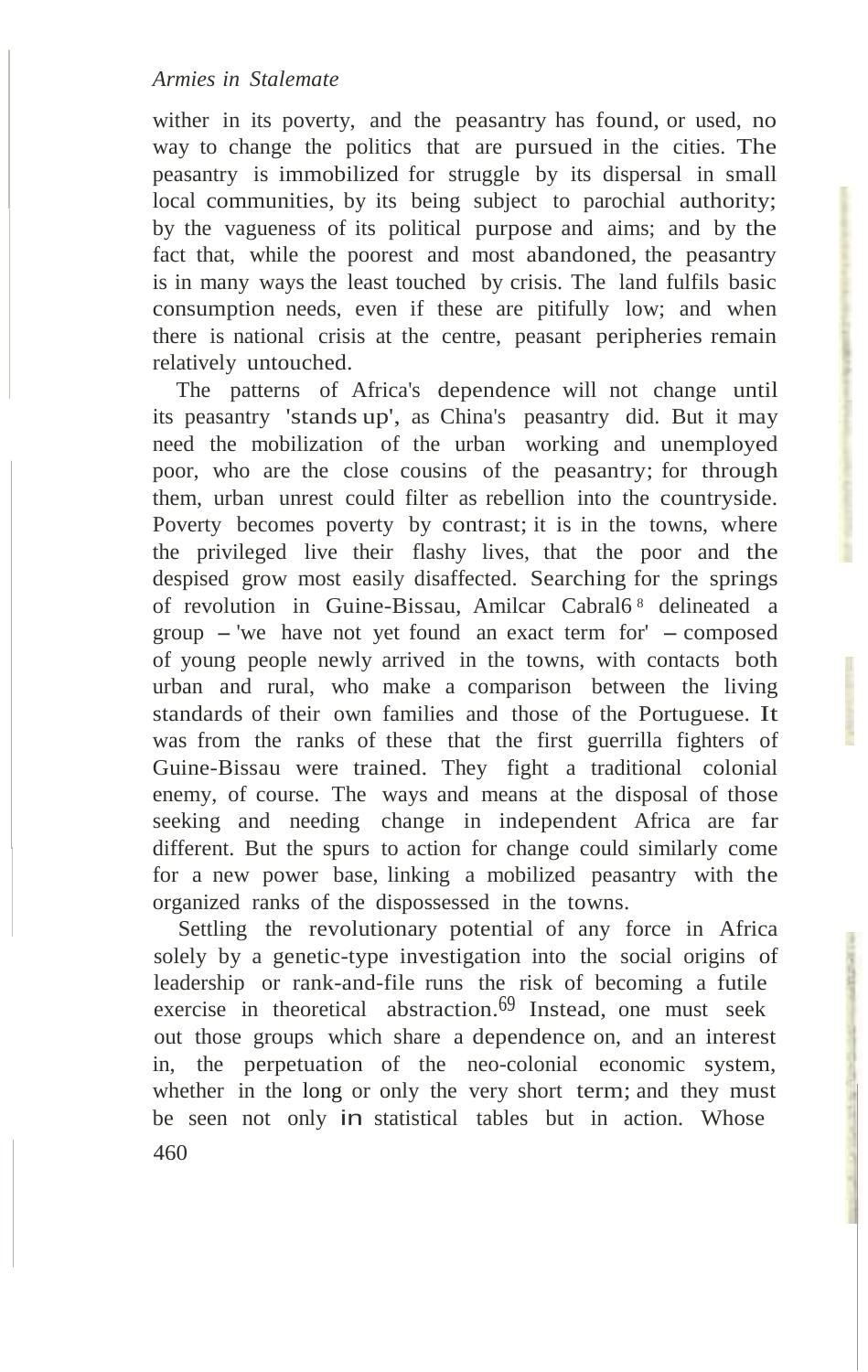wither in its poverty, and the peasantry has found, or used, no way to change the politics that are pursued in the cities. The peasantry is immobilized for struggle by its dispersal in small local communities, by its being subject to parochial authority; by the vagueness of its political purpose and aims; and by the fact that, while the poorest and most abandoned, the peasantry is in many ways the least touched by crisis. The land fulfils basic consumption needs, even if these are pitifully low; and when there is national crisis at the centre, peasant peripheries remain relatively untouched.

The patterns of Africa's dependence will not change until its peasantry 'stands up', as China's peasantry did. But it may need the mobilization of the urban working and unemployed poor, who are the close cousins of the peasantry; for through them, urban unrest could filter as rebellion into the countryside. Poverty becomes poverty by contrast; it is in the towns, where the privileged live their flashy lives, that the poor and the despised grow most easily disaffected. Searching for the springs of revolution in Guine-Bissau, Amilcar Cabral6<sup>8</sup> delineated a group  $-$ 'we have not yet found an exact term for'  $-$  composed of young people newly arrived in the towns, with contacts both urban and rural, who make a comparison between the living standards of their own families and those of the Portuguese. It was from the ranks of these that the first guerrilla fighters of Guine-Bissau were trained. They fight a traditional colonial enemy, of course. The ways and means at the disposal of those seeking and needing change in independent Africa are far different. But the spurs to action for change could similarly come for a new power base, linking a mobilized peasantry with the organized ranks of the dispossessed in the towns.

Settling the revolutionary potential of any force in Africa solely by a genetic-type investigation into the social origins of leadership or rank-and-file runs the risk of becoming a futile exercise in theoretical abstraction.<sup>69</sup> Instead, one must seek out those groups which share a dependence on, and an interest in, the perpetuation of the neo-colonial economic system, whether in the long or only the very short term; and they must be seen not only in statistical tables but in action. Whose 460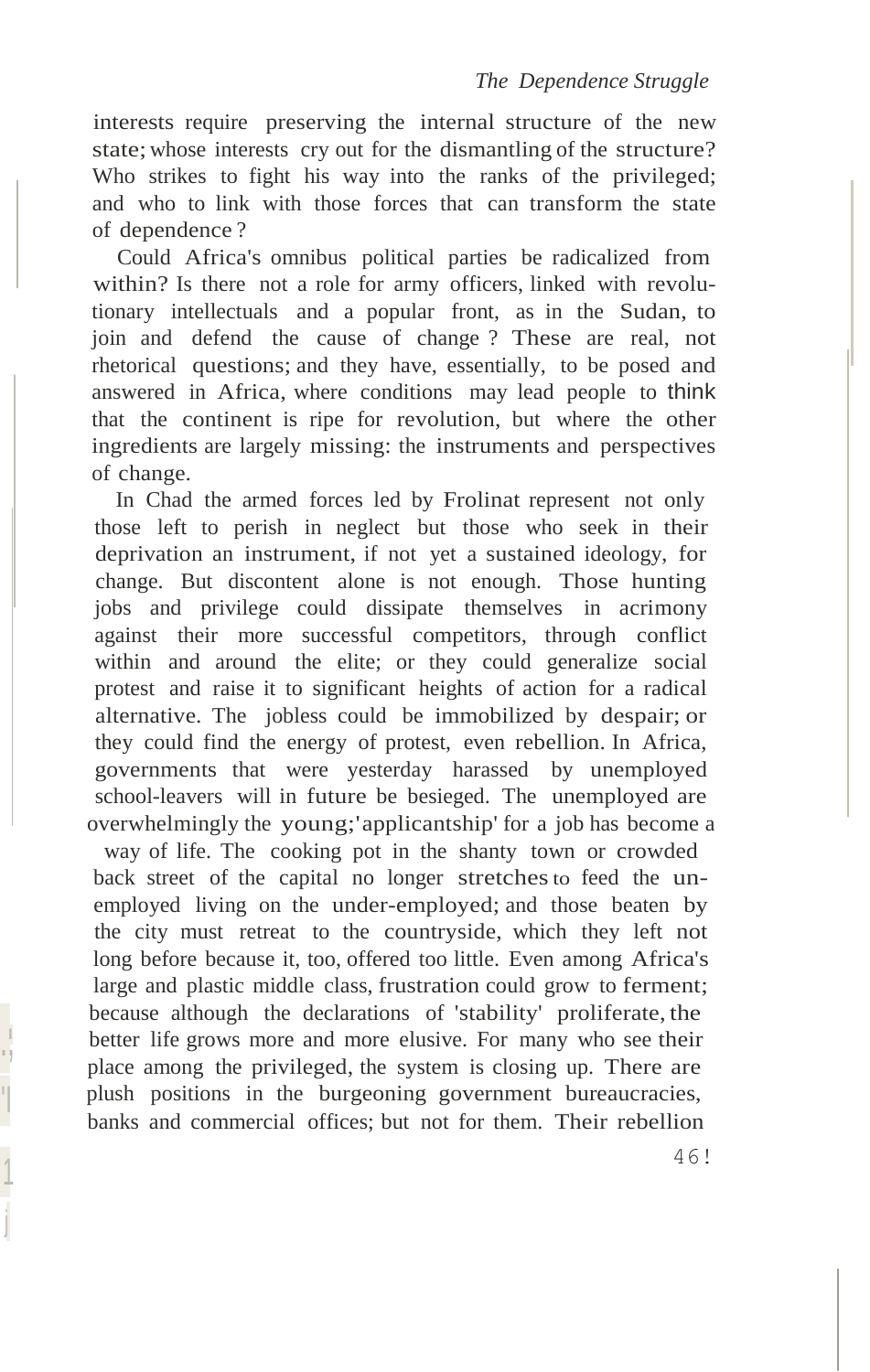## *The Dependence Struggle*

interests require preserving the internal structure of the new state;whose interests cry out for the dismantling of the structure? Who strikes to fight his way into the ranks of the privileged; and who to link with those forces that can transform the state of dependence ?

Could Africa's omnibus political parties be radicalized from within? Is there not a role for army officers, linked with revolutionary intellectuals and a popular front, as in the Sudan, to join and defend the cause of change ? These are real, not rhetorical questions; and they have, essentially, to be posed and answered in Africa, where conditions may lead people to think that the continent is ripe for revolution, but where the other ingredients are largely missing: the instruments and perspectives of change.

In Chad the armed forces led by Frolinat represent not only those left to perish in neglect but those who seek in their deprivation an instrument, if not yet a sustained ideology, for change. But discontent alone is not enough. Those hunting jobs and privilege could dissipate themselves in acrimony against their more successful competitors, through conflict within and around the elite; or they could generalize social protest and raise it to significant heights of action for a radical alternative. The jobless could be immobilized by despair; or they could find the energy of protest, even rebellion. In Africa, governments that were yesterday harassed by unemployed school-leavers will in future be besieged. The unemployed are overwhelmingly the young;'applicantship' for a job has become a

way of life. The cooking pot in the shanty town or crowded back street of the capital no longer stretches to feed the unemployed living on the under-employed; and those beaten by the city must retreat to the countryside, which they left not long before because it, too, offered too little. Even among Africa's large and plastic middle class, frustration could grow to ferment; because although the declarations of 'stability' proliferate, the better life grows more and more elusive. For many who see their place among the privileged, the system is closing up. There are plush positions in the burgeoning government bureaucracies, banks and commercial offices; but not for them. Their rebellion

., I

1

46!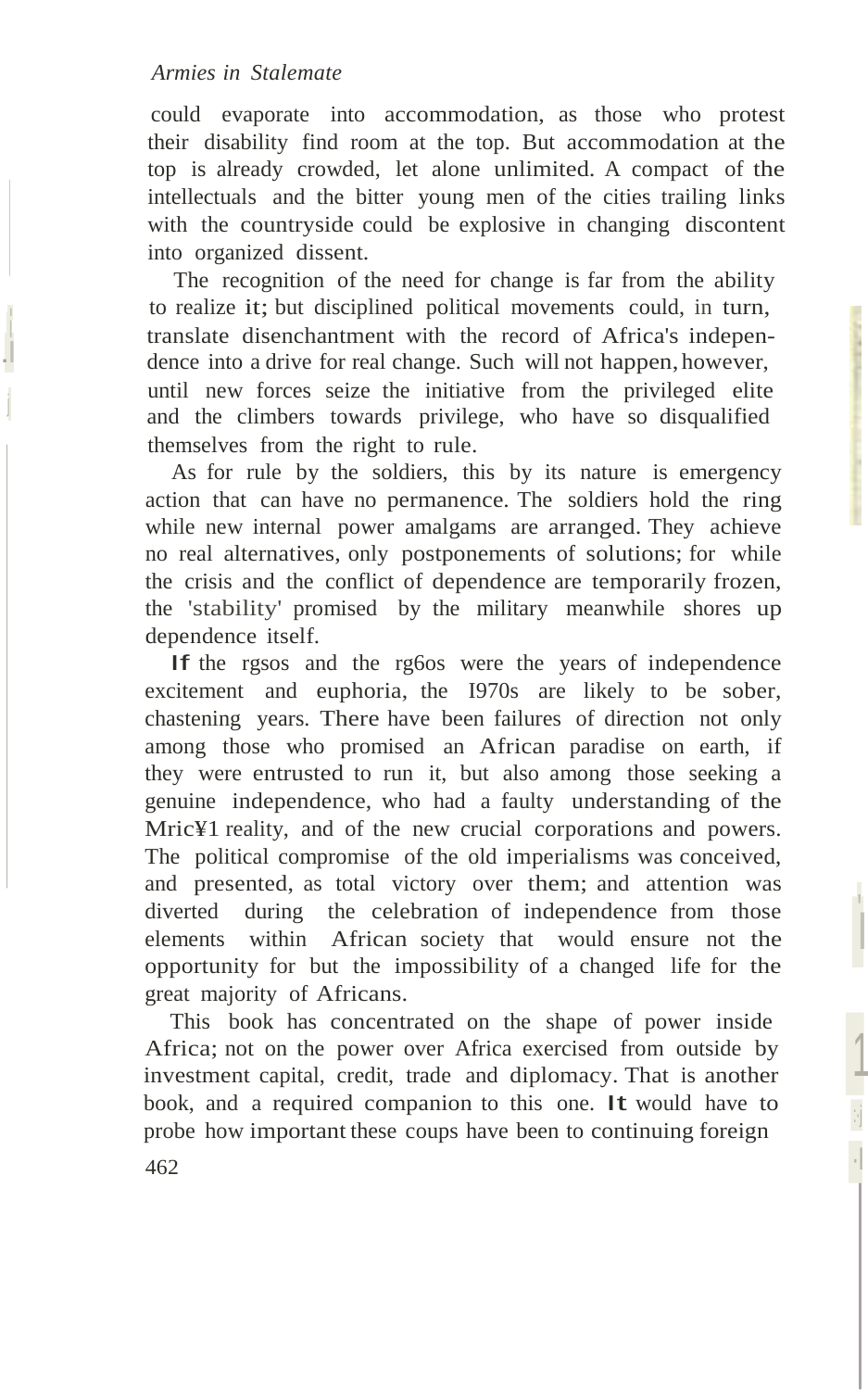I

.

could evaporate into accommodation, as those who protest their disability find room at the top. But accommodation at the top is already crowded, let alone unlimited. A compact of the intellectuals and the bitter young men of the cities trailing links with the countryside could be explosive in changing discontent into organized dissent.

The recognition of the need for change is far from the ability to realize it; but disciplined political movements could, in turn, translate disenchantment with the record of Africa's indepen ransiate disenchantment with the record of Africa's independence into a drive for real change. Such will not happen, however, until new forces seize the initiative from the privileged elite and the climbers towards privilege, who have so disqualified themselves from the right to rule.

> As for rule by the soldiers, this by its nature is emergency action that can have no permanence. The soldiers hold the ring while new internal power amalgams are arranged. They achieve no real alternatives, only postponements of solutions; for while the crisis and the conflict of dependence are temporarily frozen, the 'stability' promised by the military meanwhile shores up dependence itself.

> If the rgsos and the rg6os were the years of independence excitement and euphoria, the I970s are likely to be sober, chastening years. There have been failures of direction not only among those who promised an African paradise on earth, if they were entrusted to run it, but also among those seeking a genuine independence, who had a faulty understanding of the Mric¥1 reality, and of the new crucial corporations and powers. The political compromise of the old imperialisms was conceived, and presented, as total victory over them; and attention was diverted during the celebration of independence from those elements within African society that would ensure not the opportunity for but the impossibility of a changed life for the great majority of Africans.

I'

1

:·j ·I

This book has concentrated on the shape of power inside Africa; not on the power over Africa exercised from outside by investment capital, credit, trade and diplomacy. That is another book, and <sup>a</sup> required companion to this one. It would have to probe how important these coups have been to continuing foreign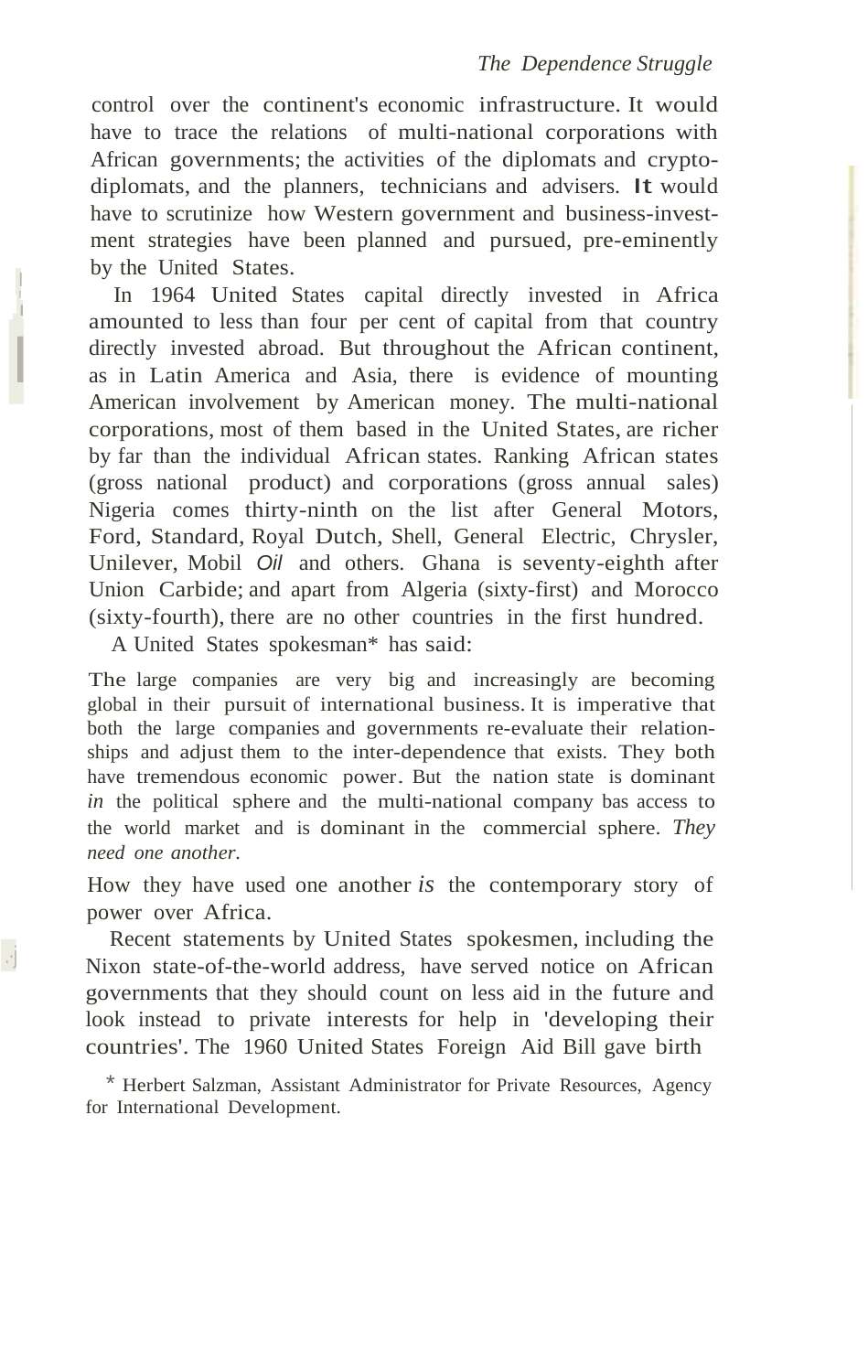control over the continent's economic infrastructure. It would have to trace the relations of multi-national corporations with African governments; the activities of the diplomats and cryptodiplomats, and the planners, technicians and advisers. It would have to scrutinize how Western government and business-investment strategies have been planned and pursued, pre-eminently by the United States.

In 1964 United States capital directly invested in Africa amounted to less than four per cent of capital from that country directly invested abroad. But throughout the African continent, as in Latin America and Asia, there is evidence of mounting American involvement by American money. The multi-national corporations, most of them based in the United States, are richer by far than the individual African states. Ranking African states (gross national product) and corporations (gross annual sales) Nigeria comes thirty-ninth on the list after General Motors, Ford, Standard, Royal Dutch, Shell, General Electric, Chrysler, Unilever, Mobil *Oil* and others. Ghana is seventy-eighth after Union Carbide; and apart from Algeria (sixty-first) and Morocco (sixty-fourth), there are no other countries in the first hundred.

A United States spokesman\* has said:

The large companies are very big and increasingly are becoming global in their pursuit of international business. It is imperative that both the large companies and governments re-evaluate their relationships and adjust them to the inter-dependence that exists. They both have tremendous economic power. But the nation state is dominant *in* the political sphere and the multi-national company bas access to the world market and is dominant in the commercial sphere. *They need one another.*

How they have used one another *is* the contemporary story of power over Africa.

Recent statements by United States spokesmen, including the Nixon state-of-the-world address, have served notice on African governments that they should count on less aid in the future and look instead to private interests for help in 'developing their countries'. The 1960 United States Foreign Aid Bill gave birth

\* Herbert Salzman, Assistant Administrator for Private Resources, Agency for International Development.

1 I I I

l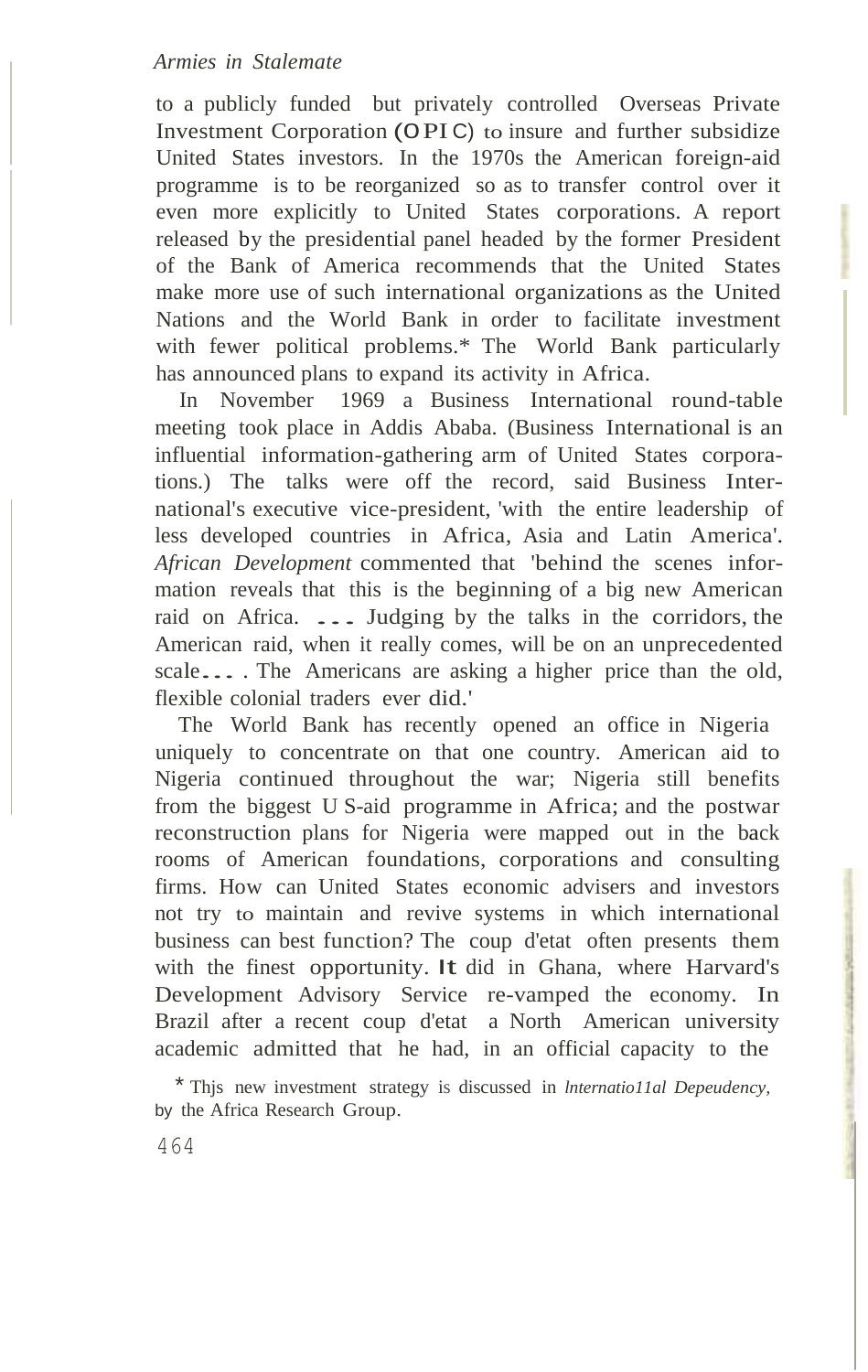to a publicly funded but privately controlled Overseas Private Investment Corporation (0PI C) to insure and further subsidize United States investors. In the 1970s the American foreign-aid programme is to be reorganized so as to transfer control over it even more explicitly to United States corporations. A report released by the presidential panel headed by the former President of the Bank of America recommends that the United States make more use of such international organizations as the United Nations and the World Bank in order to facilitate investment with fewer political problems.\* The World Bank particularly has announced plans to expand its activity in Africa.

In November 1969 a Business International round-table meeting took place in Addis Ababa. (Business International is an influential information-gathering arm of United States corporations.) The talks were off the record, said Business International's executive vice-president, 'with the entire leadership of less developed countries in Africa, Asia and Latin America'. *African Development* commented that 'behind the scenes information reveals that this is the beginning of a big new American raid on Africa. ... Judging by the talks in the corridors, the American raid, when it really comes, will be on an unprecedented scale... . The Americans are asking <sup>a</sup> higher price than the old, flexible colonial traders ever did.'

The World Bank has recently opened an office in Nigeria uniquely to concentrate on that one country. American aid to Nigeria continued throughout the war; Nigeria still benefits from the biggest U S-aid programme in Africa; and the postwar reconstruction plans for Nigeria were mapped out in the back rooms of American foundations, corporations and consulting firms. How can United States economic advisers and investors not try to maintain and revive systems in which international business can best function? The coup d'etat often presents them with the finest opportunity. It did in Ghana, where Harvard's Development Advisory Service re-vamped the economy. In Brazil after a recent coup d'etat a North American university academic admitted that he had, in an official capacity to the

\* Thjs new investment strategy is discussed in *lnternatio11al Depeudency,* by the Africa Research Group.